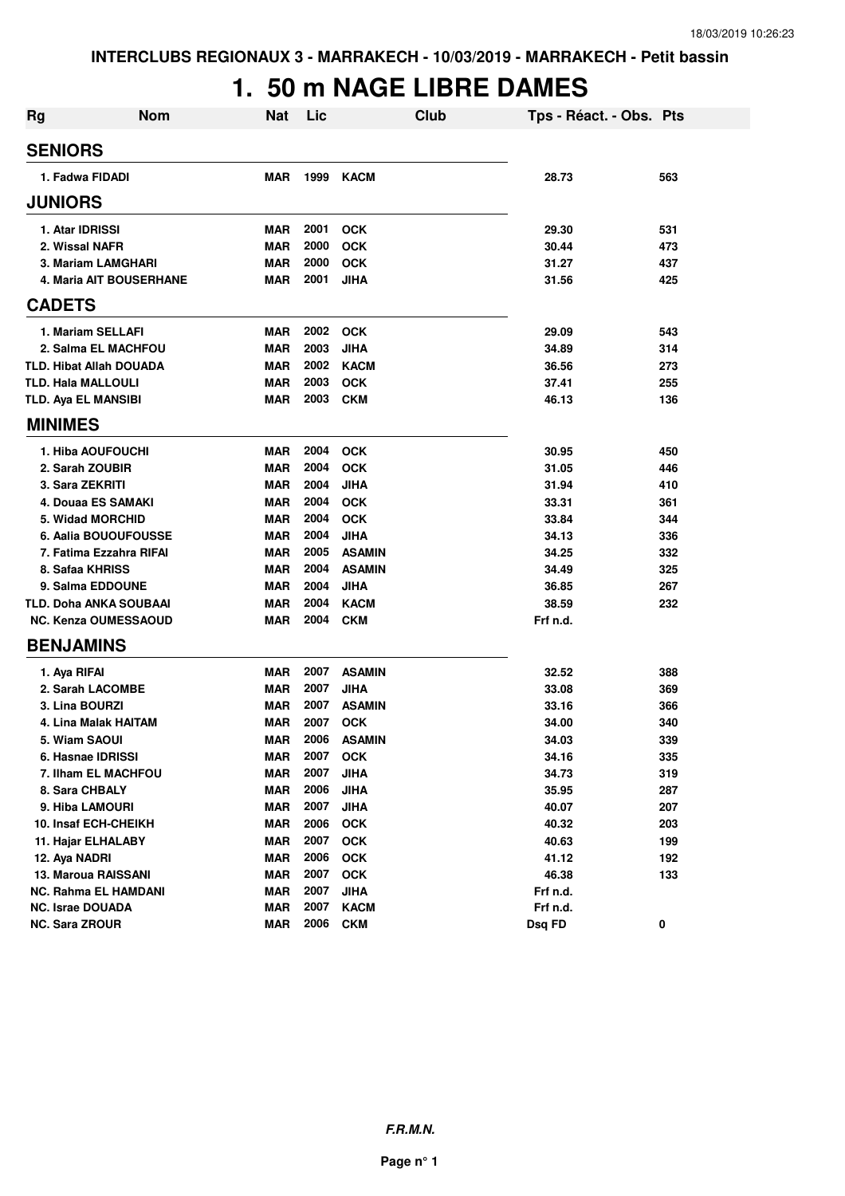# **1. 50 m NAGE LIBRE DAMES**

| <b>Rg</b> | <b>Nom</b>                     | <b>Nat</b> | Lic  | <b>Club</b>   | Tps - Réact. - Obs. Pts |     |
|-----------|--------------------------------|------------|------|---------------|-------------------------|-----|
|           | <b>SENIORS</b>                 |            |      |               |                         |     |
|           | 1. Fadwa FIDADI                | <b>MAR</b> | 1999 | <b>KACM</b>   | 28.73                   | 563 |
|           | <b>JUNIORS</b>                 |            |      |               |                         |     |
|           | 1. Atar IDRISSI                | <b>MAR</b> | 2001 | <b>OCK</b>    | 29.30                   | 531 |
|           | 2. Wissal NAFR                 | <b>MAR</b> | 2000 | <b>OCK</b>    | 30.44                   | 473 |
|           | 3. Mariam LAMGHARI             | <b>MAR</b> | 2000 | <b>OCK</b>    | 31.27                   | 437 |
|           | 4. Maria AIT BOUSERHANE        | MAR        | 2001 | <b>JIHA</b>   | 31.56                   | 425 |
|           | <b>CADETS</b>                  |            |      |               |                         |     |
|           | 1. Mariam SELLAFI              | <b>MAR</b> | 2002 | <b>OCK</b>    | 29.09                   | 543 |
|           | 2. Salma EL MACHFOU            | <b>MAR</b> | 2003 | <b>JIHA</b>   | 34.89                   | 314 |
|           | <b>TLD. Hibat Allah DOUADA</b> | <b>MAR</b> | 2002 | <b>KACM</b>   | 36.56                   | 273 |
|           | <b>TLD. Hala MALLOULI</b>      | <b>MAR</b> | 2003 | <b>OCK</b>    | 37.41                   | 255 |
|           | <b>TLD. Aya EL MANSIBI</b>     | <b>MAR</b> | 2003 | <b>CKM</b>    | 46.13                   | 136 |
|           | <b>MINIMES</b>                 |            |      |               |                         |     |
|           | 1. Hiba AOUFOUCHI              | <b>MAR</b> | 2004 | <b>OCK</b>    | 30.95                   | 450 |
|           | 2. Sarah ZOUBIR                | <b>MAR</b> | 2004 | <b>OCK</b>    | 31.05                   | 446 |
|           | 3. Sara ZEKRITI                | <b>MAR</b> | 2004 | <b>JIHA</b>   | 31.94                   | 410 |
|           | 4. Douaa ES SAMAKI             | <b>MAR</b> | 2004 | <b>OCK</b>    | 33.31                   | 361 |
|           | 5. Widad MORCHID               | <b>MAR</b> | 2004 | <b>OCK</b>    | 33.84                   | 344 |
|           | 6. Aalia BOUOUFOUSSE           | <b>MAR</b> | 2004 | <b>JIHA</b>   | 34.13                   | 336 |
|           | 7. Fatima Ezzahra RIFAI        | <b>MAR</b> | 2005 | <b>ASAMIN</b> | 34.25                   | 332 |
|           | 8. Safaa KHRISS                | <b>MAR</b> | 2004 | <b>ASAMIN</b> | 34.49                   | 325 |
|           | 9. Salma EDDOUNE               | <b>MAR</b> | 2004 | JIHA          | 36.85                   | 267 |
|           | TLD. Doha ANKA SOUBAAI         | <b>MAR</b> | 2004 | <b>KACM</b>   | 38.59                   | 232 |
|           | <b>NC. Kenza OUMESSAOUD</b>    | MAR        | 2004 | <b>CKM</b>    | Frf n.d.                |     |
|           | <b>BENJAMINS</b>               |            |      |               |                         |     |
|           | 1. Aya RIFAI                   | <b>MAR</b> | 2007 | <b>ASAMIN</b> | 32.52                   | 388 |
|           | 2. Sarah LACOMBE               | <b>MAR</b> | 2007 | <b>JIHA</b>   | 33.08                   | 369 |
|           | 3. Lina BOURZI                 | <b>MAR</b> | 2007 | <b>ASAMIN</b> | 33.16                   | 366 |
|           | 4. Lina Malak HAITAM           | <b>MAR</b> | 2007 | <b>OCK</b>    | 34.00                   | 340 |
|           | 5. Wiam SAOUI                  | MAR        | 2006 | <b>ASAMIN</b> | 34.03                   | 339 |
|           | 6. Hasnae IDRISSI              | <b>MAR</b> | 2007 | <b>OCK</b>    | 34.16                   | 335 |
|           | 7. Ilham EL MACHFOU            | <b>MAR</b> | 2007 | <b>JIHA</b>   | 34.73                   | 319 |
|           | 8. Sara CHBALY                 | MAR        | 2006 | <b>JIHA</b>   | 35.95                   | 287 |
|           | 9. Hiba LAMOURI                | MAR        | 2007 | <b>JIHA</b>   | 40.07                   | 207 |
|           | 10. Insaf ECH-CHEIKH           | <b>MAR</b> | 2006 | <b>OCK</b>    | 40.32                   | 203 |
|           | 11. Hajar ELHALABY             | <b>MAR</b> | 2007 | <b>OCK</b>    | 40.63                   | 199 |
|           | 12. Aya NADRI                  | <b>MAR</b> | 2006 | <b>OCK</b>    | 41.12                   | 192 |
|           | 13. Maroua RAISSANI            | <b>MAR</b> | 2007 | <b>OCK</b>    | 46.38                   | 133 |
|           | <b>NC. Rahma EL HAMDANI</b>    | <b>MAR</b> | 2007 | <b>JIHA</b>   | Frf n.d.                |     |
|           | <b>NC. Israe DOUADA</b>        | <b>MAR</b> | 2007 | <b>KACM</b>   | Frf n.d.                |     |
|           | <b>NC. Sara ZROUR</b>          | <b>MAR</b> | 2006 | <b>CKM</b>    | Dsq FD                  | 0   |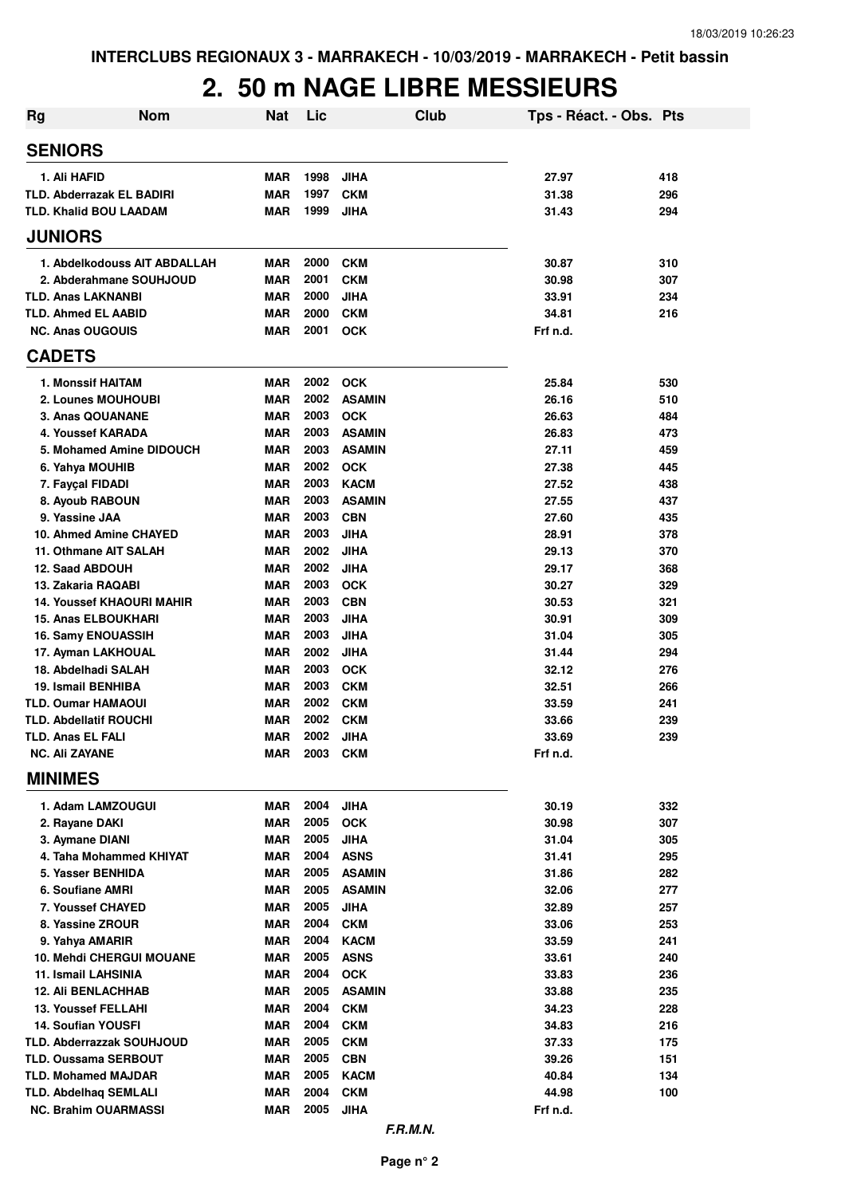### **2. 50 m NAGE LIBRE MESSIEURS**

| Rg                                    | <b>Nom</b> | <b>Nat</b>               | Lic          |                             | Club | Tps - Réact. - Obs. Pts |            |
|---------------------------------------|------------|--------------------------|--------------|-----------------------------|------|-------------------------|------------|
| <b>SENIORS</b>                        |            |                          |              |                             |      |                         |            |
| 1. Ali HAFID                          |            | <b>MAR</b>               | 1998         | <b>JIHA</b>                 |      | 27.97                   | 418        |
| <b>TLD. Abderrazak EL BADIRI</b>      |            | <b>MAR</b>               | 1997         | <b>CKM</b>                  |      | 31.38                   | 296        |
| <b>TLD. Khalid BOU LAADAM</b>         |            | MAR                      | 1999         | <b>JIHA</b>                 |      | 31.43                   | 294        |
| <b>JUNIORS</b>                        |            |                          |              |                             |      |                         |            |
| 1. Abdelkodouss AIT ABDALLAH          |            | <b>MAR</b>               | 2000         | <b>CKM</b>                  |      | 30.87                   | 310        |
| 2. Abderahmane SOUHJOUD               |            | <b>MAR</b>               | 2001         | <b>CKM</b>                  |      | 30.98                   | 307        |
| <b>TLD. Anas LAKNANBI</b>             |            | <b>MAR</b>               | 2000         | <b>JIHA</b>                 |      | 33.91                   | 234        |
| <b>TLD. Ahmed EL AABID</b>            |            | <b>MAR</b>               | 2000         | <b>CKM</b>                  |      | 34.81                   | 216        |
| <b>NC. Anas OUGOUIS</b>               |            | <b>MAR</b>               | 2001         | <b>OCK</b>                  |      | Frf n.d.                |            |
| <b>CADETS</b>                         |            |                          |              |                             |      |                         |            |
| 1. Monssif HAITAM                     |            | <b>MAR</b>               | 2002         | <b>OCK</b>                  |      | 25.84                   | 530        |
| 2. Lounes MOUHOUBI                    |            | <b>MAR</b>               | 2002         | <b>ASAMIN</b>               |      | 26.16                   | 510        |
| 3. Anas QOUANANE                      |            | <b>MAR</b>               | 2003         | <b>OCK</b>                  |      | 26.63                   | 484        |
| 4. Youssef KARADA                     |            | <b>MAR</b>               | 2003         | <b>ASAMIN</b>               |      | 26.83                   | 473        |
| 5. Mohamed Amine DIDOUCH              |            | <b>MAR</b>               | 2003         | <b>ASAMIN</b>               |      | 27.11                   | 459        |
| 6. Yahya MOUHIB                       |            | <b>MAR</b>               | 2002         | <b>OCK</b>                  |      | 27.38                   | 445        |
| 7. Fayçal FIDADI                      |            | <b>MAR</b>               | 2003         | <b>KACM</b>                 |      | 27.52                   | 438        |
| 8. Ayoub RABOUN<br>9. Yassine JAA     |            | <b>MAR</b>               | 2003         | <b>ASAMIN</b><br><b>CBN</b> |      | 27.55                   | 437        |
| 10. Ahmed Amine CHAYED                |            | <b>MAR</b><br><b>MAR</b> | 2003<br>2003 | <b>JIHA</b>                 |      | 27.60<br>28.91          | 435<br>378 |
| 11. Othmane AIT SALAH                 |            | <b>MAR</b>               | 2002         | <b>JIHA</b>                 |      | 29.13                   | 370        |
| 12. Saad ABDOUH                       |            | <b>MAR</b>               | 2002         | <b>JIHA</b>                 |      | 29.17                   | 368        |
| 13. Zakaria RAQABI                    |            | <b>MAR</b>               | 2003         | <b>OCK</b>                  |      | 30.27                   | 329        |
| <b>14. Youssef KHAOURI MAHIR</b>      |            | <b>MAR</b>               | 2003         | <b>CBN</b>                  |      | 30.53                   | 321        |
| <b>15. Anas ELBOUKHARI</b>            |            | <b>MAR</b>               | 2003         | <b>JIHA</b>                 |      | 30.91                   | 309        |
| 16. Samy ENOUASSIH                    |            | <b>MAR</b>               | 2003         | <b>JIHA</b>                 |      | 31.04                   | 305        |
| 17. Ayman LAKHOUAL                    |            | <b>MAR</b>               | 2002         | <b>JIHA</b>                 |      | 31.44                   | 294        |
| 18. Abdelhadi SALAH                   |            | <b>MAR</b>               | 2003         | <b>OCK</b>                  |      | 32.12                   | 276        |
| 19. Ismail BENHIBA                    |            | <b>MAR</b>               | 2003         | <b>CKM</b>                  |      | 32.51                   | 266        |
| <b>TLD. Oumar HAMAOUI</b>             |            | <b>MAR</b>               | 2002         | <b>CKM</b>                  |      | 33.59                   | 241        |
| <b>TLD. Abdellatif ROUCHI</b>         |            | <b>MAR</b>               | 2002         | <b>CKM</b>                  |      | 33.66                   | 239        |
| <b>TLD. Anas EL FALI</b>              |            | <b>MAR</b>               | 2002         | JIHA                        |      | 33.69                   | 239        |
| <b>NC. Ali ZAYANE</b>                 |            | MAR                      | 2003         | <b>CKM</b>                  |      | Frf n.d.                |            |
| <b>MINIMES</b>                        |            |                          |              |                             |      |                         |            |
| 1. Adam LAMZOUGUI                     |            | MAR                      | 2004         | <b>JIHA</b>                 |      | 30.19                   | 332        |
| 2. Rayane DAKI                        |            | <b>MAR</b>               | 2005         | <b>OCK</b>                  |      | 30.98                   | 307        |
| 3. Aymane DIANI                       |            | <b>MAR</b>               | 2005         | <b>JIHA</b>                 |      | 31.04                   | 305        |
| 4. Taha Mohammed KHIYAT               |            | MAR                      | 2004         | <b>ASNS</b>                 |      | 31.41                   | 295        |
| 5. Yasser BENHIDA                     |            | MAR                      | 2005         | <b>ASAMIN</b>               |      | 31.86                   | 282        |
| 6. Soufiane AMRI                      |            | MAR                      | 2005<br>2005 | <b>ASAMIN</b>               |      | 32.06                   | 277        |
| 7. Youssef CHAYED<br>8. Yassine ZROUR |            | <b>MAR</b><br><b>MAR</b> | 2004         | <b>JIHA</b><br><b>CKM</b>   |      | 32.89<br>33.06          | 257<br>253 |
| 9. Yahya AMARIR                       |            | <b>MAR</b>               | 2004         | <b>KACM</b>                 |      | 33.59                   | 241        |
| <b>10. Mehdi CHERGUI MOUANE</b>       |            | <b>MAR</b>               | 2005         | <b>ASNS</b>                 |      | 33.61                   | 240        |
| 11. Ismail LAHSINIA                   |            | MAR                      | 2004         | <b>OCK</b>                  |      | 33.83                   | 236        |
| <b>12. Ali BENLACHHAB</b>             |            | MAR                      | 2005         | <b>ASAMIN</b>               |      | 33.88                   | 235        |
| <b>13. Youssef FELLAHI</b>            |            | <b>MAR</b>               | 2004         | <b>CKM</b>                  |      | 34.23                   | 228        |
| <b>14. Soufian YOUSFI</b>             |            | MAR                      | 2004         | <b>CKM</b>                  |      | 34.83                   | 216        |
| TLD. Abderrazzak SOUHJOUD             |            | <b>MAR</b>               | 2005         | <b>CKM</b>                  |      | 37.33                   | 175        |
| <b>TLD. Oussama SERBOUT</b>           |            | <b>MAR</b>               | 2005         | <b>CBN</b>                  |      | 39.26                   | 151        |
| <b>TLD. Mohamed MAJDAR</b>            |            | MAR                      | 2005         | <b>KACM</b>                 |      | 40.84                   | 134        |
| <b>TLD. Abdelhaq SEMLALI</b>          |            | MAR                      | 2004         | <b>CKM</b>                  |      | 44.98                   | 100        |
| <b>NC. Brahim OUARMASSI</b>           |            | MAR                      | 2005         | <b>JIHA</b>                 |      | Frf n.d.                |            |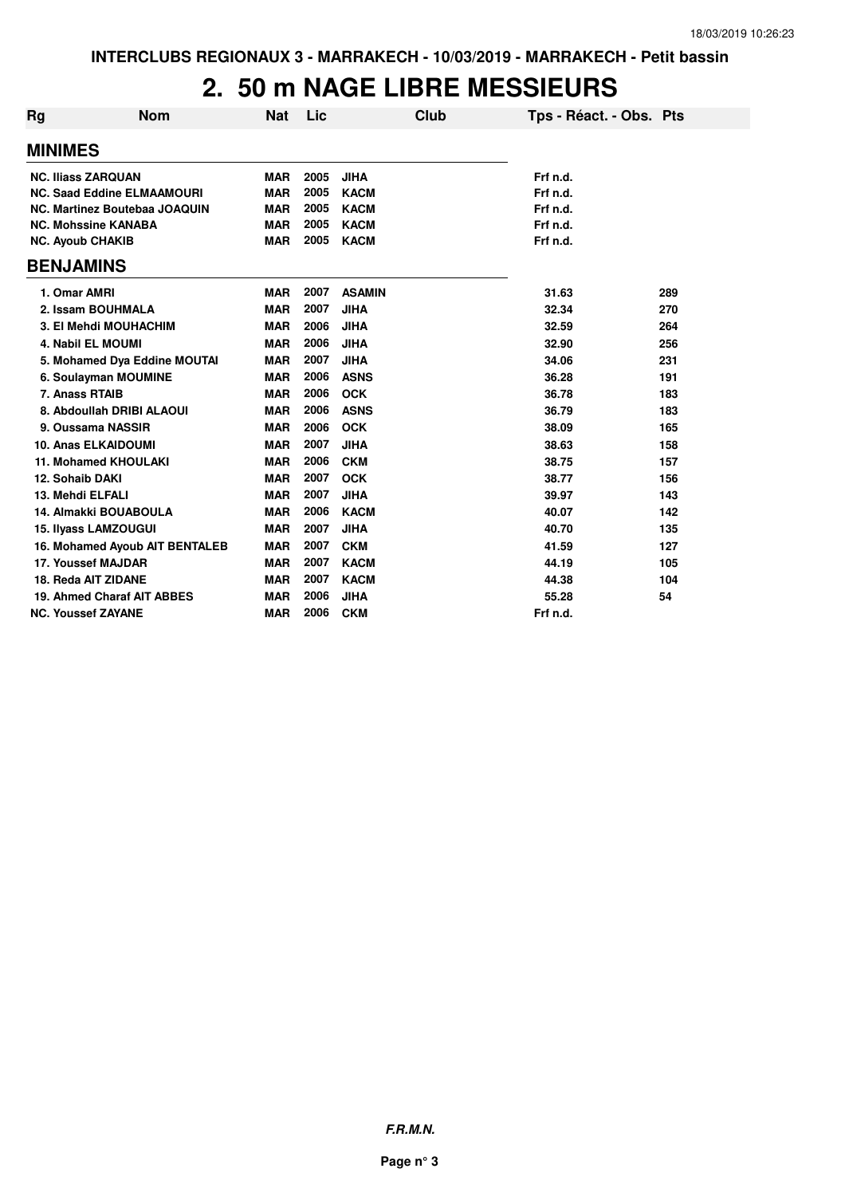#### **2. 50 m NAGE LIBRE MESSIEURS**

| Rg                      | <b>Nom</b>                        | <b>Nat</b> | Lic  |               | Club | Tps - Réact. - Obs. Pts |     |
|-------------------------|-----------------------------------|------------|------|---------------|------|-------------------------|-----|
| <b>MINIMES</b>          |                                   |            |      |               |      |                         |     |
|                         | <b>NC. Iliass ZARQUAN</b>         | <b>MAR</b> | 2005 | <b>JIHA</b>   |      | Frf n.d.                |     |
|                         | <b>NC. Saad Eddine ELMAAMOURI</b> | <b>MAR</b> | 2005 | <b>KACM</b>   |      | Frf n.d.                |     |
|                         | NC. Martinez Boutebaa JOAQUIN     | <b>MAR</b> | 2005 | <b>KACM</b>   |      | Frf n.d.                |     |
|                         | <b>NC. Mohssine KANABA</b>        | <b>MAR</b> | 2005 | <b>KACM</b>   |      | Frf n.d.                |     |
| <b>NC. Ayoub CHAKIB</b> |                                   | <b>MAR</b> | 2005 | <b>KACM</b>   |      | Frf n.d.                |     |
| <b>BENJAMINS</b>        |                                   |            |      |               |      |                         |     |
| 1. Omar AMRI            |                                   | <b>MAR</b> | 2007 | <b>ASAMIN</b> |      | 31.63                   | 289 |
|                         | 2. Issam BOUHMALA                 | <b>MAR</b> | 2007 | <b>JIHA</b>   |      | 32.34                   | 270 |
|                         | 3. El Mehdi MOUHACHIM             | <b>MAR</b> | 2006 | <b>JIHA</b>   |      | 32.59                   | 264 |
|                         | <b>4. Nabil EL MOUMI</b>          | <b>MAR</b> | 2006 | <b>JIHA</b>   |      | 32.90                   | 256 |
|                         | 5. Mohamed Dya Eddine MOUTAI      | <b>MAR</b> | 2007 | <b>JIHA</b>   |      | 34.06                   | 231 |
|                         | 6. Soulayman MOUMINE              | <b>MAR</b> | 2006 | <b>ASNS</b>   |      | 36.28                   | 191 |
| 7. Anass RTAIB          |                                   | <b>MAR</b> | 2006 | <b>OCK</b>    |      | 36.78                   | 183 |
|                         | 8. Abdoullah DRIBI ALAOUI         | <b>MAR</b> | 2006 | <b>ASNS</b>   |      | 36.79                   | 183 |
|                         | 9. Oussama NASSIR                 | <b>MAR</b> | 2006 | <b>OCK</b>    |      | 38.09                   | 165 |
|                         | <b>10. Anas ELKAIDOUMI</b>        | <b>MAR</b> | 2007 | <b>JIHA</b>   |      | 38.63                   | 158 |
|                         | <b>11. Mohamed KHOULAKI</b>       | <b>MAR</b> | 2006 | <b>CKM</b>    |      | 38.75                   | 157 |
| 12. Sohaib DAKI         |                                   | <b>MAR</b> | 2007 | <b>OCK</b>    |      | 38.77                   | 156 |
| 13. Mehdi ELFALI        |                                   | <b>MAR</b> | 2007 | <b>JIHA</b>   |      | 39.97                   | 143 |
|                         | 14. Almakki BOUABOULA             | <b>MAR</b> | 2006 | <b>KACM</b>   |      | 40.07                   | 142 |
|                         | 15. Ilyass LAMZOUGUI              | <b>MAR</b> | 2007 | <b>JIHA</b>   |      | 40.70                   | 135 |
|                         | 16. Mohamed Ayoub AIT BENTALEB    | <b>MAR</b> | 2007 | <b>CKM</b>    |      | 41.59                   | 127 |
|                         | 17. Youssef MAJDAR                | <b>MAR</b> | 2007 | <b>KACM</b>   |      | 44.19                   | 105 |
|                         | 18. Reda AIT ZIDANE               | <b>MAR</b> | 2007 | <b>KACM</b>   |      | 44.38                   | 104 |
|                         | 19. Ahmed Charaf AIT ABBES        | <b>MAR</b> | 2006 | <b>JIHA</b>   |      | 55.28                   | 54  |
|                         | <b>NC. Youssef ZAYANE</b>         | <b>MAR</b> | 2006 | <b>CKM</b>    |      | Frf n.d.                |     |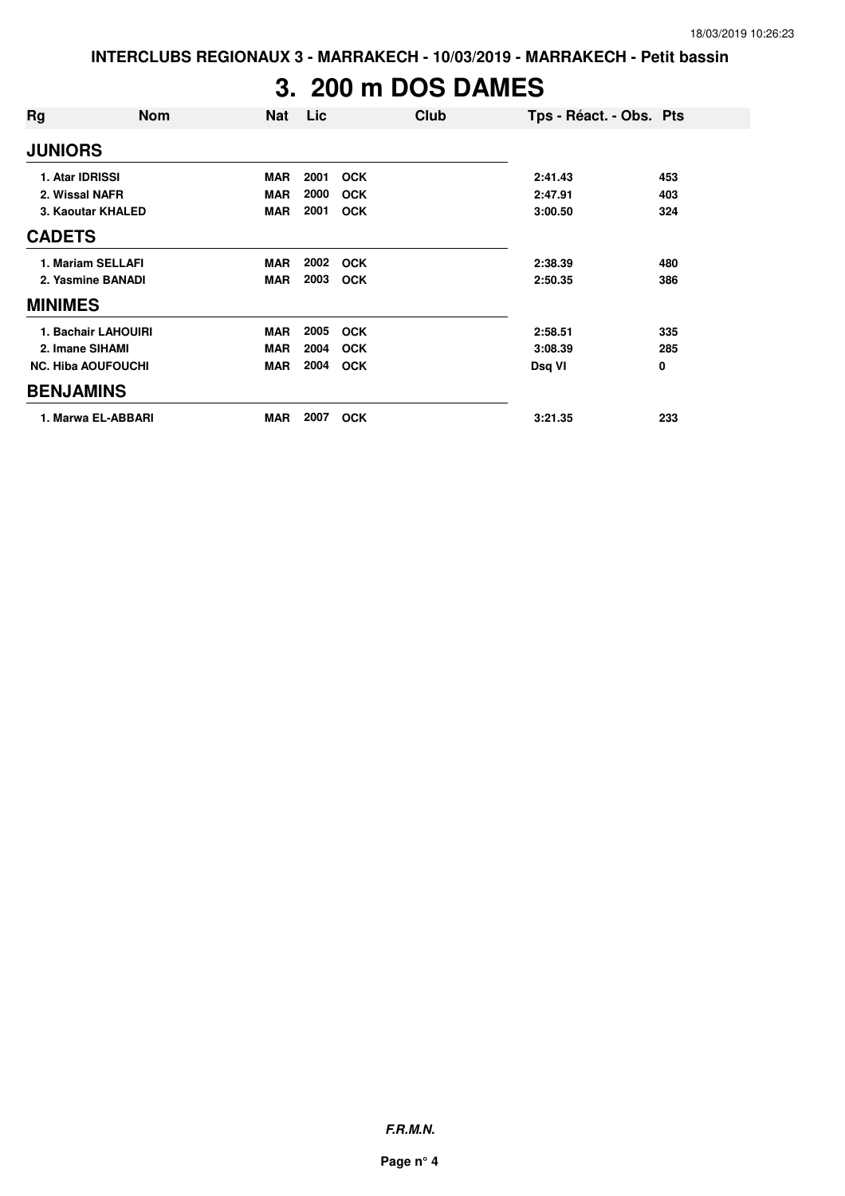# **3. 200 m DOS DAMES**

| Rg                        | <b>Nom</b>          | <b>Nat</b> | Lic  | Club       | Tps - Réact. - Obs. Pts |     |
|---------------------------|---------------------|------------|------|------------|-------------------------|-----|
| <b>JUNIORS</b>            |                     |            |      |            |                         |     |
| 1. Atar IDRISSI           |                     | <b>MAR</b> | 2001 | <b>OCK</b> | 2:41.43                 | 453 |
| 2. Wissal NAFR            |                     | <b>MAR</b> | 2000 | <b>OCK</b> | 2:47.91                 | 403 |
|                           | 3. Kaoutar KHALED   | <b>MAR</b> | 2001 | <b>OCK</b> | 3:00.50                 | 324 |
| <b>CADETS</b>             |                     |            |      |            |                         |     |
| 1. Mariam SELLAFI         |                     | <b>MAR</b> | 2002 | <b>OCK</b> | 2:38.39                 | 480 |
| 2. Yasmine BANADI         |                     | <b>MAR</b> | 2003 | <b>OCK</b> | 2:50.35                 | 386 |
| <b>MINIMES</b>            |                     |            |      |            |                         |     |
|                           | 1. Bachair LAHOUIRI | <b>MAR</b> | 2005 | <b>OCK</b> | 2:58.51                 | 335 |
| 2. Imane SIHAMI           |                     | <b>MAR</b> | 2004 | <b>OCK</b> | 3:08.39                 | 285 |
| <b>NC. Hiba AOUFOUCHI</b> |                     | <b>MAR</b> | 2004 | <b>OCK</b> | Dsq VI                  | 0   |
| <b>BENJAMINS</b>          |                     |            |      |            |                         |     |
|                           | 1. Marwa EL-ABBARI  | <b>MAR</b> | 2007 | <b>OCK</b> | 3:21.35                 | 233 |

**F.R.M.N.**

**Page n° 4**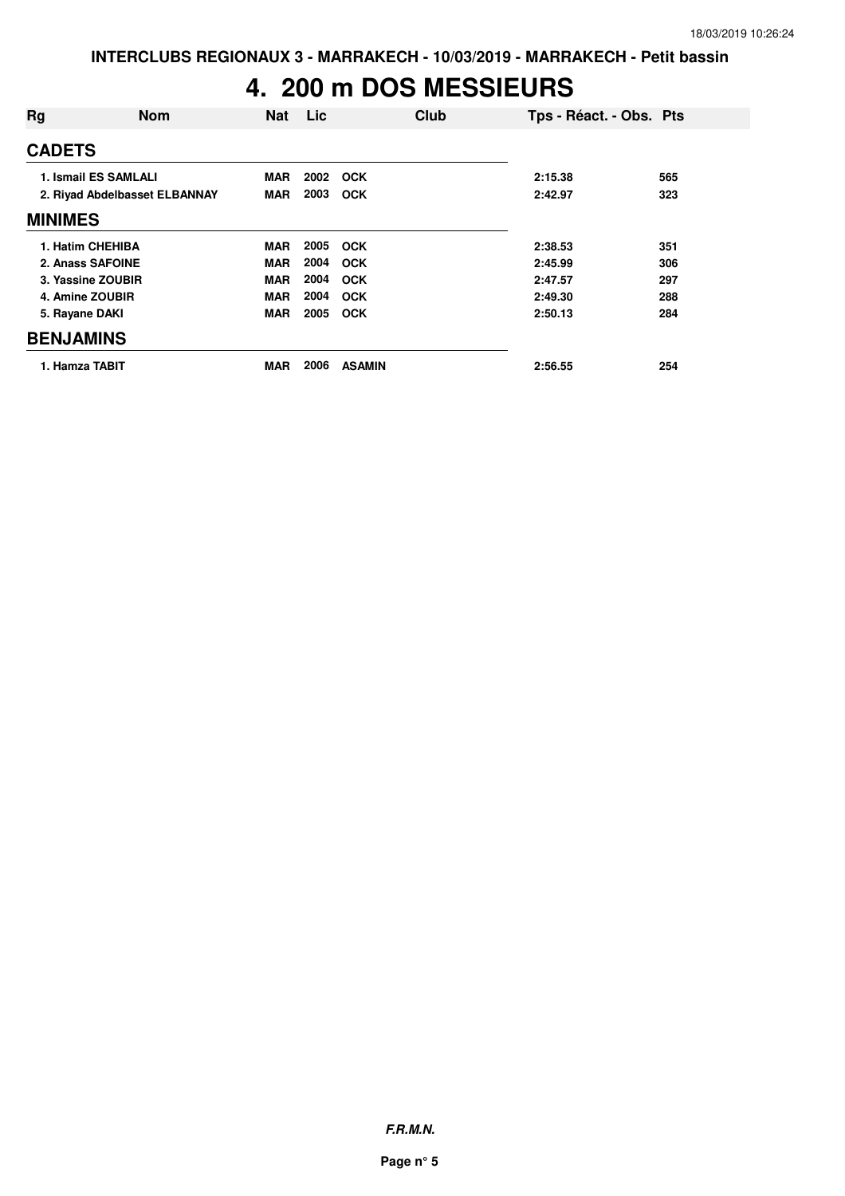# **4. 200 m DOS MESSIEURS**

| Rg               | <b>Nom</b>                    | <b>Nat</b> | Lic  | Club          | Tps - Réact. - Obs. Pts |     |
|------------------|-------------------------------|------------|------|---------------|-------------------------|-----|
| <b>CADETS</b>    |                               |            |      |               |                         |     |
|                  | 1. Ismail ES SAMLALI          | <b>MAR</b> | 2002 | OCK           | 2:15.38                 | 565 |
|                  | 2. Rivad Abdelbasset ELBANNAY | <b>MAR</b> | 2003 | <b>OCK</b>    | 2:42.97                 | 323 |
| <b>MINIMES</b>   |                               |            |      |               |                         |     |
|                  | 1. Hatim CHEHIBA              | <b>MAR</b> | 2005 | <b>OCK</b>    | 2:38.53                 | 351 |
|                  | 2. Anass SAFOINE              | <b>MAR</b> | 2004 | OCK           | 2:45.99                 | 306 |
|                  | 3. Yassine ZOUBIR             | <b>MAR</b> | 2004 | <b>OCK</b>    | 2:47.57                 | 297 |
|                  | 4. Amine ZOUBIR               | <b>MAR</b> | 2004 | OCK           | 2:49.30                 | 288 |
| 5. Rayane DAKI   |                               | <b>MAR</b> | 2005 | <b>OCK</b>    | 2:50.13                 | 284 |
| <b>BENJAMINS</b> |                               |            |      |               |                         |     |
| 1. Hamza TABIT   |                               | MAR        | 2006 | <b>ASAMIN</b> | 2:56.55                 | 254 |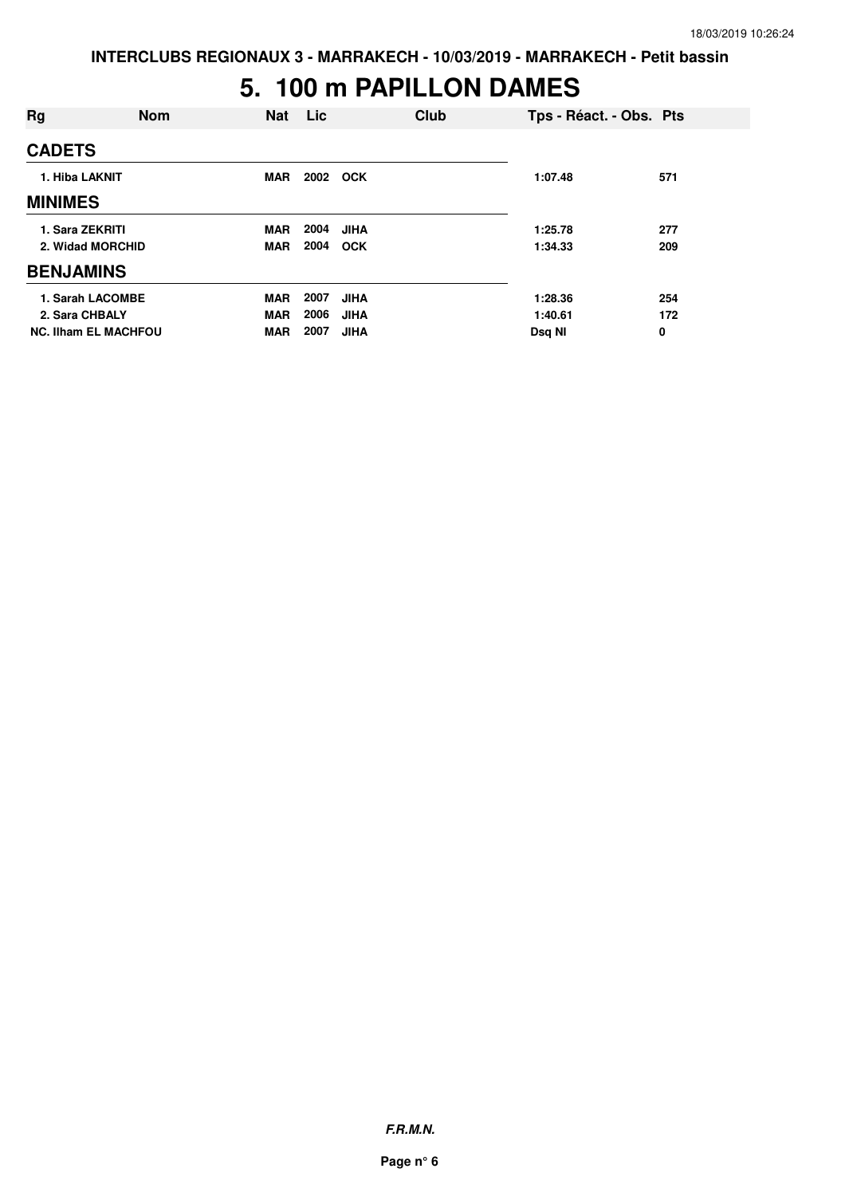### **5. 100 m PAPILLON DAMES**

| Rg                          | <b>Nom</b> | <b>Nat</b> | Lic      |             | Club | Tps - Réact. - Obs. Pts |     |
|-----------------------------|------------|------------|----------|-------------|------|-------------------------|-----|
| <b>CADETS</b>               |            |            |          |             |      |                         |     |
| 1. Hiba LAKNIT              |            | <b>MAR</b> | 2002 OCK |             |      | 1:07.48                 | 571 |
| <b>MINIMES</b>              |            |            |          |             |      |                         |     |
| 1. Sara ZEKRITI             |            | <b>MAR</b> | 2004     | <b>JIHA</b> |      | 1:25.78                 | 277 |
| 2. Widad MORCHID            |            | <b>MAR</b> | 2004     | <b>OCK</b>  |      | 1:34.33                 | 209 |
| <b>BENJAMINS</b>            |            |            |          |             |      |                         |     |
| 1. Sarah LACOMBE            |            | <b>MAR</b> | 2007     | <b>JIHA</b> |      | 1:28.36                 | 254 |
| 2. Sara CHBALY              |            | <b>MAR</b> | 2006     | <b>JIHA</b> |      | 1:40.61                 | 172 |
| <b>NC. Ilham EL MACHFOU</b> |            | <b>MAR</b> | 2007     | <b>JIHA</b> |      | Dsq NI                  | 0   |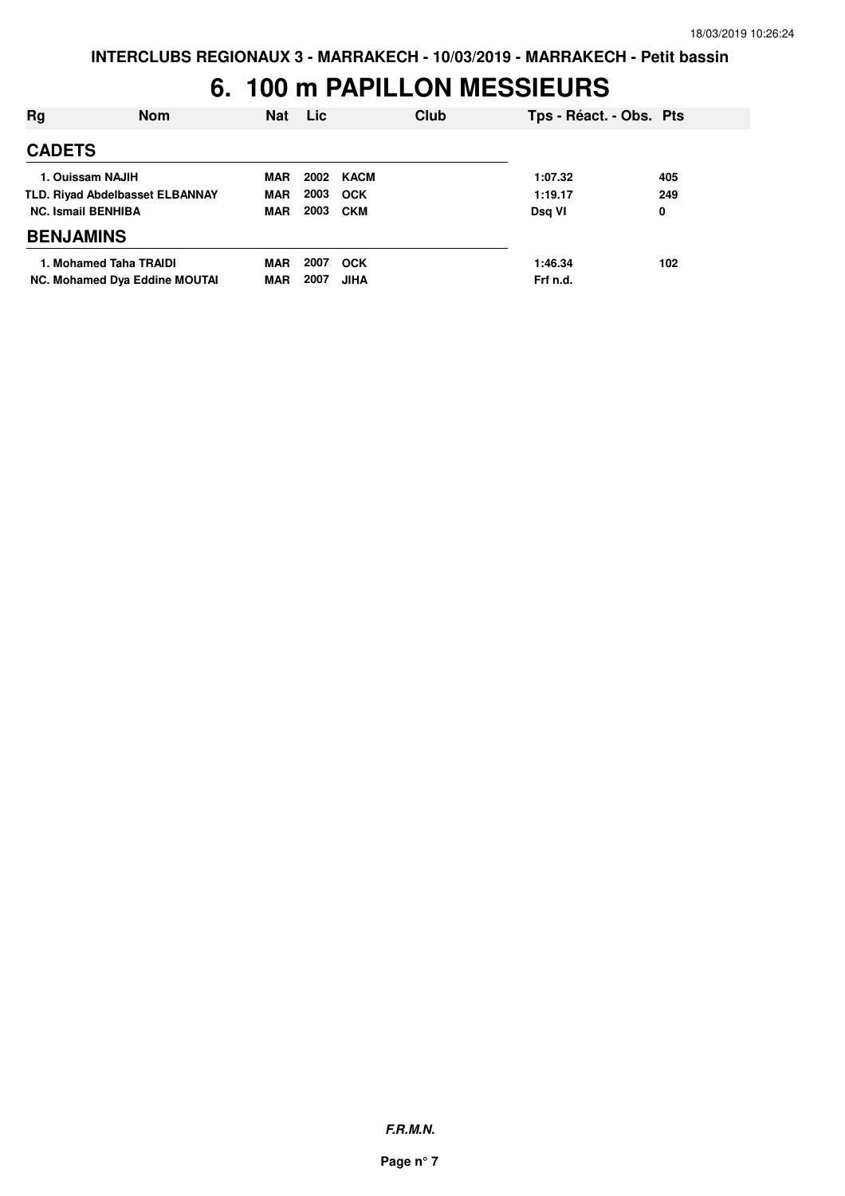# **6. 100 m PAPILLON MESSIEURS**

| Rg                                     | <b>Nom</b>                    | <b>Nat</b> | <b>Lic</b> | Club        | Tps - Réact. - Obs. Pts |     |
|----------------------------------------|-------------------------------|------------|------------|-------------|-------------------------|-----|
| <b>CADETS</b>                          |                               |            |            |             |                         |     |
| 1. Ouissam NAJIH                       |                               | <b>MAR</b> | 2002       | KACM        | 1:07.32                 | 405 |
| <b>TLD. Rivad Abdelbasset ELBANNAY</b> |                               | <b>MAR</b> | 2003       | <b>OCK</b>  | 1:19.17                 | 249 |
| <b>NC. Ismail BENHIBA</b>              |                               | <b>MAR</b> | 2003       | <b>CKM</b>  | Dsg VI                  | 0   |
| <b>BENJAMINS</b>                       |                               |            |            |             |                         |     |
| 1. Mohamed Taha TRAIDI                 |                               | <b>MAR</b> | 2007       | <b>OCK</b>  | 1:46.34                 | 102 |
|                                        | NC. Mohamed Dya Eddine MOUTAI | <b>MAR</b> | 2007       | <b>JIHA</b> | Frf n.d.                |     |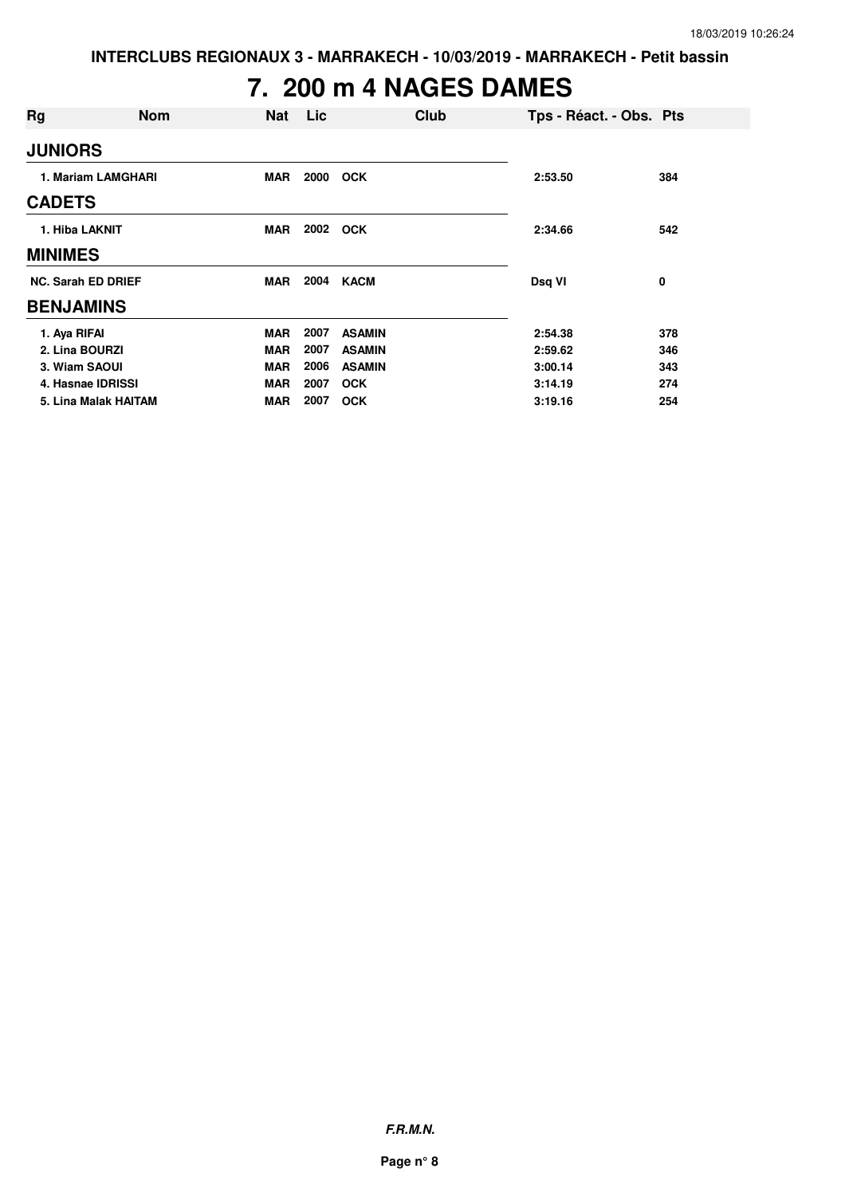# **7. 200 m 4 NAGES DAMES**

| Rg                        | <b>Nom</b>           | <b>Nat</b> | Lic  | Club          | Tps - Réact. - Obs. Pts |     |
|---------------------------|----------------------|------------|------|---------------|-------------------------|-----|
| <b>JUNIORS</b>            |                      |            |      |               |                         |     |
|                           | 1. Mariam LAMGHARI   | <b>MAR</b> | 2000 | <b>OCK</b>    | 2:53.50                 | 384 |
| <b>CADETS</b>             |                      |            |      |               |                         |     |
| 1. Hiba LAKNIT            |                      | <b>MAR</b> | 2002 | <b>OCK</b>    | 2:34.66                 | 542 |
| <b>MINIMES</b>            |                      |            |      |               |                         |     |
| <b>NC. Sarah ED DRIEF</b> |                      | MAR        | 2004 | <b>KACM</b>   | Dsq VI                  | 0   |
| <b>BENJAMINS</b>          |                      |            |      |               |                         |     |
| 1. Aya RIFAI              |                      | <b>MAR</b> | 2007 | <b>ASAMIN</b> | 2:54.38                 | 378 |
| 2. Lina BOURZI            |                      | <b>MAR</b> | 2007 | <b>ASAMIN</b> | 2:59.62                 | 346 |
| 3. Wiam SAOUI             |                      | <b>MAR</b> | 2006 | <b>ASAMIN</b> | 3:00.14                 | 343 |
| 4. Hasnae IDRISSI         |                      | <b>MAR</b> | 2007 | <b>OCK</b>    | 3:14.19                 | 274 |
|                           | 5. Lina Malak HAITAM | <b>MAR</b> | 2007 | <b>OCK</b>    | 3:19.16                 | 254 |

**F.R.M.N.**

**Page n° 8**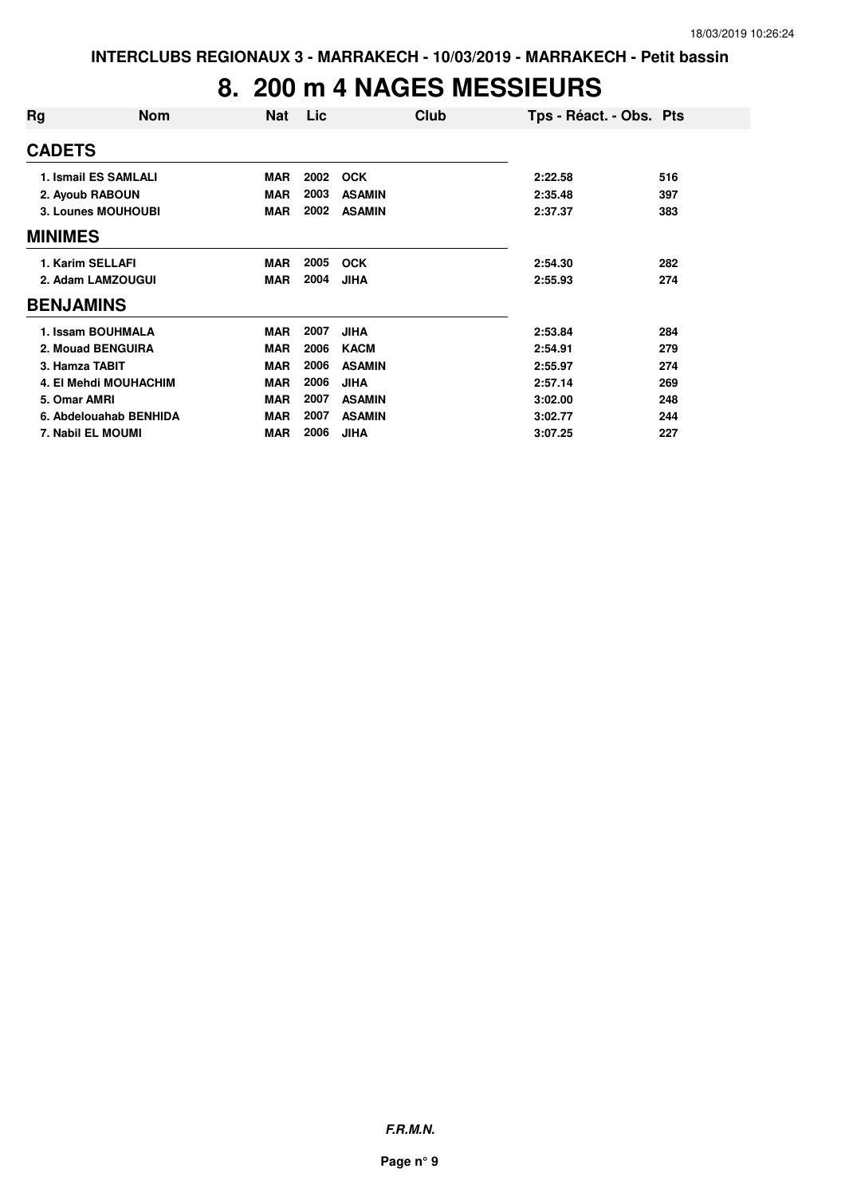### **8. 200 m 4 NAGES MESSIEURS**

| Rg                        | <b>Nom</b>                  | <b>Nat</b> | Lic  | Club          | Tps - Réact. - Obs. Pts |     |
|---------------------------|-----------------------------|------------|------|---------------|-------------------------|-----|
| <b>CADETS</b>             |                             |            |      |               |                         |     |
|                           | <b>1. Ismail ES SAMLALI</b> | <b>MAR</b> | 2002 | <b>OCK</b>    | 2:22.58                 | 516 |
|                           | 2. Ayoub RABOUN             | <b>MAR</b> | 2003 | <b>ASAMIN</b> | 2:35.48                 | 397 |
| <b>3. Lounes MOUHOUBI</b> |                             | <b>MAR</b> | 2002 | <b>ASAMIN</b> | 2:37.37                 | 383 |
| <b>MINIMES</b>            |                             |            |      |               |                         |     |
| 1. Karim SELLAFI          |                             | <b>MAR</b> | 2005 | <b>OCK</b>    | 2:54.30                 | 282 |
|                           | 2. Adam LAMZOUGUI           | <b>MAR</b> | 2004 | <b>JIHA</b>   | 2:55.93                 | 274 |
| <b>BENJAMINS</b>          |                             |            |      |               |                         |     |
|                           | 1. Issam BOUHMALA           | <b>MAR</b> | 2007 | <b>JIHA</b>   | 2:53.84                 | 284 |
|                           | 2. Mouad BENGUIRA           | <b>MAR</b> | 2006 | <b>KACM</b>   | 2:54.91                 | 279 |
| 3. Hamza TABIT            |                             | <b>MAR</b> | 2006 | <b>ASAMIN</b> | 2:55.97                 | 274 |
|                           | 4. El Mehdi MOUHACHIM       | <b>MAR</b> | 2006 | <b>JIHA</b>   | 2:57.14                 | 269 |
| 5. Omar AMRI              |                             | <b>MAR</b> | 2007 | <b>ASAMIN</b> | 3:02.00                 | 248 |
|                           | 6. Abdelouahab BENHIDA      | <b>MAR</b> | 2007 | <b>ASAMIN</b> | 3:02.77                 | 244 |
|                           | 7. Nabil EL MOUMI           | <b>MAR</b> | 2006 | <b>JIHA</b>   | 3:07.25                 | 227 |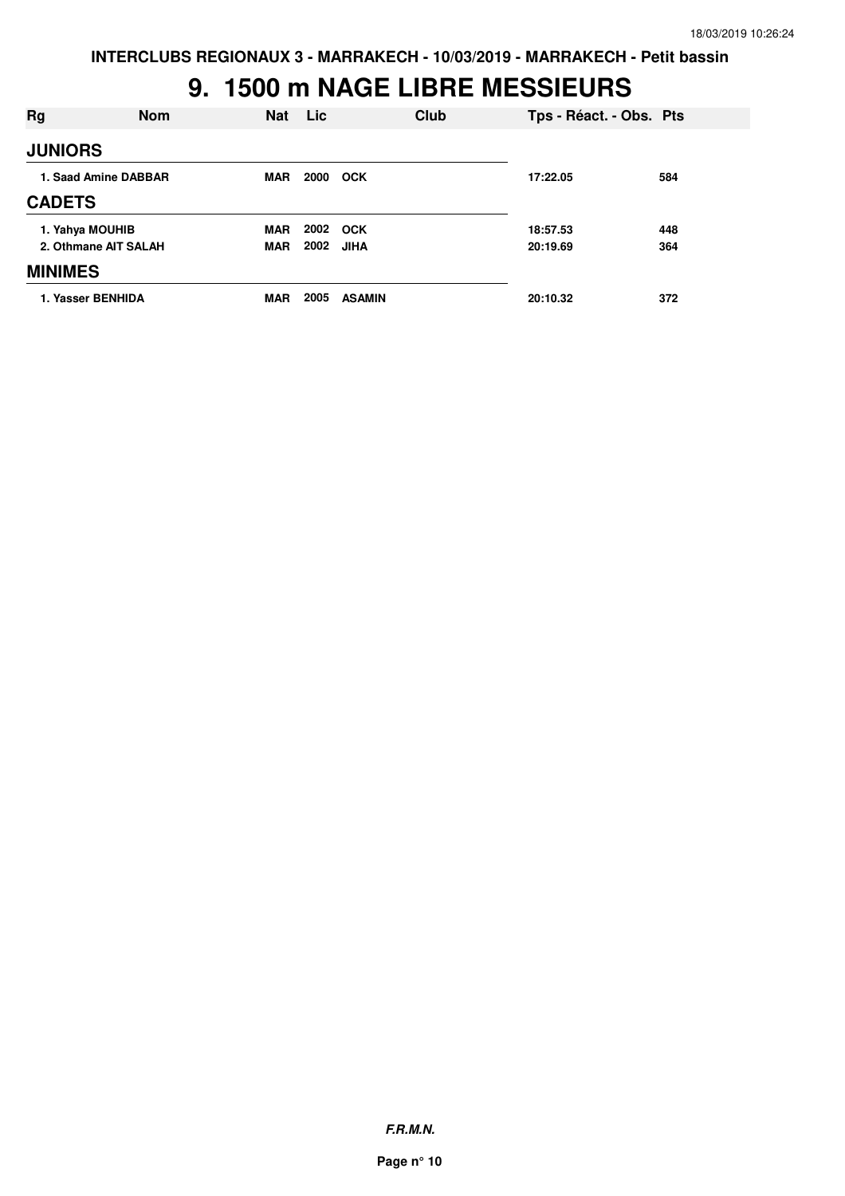### **9. 1500 m NAGE LIBRE MESSIEURS**

| Rg             | <b>Nom</b>           | <b>Nat</b> | Lic  | Club          | Tps - Réact. - Obs. Pts |     |
|----------------|----------------------|------------|------|---------------|-------------------------|-----|
| <b>JUNIORS</b> |                      |            |      |               |                         |     |
|                | 1. Saad Amine DABBAR | MAR        | 2000 | <b>OCK</b>    | 17:22.05                | 584 |
| <b>CADETS</b>  |                      |            |      |               |                         |     |
|                | 1. Yahya MOUHIB      | <b>MAR</b> | 2002 | <b>OCK</b>    | 18:57.53                | 448 |
|                | 2. Othmane AIT SALAH | <b>MAR</b> | 2002 | <b>JIHA</b>   | 20:19.69                | 364 |
| <b>MINIMES</b> |                      |            |      |               |                         |     |
|                | 1. Yasser BENHIDA    | <b>MAR</b> | 2005 | <b>ASAMIN</b> | 20:10.32                | 372 |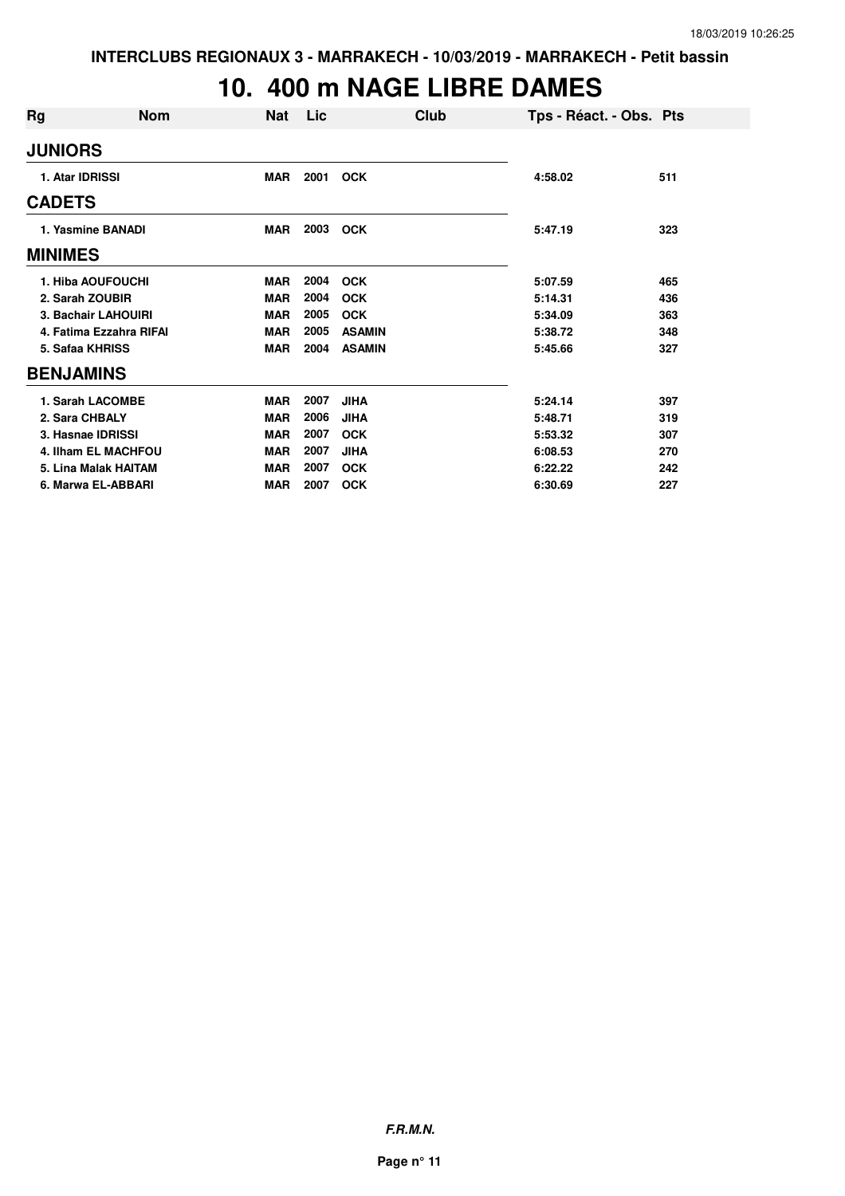# **10. 400 m NAGE LIBRE DAMES**

| Rg                         | <b>Nom</b> | Nat        | Lic. |               | Club | Tps - Réact. - Obs. Pts |     |
|----------------------------|------------|------------|------|---------------|------|-------------------------|-----|
| <b>JUNIORS</b>             |            |            |      |               |      |                         |     |
| 1. Atar IDRISSI            |            | <b>MAR</b> | 2001 | <b>OCK</b>    |      | 4:58.02                 | 511 |
| <b>CADETS</b>              |            |            |      |               |      |                         |     |
| 1. Yasmine BANADI          |            | <b>MAR</b> | 2003 | <b>OCK</b>    |      | 5:47.19                 | 323 |
| <b>MINIMES</b>             |            |            |      |               |      |                         |     |
| 1. Hiba AOUFOUCHI          |            | <b>MAR</b> | 2004 | <b>OCK</b>    |      | 5:07.59                 | 465 |
| 2. Sarah ZOUBIR            |            | <b>MAR</b> | 2004 | <b>OCK</b>    |      | 5:14.31                 | 436 |
| 3. Bachair LAHOUIRI        |            | <b>MAR</b> | 2005 | <b>OCK</b>    |      | 5:34.09                 | 363 |
| 4. Fatima Ezzahra RIFAI    |            | <b>MAR</b> | 2005 | <b>ASAMIN</b> |      | 5:38.72                 | 348 |
| 5. Safaa KHRISS            |            | <b>MAR</b> | 2004 | <b>ASAMIN</b> |      | 5:45.66                 | 327 |
| <b>BENJAMINS</b>           |            |            |      |               |      |                         |     |
| 1. Sarah LACOMBE           |            | <b>MAR</b> | 2007 | <b>JIHA</b>   |      | 5:24.14                 | 397 |
| 2. Sara CHBALY             |            | <b>MAR</b> | 2006 | <b>JIHA</b>   |      | 5:48.71                 | 319 |
| 3. Hasnae IDRISSI          |            | <b>MAR</b> | 2007 | <b>OCK</b>    |      | 5:53.32                 | 307 |
| <b>4. Ilham EL MACHFOU</b> |            | <b>MAR</b> | 2007 | <b>JIHA</b>   |      | 6:08.53                 | 270 |
| 5. Lina Malak HAITAM       |            | <b>MAR</b> | 2007 | <b>OCK</b>    |      | 6:22.22                 | 242 |
| 6. Marwa EL-ABBARI         |            | <b>MAR</b> | 2007 | <b>OCK</b>    |      | 6:30.69                 | 227 |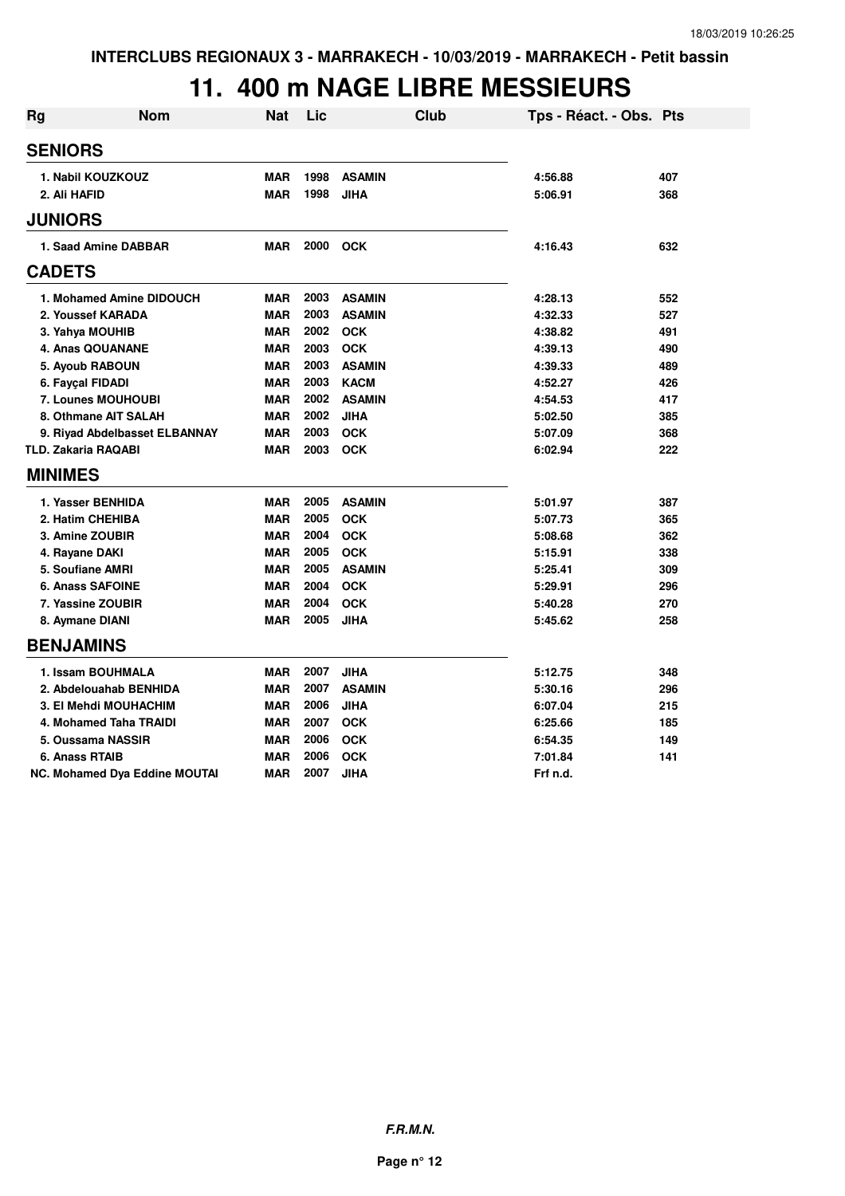## **11. 400 m NAGE LIBRE MESSIEURS**

| <b>Rg</b> | <b>Nom</b>                           | <b>Nat</b> | Lic  | <b>Club</b>   | Tps - Réact. - Obs. Pts |     |
|-----------|--------------------------------------|------------|------|---------------|-------------------------|-----|
|           | <b>SENIORS</b>                       |            |      |               |                         |     |
|           | 1. Nabil KOUZKOUZ                    | <b>MAR</b> | 1998 | <b>ASAMIN</b> | 4:56.88                 | 407 |
|           | 2. Ali HAFID                         | <b>MAR</b> | 1998 | <b>JIHA</b>   | 5:06.91                 | 368 |
|           | <b>JUNIORS</b>                       |            |      |               |                         |     |
|           | 1. Saad Amine DABBAR                 | <b>MAR</b> | 2000 | <b>OCK</b>    | 4:16.43                 | 632 |
|           | <b>CADETS</b>                        |            |      |               |                         |     |
|           | 1. Mohamed Amine DIDOUCH             | <b>MAR</b> | 2003 | <b>ASAMIN</b> | 4:28.13                 | 552 |
|           | 2. Youssef KARADA                    | <b>MAR</b> | 2003 | <b>ASAMIN</b> | 4:32.33                 | 527 |
|           | 3. Yahya MOUHIB                      | <b>MAR</b> | 2002 | <b>OCK</b>    | 4:38.82                 | 491 |
|           | 4. Anas QOUANANE                     | <b>MAR</b> | 2003 | <b>OCK</b>    | 4:39.13                 | 490 |
|           | 5. Ayoub RABOUN                      | <b>MAR</b> | 2003 | <b>ASAMIN</b> | 4:39.33                 | 489 |
|           | 6. Fayçal FIDADI                     | <b>MAR</b> | 2003 | <b>KACM</b>   | 4:52.27                 | 426 |
|           | 7. Lounes MOUHOUBI                   | <b>MAR</b> | 2002 | <b>ASAMIN</b> | 4:54.53                 | 417 |
|           | 8. Othmane AIT SALAH                 | <b>MAR</b> | 2002 | <b>JIHA</b>   | 5:02.50                 | 385 |
|           | 9. Riyad Abdelbasset ELBANNAY        | <b>MAR</b> | 2003 | <b>OCK</b>    | 5:07.09                 | 368 |
|           | <b>TLD. Zakaria RAQABI</b>           | <b>MAR</b> | 2003 | <b>OCK</b>    | 6:02.94                 | 222 |
|           | <b>MINIMES</b>                       |            |      |               |                         |     |
|           | 1. Yasser BENHIDA                    | <b>MAR</b> | 2005 | <b>ASAMIN</b> | 5:01.97                 | 387 |
|           | 2. Hatim CHEHIBA                     | <b>MAR</b> | 2005 | <b>OCK</b>    | 5:07.73                 | 365 |
|           | 3. Amine ZOUBIR                      | <b>MAR</b> | 2004 | <b>OCK</b>    | 5:08.68                 | 362 |
|           | 4. Rayane DAKI                       | <b>MAR</b> | 2005 | <b>OCK</b>    | 5:15.91                 | 338 |
|           | 5. Soufiane AMRI                     | <b>MAR</b> | 2005 | <b>ASAMIN</b> | 5:25.41                 | 309 |
|           | <b>6. Anass SAFOINE</b>              | <b>MAR</b> | 2004 | <b>OCK</b>    | 5:29.91                 | 296 |
|           | 7. Yassine ZOUBIR                    | <b>MAR</b> | 2004 | <b>OCK</b>    | 5:40.28                 | 270 |
|           | 8. Aymane DIANI                      | <b>MAR</b> | 2005 | <b>JIHA</b>   | 5:45.62                 | 258 |
|           | <b>BENJAMINS</b>                     |            |      |               |                         |     |
|           | 1. Issam BOUHMALA                    | <b>MAR</b> | 2007 | <b>JIHA</b>   | 5:12.75                 | 348 |
|           | 2. Abdelouahab BENHIDA               | <b>MAR</b> | 2007 | <b>ASAMIN</b> | 5:30.16                 | 296 |
|           | 3. El Mehdi MOUHACHIM                | <b>MAR</b> | 2006 | <b>JIHA</b>   | 6:07.04                 | 215 |
|           | 4. Mohamed Taha TRAIDI               | <b>MAR</b> | 2007 | <b>OCK</b>    | 6:25.66                 | 185 |
|           | 5. Oussama NASSIR                    | <b>MAR</b> | 2006 | <b>OCK</b>    | 6:54.35                 | 149 |
|           | 6. Anass RTAIB                       | <b>MAR</b> | 2006 | <b>OCK</b>    | 7:01.84                 | 141 |
|           | <b>NC. Mohamed Dya Eddine MOUTAI</b> | <b>MAR</b> | 2007 | <b>JIHA</b>   | Frf n.d.                |     |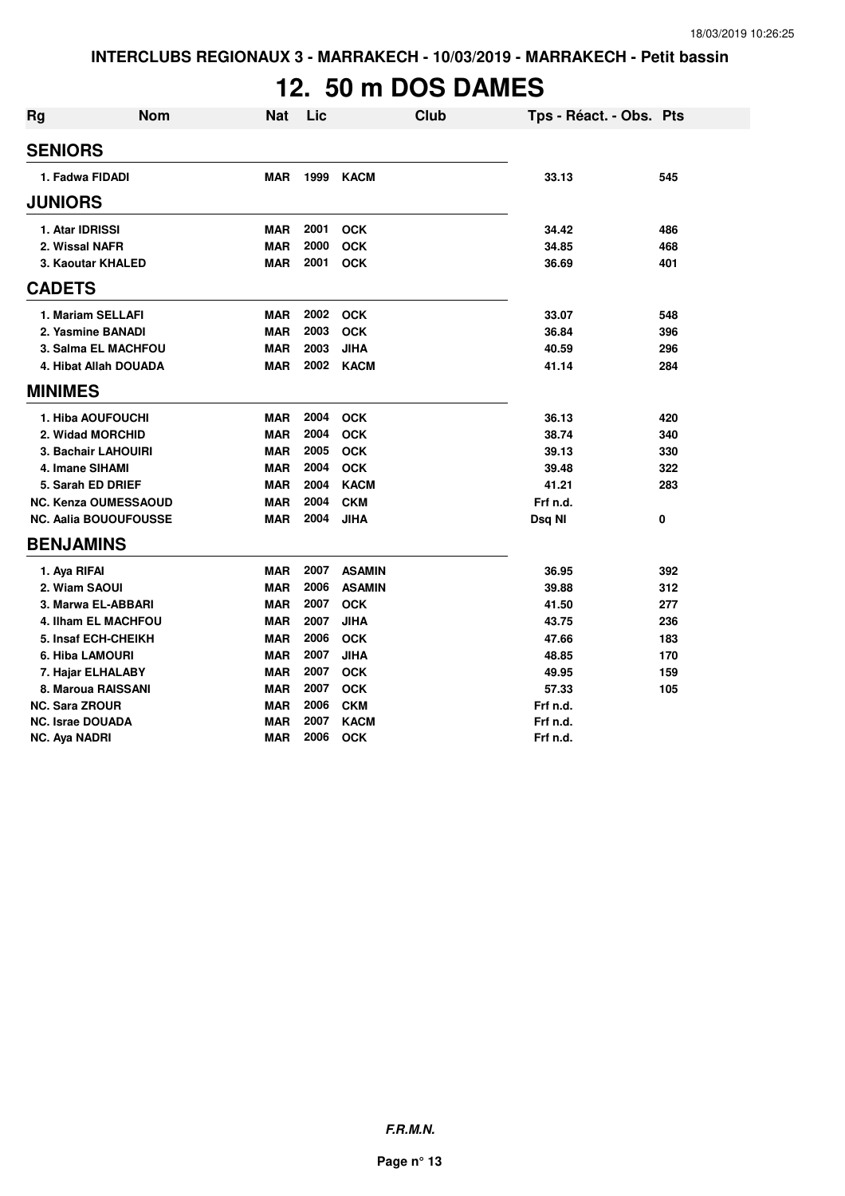# **12. 50 m DOS DAMES**

| <b>Rg</b>               | <b>Nom</b>                   | <b>Nat</b> | Lic  | Club          | Tps - Réact. - Obs. Pts |     |
|-------------------------|------------------------------|------------|------|---------------|-------------------------|-----|
| <b>SENIORS</b>          |                              |            |      |               |                         |     |
| 1. Fadwa FIDADI         |                              | <b>MAR</b> | 1999 | <b>KACM</b>   | 33.13                   | 545 |
| <b>JUNIORS</b>          |                              |            |      |               |                         |     |
| 1. Atar IDRISSI         |                              | <b>MAR</b> | 2001 | <b>OCK</b>    | 34.42                   | 486 |
| 2. Wissal NAFR          |                              | <b>MAR</b> | 2000 | <b>OCK</b>    | 34.85                   | 468 |
|                         | 3. Kaoutar KHALED            | <b>MAR</b> | 2001 | <b>OCK</b>    | 36.69                   | 401 |
| <b>CADETS</b>           |                              |            |      |               |                         |     |
|                         | 1. Mariam SELLAFI            | <b>MAR</b> | 2002 | <b>OCK</b>    | 33.07                   | 548 |
|                         | 2. Yasmine BANADI            | <b>MAR</b> | 2003 | <b>OCK</b>    | 36.84                   | 396 |
|                         | 3. Salma EL MACHFOU          | <b>MAR</b> | 2003 | <b>JIHA</b>   | 40.59                   | 296 |
|                         | 4. Hibat Allah DOUADA        | <b>MAR</b> | 2002 | <b>KACM</b>   | 41.14                   | 284 |
| <b>MINIMES</b>          |                              |            |      |               |                         |     |
|                         | 1. Hiba AOUFOUCHI            | <b>MAR</b> | 2004 | <b>OCK</b>    | 36.13                   | 420 |
|                         | 2. Widad MORCHID             | <b>MAR</b> | 2004 | <b>OCK</b>    | 38.74                   | 340 |
|                         | 3. Bachair LAHOUIRI          | <b>MAR</b> | 2005 | <b>OCK</b>    | 39.13                   | 330 |
| 4. Imane SIHAMI         |                              | <b>MAR</b> | 2004 | <b>OCK</b>    | 39.48                   | 322 |
|                         | 5. Sarah ED DRIEF            | <b>MAR</b> | 2004 | <b>KACM</b>   | 41.21                   | 283 |
|                         | <b>NC. Kenza OUMESSAOUD</b>  | <b>MAR</b> | 2004 | <b>CKM</b>    | Frf n.d.                |     |
|                         | <b>NC. Aalia BOUOUFOUSSE</b> | MAR        | 2004 | <b>JIHA</b>   | Dsq NI                  | 0   |
| <b>BENJAMINS</b>        |                              |            |      |               |                         |     |
| 1. Aya RIFAI            |                              | <b>MAR</b> | 2007 | <b>ASAMIN</b> | 36.95                   | 392 |
| 2. Wiam SAOUI           |                              | <b>MAR</b> | 2006 | <b>ASAMIN</b> | 39.88                   | 312 |
|                         | 3. Marwa EL-ABBARI           | <b>MAR</b> | 2007 | <b>OCK</b>    | 41.50                   | 277 |
|                         | <b>4. Ilham EL MACHFOU</b>   | <b>MAR</b> | 2007 | <b>JIHA</b>   | 43.75                   | 236 |
|                         | 5. Insaf ECH-CHEIKH          | <b>MAR</b> | 2006 | <b>OCK</b>    | 47.66                   | 183 |
| 6. Hiba LAMOURI         |                              | <b>MAR</b> | 2007 | <b>JIHA</b>   | 48.85                   | 170 |
|                         | 7. Hajar ELHALABY            | <b>MAR</b> | 2007 | <b>OCK</b>    | 49.95                   | 159 |
|                         | 8. Maroua RAISSANI           | <b>MAR</b> | 2007 | <b>OCK</b>    | 57.33                   | 105 |
| <b>NC. Sara ZROUR</b>   |                              | <b>MAR</b> | 2006 | <b>CKM</b>    | Frf n.d.                |     |
| <b>NC. Israe DOUADA</b> |                              | <b>MAR</b> | 2007 | <b>KACM</b>   | Frf n.d.                |     |
| NC. Aya NADRI           |                              | <b>MAR</b> | 2006 | <b>OCK</b>    | Frf n.d.                |     |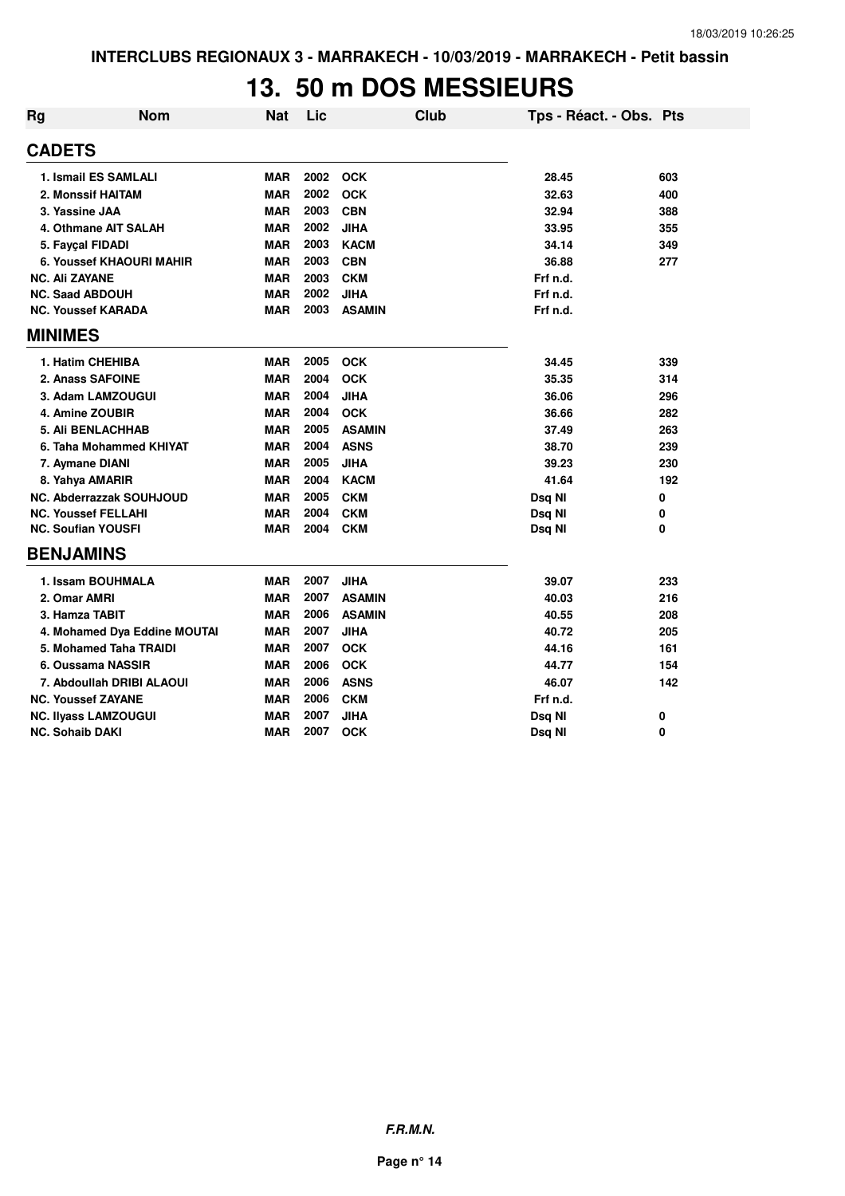#### **13. 50 m DOS MESSIEURS**

| Rg | <b>Nom</b>                      | <b>Nat</b> | Lic  | <b>Club</b>   | Tps - Réact. - Obs. Pts |     |
|----|---------------------------------|------------|------|---------------|-------------------------|-----|
|    | <b>CADETS</b>                   |            |      |               |                         |     |
|    | 1. Ismail ES SAMLALI            | <b>MAR</b> | 2002 | <b>OCK</b>    | 28.45                   | 603 |
|    | 2. Monssif HAITAM               | <b>MAR</b> | 2002 | <b>OCK</b>    | 32.63                   | 400 |
|    | 3. Yassine JAA                  | <b>MAR</b> | 2003 | <b>CBN</b>    | 32.94                   | 388 |
|    | 4. Othmane AIT SALAH            | <b>MAR</b> | 2002 | <b>JIHA</b>   | 33.95                   | 355 |
|    | 5. Fayçal FIDADI                | <b>MAR</b> | 2003 | <b>KACM</b>   | 34.14                   | 349 |
|    | 6. Youssef KHAOURI MAHIR        | <b>MAR</b> | 2003 | <b>CBN</b>    | 36.88                   | 277 |
|    | <b>NC. Ali ZAYANE</b>           | <b>MAR</b> | 2003 | <b>CKM</b>    | Frf n.d.                |     |
|    | <b>NC. Saad ABDOUH</b>          | <b>MAR</b> | 2002 | <b>JIHA</b>   | Frf n.d.                |     |
|    | <b>NC. Youssef KARADA</b>       | <b>MAR</b> | 2003 | <b>ASAMIN</b> | Frf n.d.                |     |
|    | <b>MINIMES</b>                  |            |      |               |                         |     |
|    | 1. Hatim CHEHIBA                | <b>MAR</b> | 2005 | <b>OCK</b>    | 34.45                   | 339 |
|    | 2. Anass SAFOINE                | <b>MAR</b> | 2004 | <b>OCK</b>    | 35.35                   | 314 |
|    | 3. Adam LAMZOUGUI               | <b>MAR</b> | 2004 | JIHA          | 36.06                   | 296 |
|    | 4. Amine ZOUBIR                 | <b>MAR</b> | 2004 | <b>OCK</b>    | 36.66                   | 282 |
|    | <b>5. Ali BENLACHHAB</b>        | <b>MAR</b> | 2005 | <b>ASAMIN</b> | 37.49                   | 263 |
|    | 6. Taha Mohammed KHIYAT         | <b>MAR</b> | 2004 | <b>ASNS</b>   | 38.70                   | 239 |
|    | 7. Aymane DIANI                 | <b>MAR</b> | 2005 | <b>JIHA</b>   | 39.23                   | 230 |
|    | 8. Yahya AMARIR                 | <b>MAR</b> | 2004 | <b>KACM</b>   | 41.64                   | 192 |
|    | <b>NC. Abderrazzak SOUHJOUD</b> | <b>MAR</b> | 2005 | <b>CKM</b>    | Dsq NI                  | 0   |
|    | <b>NC. Youssef FELLAHI</b>      | <b>MAR</b> | 2004 | <b>CKM</b>    | Dsq NI                  | 0   |
|    | <b>NC. Soufian YOUSFI</b>       | <b>MAR</b> | 2004 | <b>CKM</b>    | Dsq NI                  | 0   |
|    | <b>BENJAMINS</b>                |            |      |               |                         |     |
|    | 1. Issam BOUHMALA               | <b>MAR</b> | 2007 | <b>JIHA</b>   | 39.07                   | 233 |
|    | 2. Omar AMRI                    | <b>MAR</b> | 2007 | <b>ASAMIN</b> | 40.03                   | 216 |
|    | 3. Hamza TABIT                  | <b>MAR</b> | 2006 | <b>ASAMIN</b> | 40.55                   | 208 |
|    | 4. Mohamed Dya Eddine MOUTAI    | <b>MAR</b> | 2007 | <b>JIHA</b>   | 40.72                   | 205 |
|    | 5. Mohamed Taha TRAIDI          | <b>MAR</b> | 2007 | <b>OCK</b>    | 44.16                   | 161 |
|    | 6. Oussama NASSIR               | <b>MAR</b> | 2006 | <b>OCK</b>    | 44.77                   | 154 |
|    | 7. Abdoullah DRIBI ALAOUI       | <b>MAR</b> | 2006 | <b>ASNS</b>   | 46.07                   | 142 |
|    | <b>NC. Youssef ZAYANE</b>       | <b>MAR</b> | 2006 | <b>CKM</b>    | Frf n.d.                |     |
|    | <b>NC. Ilyass LAMZOUGUI</b>     | <b>MAR</b> | 2007 | JIHA          | Dsq NI                  | 0   |
|    | <b>NC. Sohaib DAKI</b>          | <b>MAR</b> | 2007 | <b>OCK</b>    | Dsq NI                  | 0   |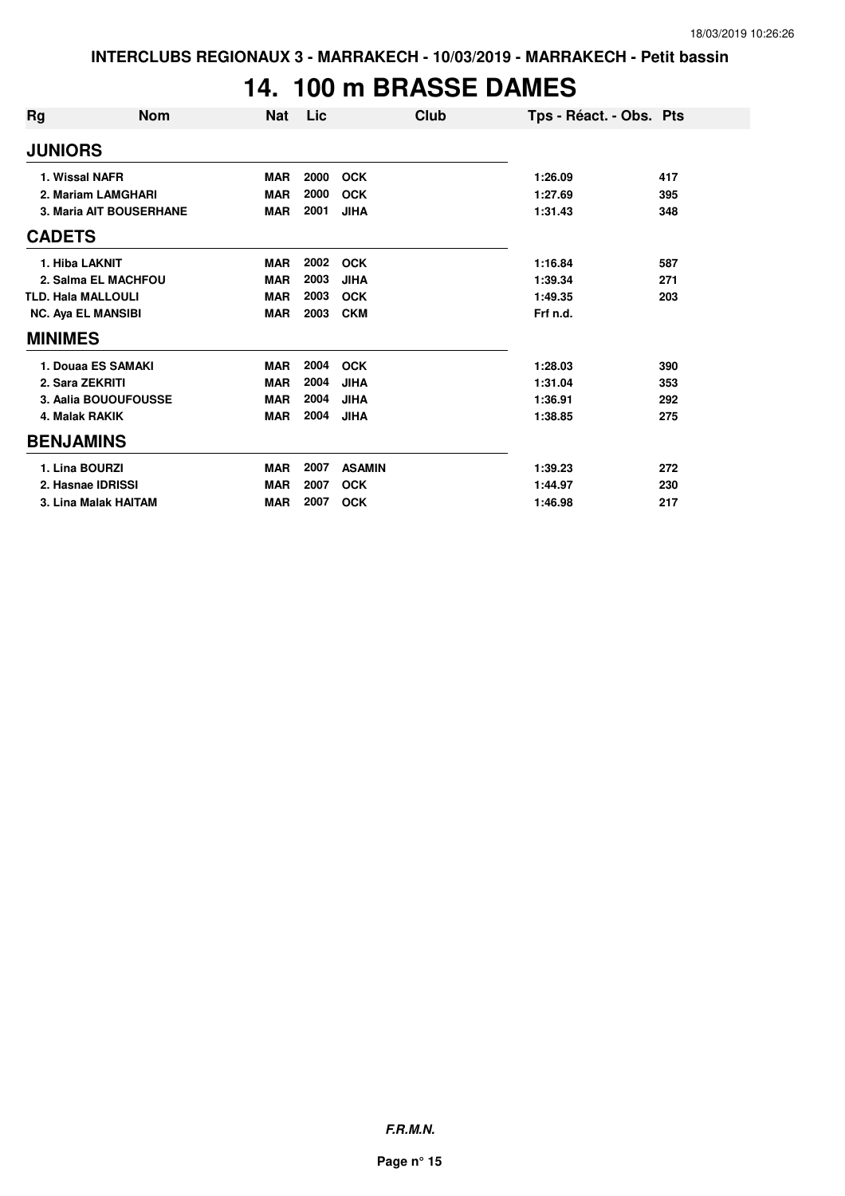# **14. 100 m BRASSE DAMES**

| Rg                        | <b>Nom</b>              | <b>Nat</b> | Lic  | Club          | Tps - Réact. - Obs. Pts |     |
|---------------------------|-------------------------|------------|------|---------------|-------------------------|-----|
| <b>JUNIORS</b>            |                         |            |      |               |                         |     |
| 1. Wissal NAFR            |                         | <b>MAR</b> | 2000 | <b>OCK</b>    | 1:26.09                 | 417 |
|                           | 2. Mariam LAMGHARI      | <b>MAR</b> | 2000 | <b>OCK</b>    | 1:27.69                 | 395 |
|                           | 3. Maria AIT BOUSERHANE | <b>MAR</b> | 2001 | <b>JIHA</b>   | 1:31.43                 | 348 |
| <b>CADETS</b>             |                         |            |      |               |                         |     |
| 1. Hiba LAKNIT            |                         | <b>MAR</b> | 2002 | <b>OCK</b>    | 1:16.84                 | 587 |
|                           | 2. Salma EL MACHFOU     | <b>MAR</b> | 2003 | <b>JIHA</b>   | 1:39.34                 | 271 |
| <b>TLD. Hala MALLOULI</b> |                         | <b>MAR</b> | 2003 | <b>OCK</b>    | 1:49.35                 | 203 |
| <b>NC. Aya EL MANSIBI</b> |                         | <b>MAR</b> | 2003 | <b>CKM</b>    | Frf n.d.                |     |
| <b>MINIMES</b>            |                         |            |      |               |                         |     |
|                           | 1. Douaa ES SAMAKI      | <b>MAR</b> | 2004 | <b>OCK</b>    | 1:28.03                 | 390 |
| 2. Sara ZEKRITI           |                         | <b>MAR</b> | 2004 | <b>JIHA</b>   | 1:31.04                 | 353 |
|                           | 3. Aalia BOUOUFOUSSE    | <b>MAR</b> | 2004 | <b>JIHA</b>   | 1:36.91                 | 292 |
| 4. Malak RAKIK            |                         | <b>MAR</b> | 2004 | <b>JIHA</b>   | 1:38.85                 | 275 |
| <b>BENJAMINS</b>          |                         |            |      |               |                         |     |
| 1. Lina BOURZI            |                         | <b>MAR</b> | 2007 | <b>ASAMIN</b> | 1:39.23                 | 272 |
|                           | 2. Hasnae IDRISSI       | <b>MAR</b> | 2007 | <b>OCK</b>    | 1:44.97                 | 230 |
|                           | 3. Lina Malak HAITAM    | <b>MAR</b> | 2007 | <b>OCK</b>    | 1:46.98                 | 217 |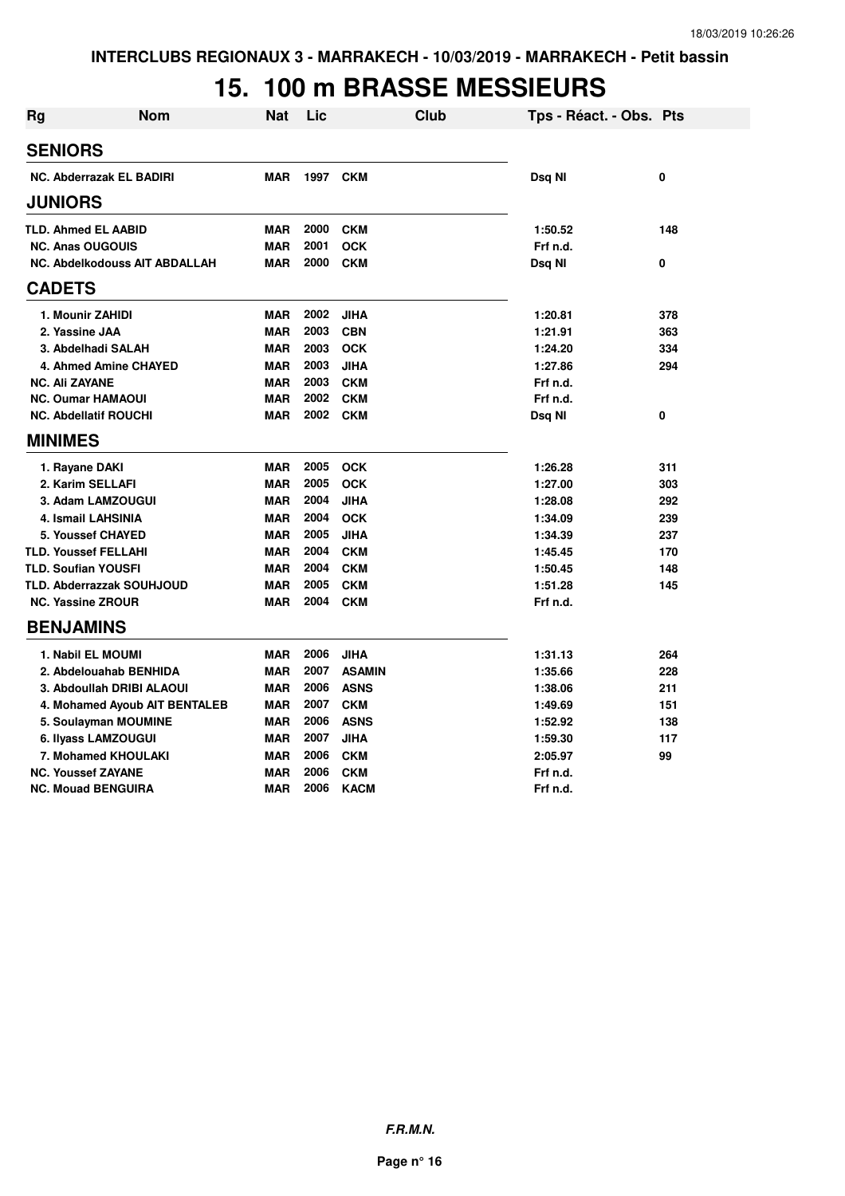# **15. 100 m BRASSE MESSIEURS**

| <b>Rg</b>             | <b>Nom</b>                       | <b>Nat</b> | Lic  |               | <b>Club</b> | Tps - Réact. - Obs. Pts |     |
|-----------------------|----------------------------------|------------|------|---------------|-------------|-------------------------|-----|
| <b>SENIORS</b>        |                                  |            |      |               |             |                         |     |
|                       | <b>NC. Abderrazak EL BADIRI</b>  | <b>MAR</b> | 1997 | <b>CKM</b>    |             | Dsq NI                  | 0   |
| <b>JUNIORS</b>        |                                  |            |      |               |             |                         |     |
|                       | <b>TLD. Ahmed EL AABID</b>       | <b>MAR</b> | 2000 | <b>CKM</b>    |             | 1:50.52                 | 148 |
|                       | <b>NC. Anas OUGOUIS</b>          | <b>MAR</b> | 2001 | <b>OCK</b>    |             | Frf n.d.                |     |
|                       | NC. Abdelkodouss AIT ABDALLAH    | <b>MAR</b> | 2000 | <b>CKM</b>    |             | Dsg NI                  | 0   |
| <b>CADETS</b>         |                                  |            |      |               |             |                         |     |
|                       | 1. Mounir ZAHIDI                 | <b>MAR</b> | 2002 | JIHA          |             | 1:20.81                 | 378 |
|                       | 2. Yassine JAA                   | <b>MAR</b> | 2003 | <b>CBN</b>    |             | 1:21.91                 | 363 |
|                       | 3. Abdelhadi SALAH               | <b>MAR</b> | 2003 | <b>OCK</b>    |             | 1:24.20                 | 334 |
|                       | 4. Ahmed Amine CHAYED            | <b>MAR</b> | 2003 | <b>JIHA</b>   |             | 1:27.86                 | 294 |
| <b>NC. Ali ZAYANE</b> |                                  | <b>MAR</b> | 2003 | <b>CKM</b>    |             | Frf n.d.                |     |
|                       | <b>NC. Oumar HAMAOUI</b>         | <b>MAR</b> | 2002 | <b>CKM</b>    |             | Frf n.d.                |     |
|                       | <b>NC. Abdellatif ROUCHI</b>     | <b>MAR</b> | 2002 | <b>CKM</b>    |             | Dsq NI                  | 0   |
| <b>MINIMES</b>        |                                  |            |      |               |             |                         |     |
|                       | 1. Rayane DAKI                   | <b>MAR</b> | 2005 | <b>OCK</b>    |             | 1:26.28                 | 311 |
|                       | 2. Karim SELLAFI                 | <b>MAR</b> | 2005 | <b>OCK</b>    |             | 1:27.00                 | 303 |
|                       | 3. Adam LAMZOUGUI                | <b>MAR</b> | 2004 | <b>JIHA</b>   |             | 1:28.08                 | 292 |
|                       | 4. Ismail LAHSINIA               | <b>MAR</b> | 2004 | <b>OCK</b>    |             | 1:34.09                 | 239 |
|                       | 5. Youssef CHAYED                | <b>MAR</b> | 2005 | <b>JIHA</b>   |             | 1:34.39                 | 237 |
|                       | <b>TLD. Youssef FELLAHI</b>      | <b>MAR</b> | 2004 | <b>CKM</b>    |             | 1:45.45                 | 170 |
|                       | <b>TLD. Soufian YOUSFI</b>       | <b>MAR</b> | 2004 | <b>CKM</b>    |             | 1:50.45                 | 148 |
|                       | <b>TLD. Abderrazzak SOUHJOUD</b> | <b>MAR</b> | 2005 | <b>CKM</b>    |             | 1:51.28                 | 145 |
|                       | <b>NC. Yassine ZROUR</b>         | <b>MAR</b> | 2004 | <b>CKM</b>    |             | Frf n.d.                |     |
|                       | <b>BENJAMINS</b>                 |            |      |               |             |                         |     |
|                       | 1. Nabil EL MOUMI                | <b>MAR</b> | 2006 | <b>JIHA</b>   |             | 1:31.13                 | 264 |
|                       | 2. Abdelouahab BENHIDA           | <b>MAR</b> | 2007 | <b>ASAMIN</b> |             | 1:35.66                 | 228 |
|                       | 3. Abdoullah DRIBI ALAOUI        | <b>MAR</b> | 2006 | <b>ASNS</b>   |             | 1:38.06                 | 211 |
|                       | 4. Mohamed Ayoub AIT BENTALEB    | <b>MAR</b> | 2007 | <b>CKM</b>    |             | 1:49.69                 | 151 |
|                       | 5. Soulayman MOUMINE             | <b>MAR</b> | 2006 | <b>ASNS</b>   |             | 1:52.92                 | 138 |
|                       | 6. Ilyass LAMZOUGUI              | <b>MAR</b> | 2007 | <b>JIHA</b>   |             | 1:59.30                 | 117 |
|                       | 7. Mohamed KHOULAKI              | <b>MAR</b> | 2006 | <b>CKM</b>    |             | 2:05.97                 | 99  |
|                       | <b>NC. Youssef ZAYANE</b>        | <b>MAR</b> | 2006 | <b>CKM</b>    |             | Frf n.d.                |     |
|                       | <b>NC. Mouad BENGUIRA</b>        | <b>MAR</b> | 2006 | <b>KACM</b>   |             | Frf n.d.                |     |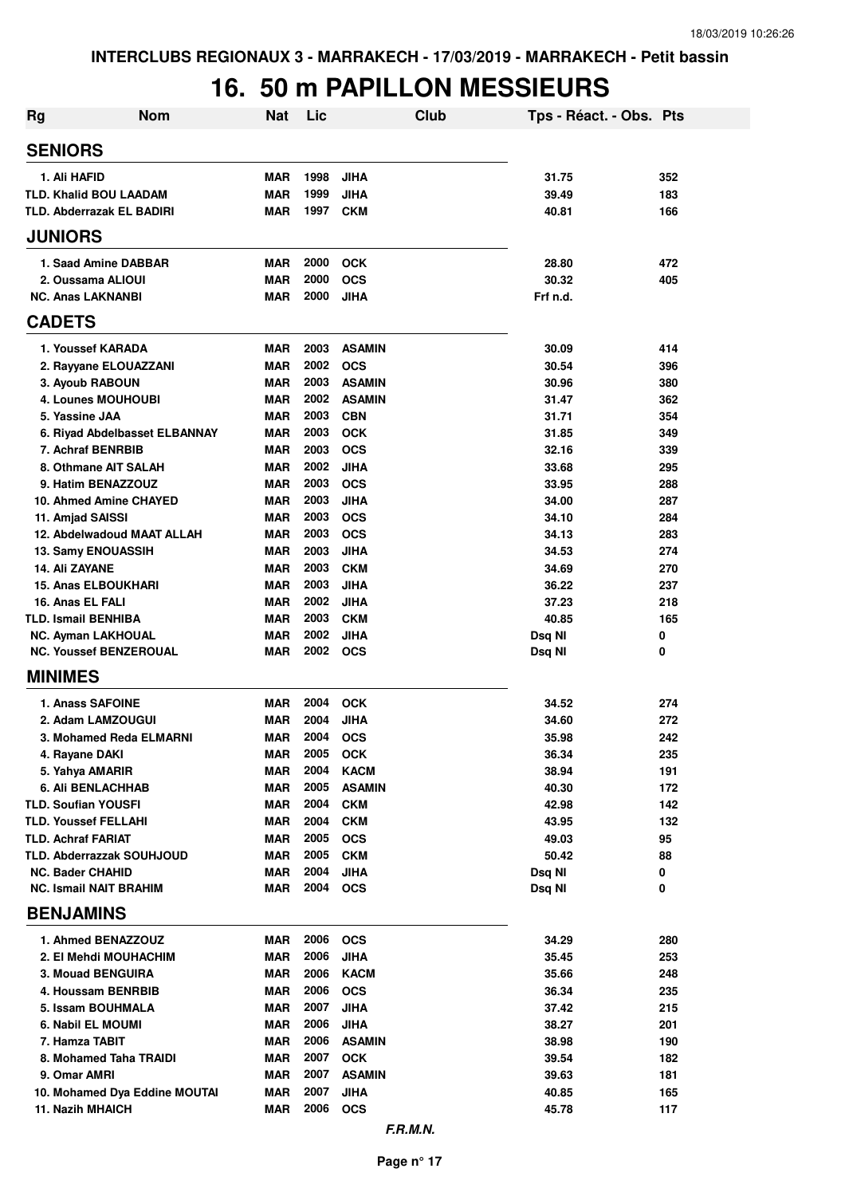# **16. 50 m PAPILLON MESSIEURS**

| Rg | <b>Nom</b>                                             | <b>Nat</b>        | Lic          | <b>Club</b>               | Tps - Réact. - Obs. Pts |            |
|----|--------------------------------------------------------|-------------------|--------------|---------------------------|-------------------------|------------|
|    | <b>SENIORS</b>                                         |                   |              |                           |                         |            |
|    | 1. Ali HAFID                                           | <b>MAR</b>        | 1998         | <b>JIHA</b>               | 31.75                   | 352        |
|    | <b>TLD. Khalid BOU LAADAM</b>                          | <b>MAR</b>        | 1999         | <b>JIHA</b>               | 39.49                   | 183        |
|    | <b>TLD. Abderrazak EL BADIRI</b>                       | <b>MAR</b>        | 1997         | <b>CKM</b>                | 40.81                   | 166        |
|    | <b>JUNIORS</b>                                         |                   |              |                           |                         |            |
|    | 1. Saad Amine DABBAR                                   | <b>MAR</b>        | 2000         | <b>OCK</b>                | 28.80                   | 472        |
|    | 2. Oussama ALIOUI                                      | <b>MAR</b>        | 2000         | <b>OCS</b>                | 30.32                   | 405        |
|    | <b>NC. Anas LAKNANBI</b>                               | <b>MAR</b>        | 2000         | <b>JIHA</b>               | Frf n.d.                |            |
|    | <b>CADETS</b>                                          |                   |              |                           |                         |            |
|    | 1. Youssef KARADA                                      | <b>MAR</b>        | 2003         | <b>ASAMIN</b>             | 30.09                   | 414        |
|    | 2. Rayyane ELOUAZZANI                                  | <b>MAR</b>        | 2002         | <b>OCS</b>                | 30.54                   | 396        |
|    | 3. Ayoub RABOUN                                        | <b>MAR</b>        | 2003         | <b>ASAMIN</b>             | 30.96                   | 380        |
|    | <b>4. Lounes MOUHOUBI</b>                              | <b>MAR</b>        | 2002         | <b>ASAMIN</b>             | 31.47                   | 362        |
|    | 5. Yassine JAA                                         | <b>MAR</b>        | 2003         | <b>CBN</b>                | 31.71                   | 354        |
|    | 6. Riyad Abdelbasset ELBANNAY                          | <b>MAR</b>        | 2003         | <b>OCK</b>                | 31.85                   | 349        |
|    | 7. Achraf BENRBIB                                      | <b>MAR</b>        | 2003         | <b>OCS</b>                | 32.16                   | 339        |
|    | 8. Othmane AIT SALAH                                   | <b>MAR</b>        | 2002<br>2003 | <b>JIHA</b>               | 33.68                   | 295        |
|    | 9. Hatim BENAZZOUZ<br>10. Ahmed Amine CHAYED           | <b>MAR</b><br>MAR | 2003         | <b>OCS</b><br><b>JIHA</b> | 33.95<br>34.00          | 288<br>287 |
|    | 11. Amjad SAISSI                                       | MAR               | 2003         | <b>OCS</b>                | 34.10                   | 284        |
|    | 12. Abdelwadoud MAAT ALLAH                             | MAR               | 2003         | <b>OCS</b>                | 34.13                   | 283        |
|    | 13. Samy ENOUASSIH                                     | <b>MAR</b>        | 2003         | <b>JIHA</b>               | 34.53                   | 274        |
|    | 14. Ali ZAYANE                                         | <b>MAR</b>        | 2003         | <b>CKM</b>                | 34.69                   | 270        |
|    | <b>15. Anas ELBOUKHARI</b>                             | <b>MAR</b>        | 2003         | <b>JIHA</b>               | 36.22                   | 237        |
|    | 16. Anas EL FALI                                       | <b>MAR</b>        | 2002         | <b>JIHA</b>               | 37.23                   | 218        |
|    | <b>TLD. Ismail BENHIBA</b>                             | <b>MAR</b>        | 2003         | <b>CKM</b>                | 40.85                   | 165        |
|    | <b>NC. Ayman LAKHOUAL</b>                              | <b>MAR</b>        | 2002         | <b>JIHA</b>               | Dsq NI                  | 0          |
|    | <b>NC. Youssef BENZEROUAL</b>                          | <b>MAR</b>        | 2002         | <b>OCS</b>                | Dsq NI                  | 0          |
|    | <b>MINIMES</b>                                         |                   |              |                           |                         |            |
|    | <b>1. Anass SAFOINE</b>                                | <b>MAR</b>        | 2004         | <b>OCK</b>                | 34.52                   | 274        |
|    | 2. Adam LAMZOUGUI                                      | <b>MAR</b>        | 2004         | <b>JIHA</b>               | 34.60                   | 272        |
|    | 3. Mohamed Reda ELMARNI                                | <b>MAR</b>        | 2004         | <b>OCS</b>                | 35.98                   | 242        |
|    | 4. Rayane DAKI                                         | MAR               | 2005         | <b>OCK</b>                | 36.34                   | 235        |
|    | 5. Yahya AMARIR                                        | MAR               | 2004         | <b>KACM</b>               | 38.94                   | 191        |
|    | <b>6. Ali BENLACHHAB</b>                               | MAR               | 2005         | <b>ASAMIN</b>             | 40.30                   | 172        |
|    | <b>TLD. Soufian YOUSFI</b>                             | MAR               | 2004         | <b>CKM</b>                | 42.98                   | 142        |
|    | <b>TLD. Youssef FELLAHI</b>                            | MAR               | 2004         | <b>CKM</b>                | 43.95                   | 132        |
|    | <b>TLD. Achraf FARIAT</b><br>TLD. Abderrazzak SOUHJOUD | MAR<br><b>MAR</b> | 2005<br>2005 | <b>OCS</b><br><b>CKM</b>  | 49.03<br>50.42          | 95<br>88   |
|    | <b>NC. Bader CHAHID</b>                                | <b>MAR</b>        | 2004         | <b>JIHA</b>               | Dsq NI                  | 0          |
|    | <b>NC. Ismail NAIT BRAHIM</b>                          | MAR               | 2004         | <b>OCS</b>                | Dsq NI                  | 0          |
|    | <b>BENJAMINS</b>                                       |                   |              |                           |                         |            |
|    | 1. Ahmed BENAZZOUZ                                     | MAR               | 2006         | <b>OCS</b>                | 34.29                   | 280        |
|    | 2. El Mehdi MOUHACHIM                                  | <b>MAR</b>        | 2006         | <b>JIHA</b>               | 35.45                   | 253        |
|    | <b>3. Mouad BENGUIRA</b>                               | MAR               | 2006         | <b>KACM</b>               | 35.66                   | 248        |
|    | 4. Houssam BENRBIB                                     | <b>MAR</b>        | 2006         | <b>OCS</b>                | 36.34                   | 235        |
|    | 5. Issam BOUHMALA                                      | MAR               | 2007         | <b>JIHA</b>               | 37.42                   | 215        |
|    | 6. Nabil EL MOUMI                                      | MAR               | 2006         | <b>JIHA</b>               | 38.27                   | 201        |
|    | 7. Hamza TABIT                                         | MAR               | 2006         | <b>ASAMIN</b>             | 38.98                   | 190        |
|    | 8. Mohamed Taha TRAIDI                                 | MAR               | 2007         | <b>OCK</b>                | 39.54                   | 182        |
|    | 9. Omar AMRI                                           | MAR               | 2007         | <b>ASAMIN</b>             | 39.63                   | 181        |
|    | 10. Mohamed Dya Eddine MOUTAI                          | MAR               | 2007         | <b>JIHA</b>               | 40.85                   | 165        |
|    | <b>11. Nazih MHAICH</b>                                | MAR               | 2006         | <b>OCS</b>                | 45.78                   | 117        |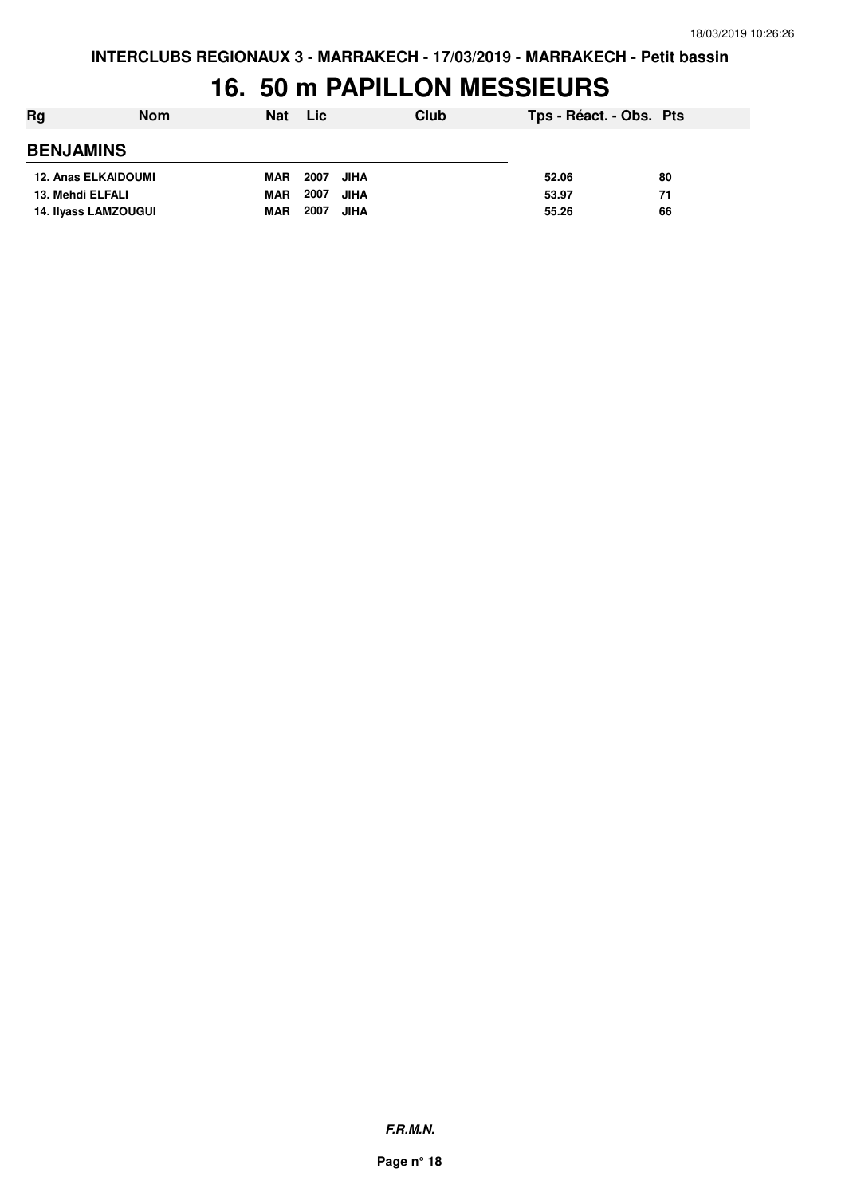### **16. 50 m PAPILLON MESSIEURS**

| Rg               | <b>Nom</b>                 | <b>Nat</b> | <b>Lic</b>          | Club | Tps - Réact. - Obs. Pts |    |
|------------------|----------------------------|------------|---------------------|------|-------------------------|----|
| <b>BENJAMINS</b> |                            |            |                     |      |                         |    |
|                  | <b>12. Anas ELKAIDOUMI</b> | <b>MAR</b> | 2007<br>JIHA        |      | 52.06                   | 80 |
| 13. Mehdi ELFALI |                            | <b>MAR</b> | 2007<br><b>JIHA</b> |      | 53.97                   | 71 |
|                  | 14. Ilyass LAMZOUGUI       | <b>MAR</b> | 2007<br><b>JIHA</b> |      | 55.26                   | 66 |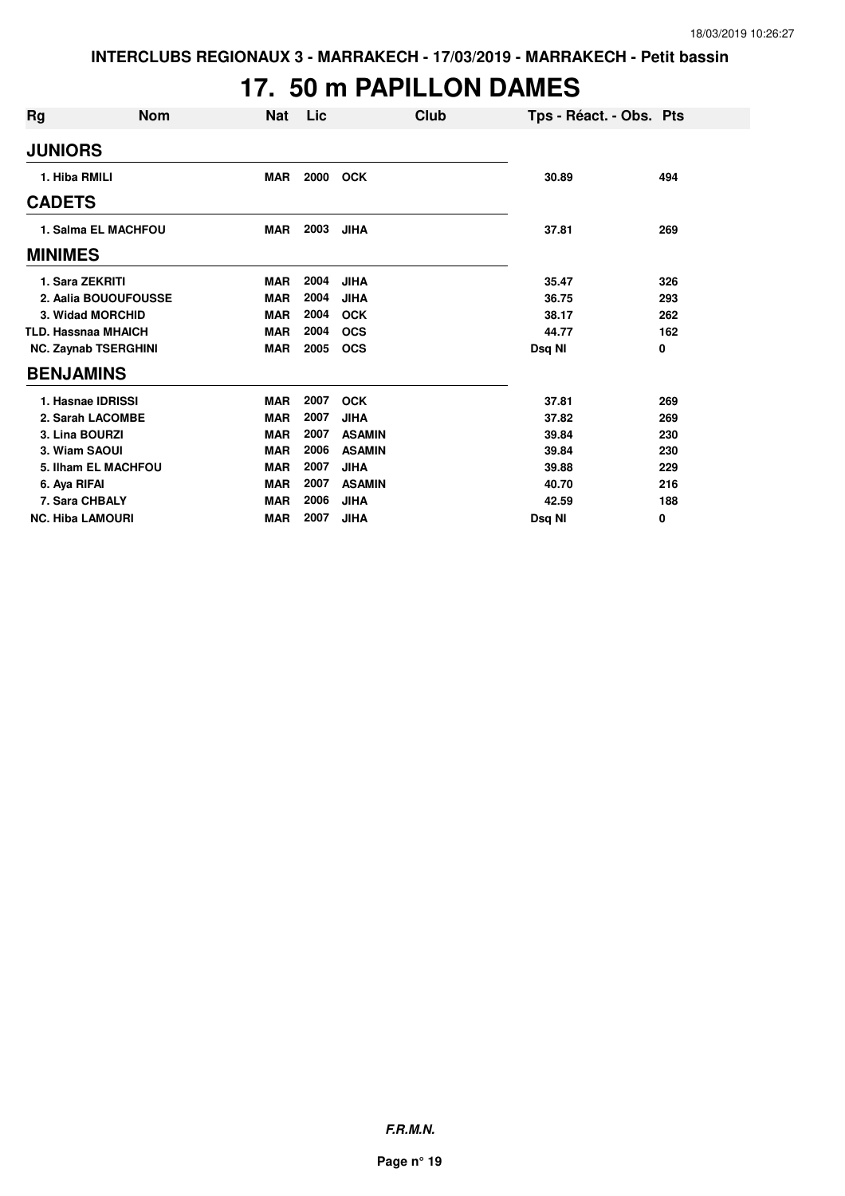#### **17. 50 m PAPILLON DAMES**

| <b>Rg</b>               | <b>Nom</b>                  | <b>Nat</b> | Lic  | Club          | Tps - Réact. - Obs. Pts |     |
|-------------------------|-----------------------------|------------|------|---------------|-------------------------|-----|
| <b>JUNIORS</b>          |                             |            |      |               |                         |     |
| 1. Hiba RMILI           |                             | <b>MAR</b> | 2000 | <b>OCK</b>    | 30.89                   | 494 |
| <b>CADETS</b>           |                             |            |      |               |                         |     |
|                         | 1. Salma EL MACHFOU         | MAR        | 2003 | JIHA          | 37.81                   | 269 |
| <b>MINIMES</b>          |                             |            |      |               |                         |     |
|                         | 1. Sara ZEKRITI             | <b>MAR</b> | 2004 | <b>JIHA</b>   | 35.47                   | 326 |
|                         | 2. Aalia BOUOUFOUSSE        | <b>MAR</b> | 2004 | <b>JIHA</b>   | 36.75                   | 293 |
|                         | 3. Widad MORCHID            | <b>MAR</b> | 2004 | <b>OCK</b>    | 38.17                   | 262 |
|                         | <b>TLD. Hassnaa MHAICH</b>  | <b>MAR</b> | 2004 | <b>OCS</b>    | 44.77                   | 162 |
|                         | <b>NC. Zaynab TSERGHINI</b> | <b>MAR</b> | 2005 | <b>OCS</b>    | Dsq NI                  | 0   |
| <b>BENJAMINS</b>        |                             |            |      |               |                         |     |
|                         | 1. Hasnae IDRISSI           | <b>MAR</b> | 2007 | <b>OCK</b>    | 37.81                   | 269 |
|                         | 2. Sarah LACOMBE            | <b>MAR</b> | 2007 | <b>JIHA</b>   | 37.82                   | 269 |
| 3. Lina BOURZI          |                             | <b>MAR</b> | 2007 | <b>ASAMIN</b> | 39.84                   | 230 |
| 3. Wiam SAOUI           |                             | <b>MAR</b> | 2006 | <b>ASAMIN</b> | 39.84                   | 230 |
|                         | 5. Ilham EL MACHFOU         | <b>MAR</b> | 2007 | <b>JIHA</b>   | 39.88                   | 229 |
| 6. Aya RIFAI            |                             | <b>MAR</b> | 2007 | <b>ASAMIN</b> | 40.70                   | 216 |
|                         | 7. Sara CHBALY              | <b>MAR</b> | 2006 | <b>JIHA</b>   | 42.59                   | 188 |
| <b>NC. Hiba LAMOURI</b> |                             | <b>MAR</b> | 2007 | <b>JIHA</b>   | Dsq NI                  | 0   |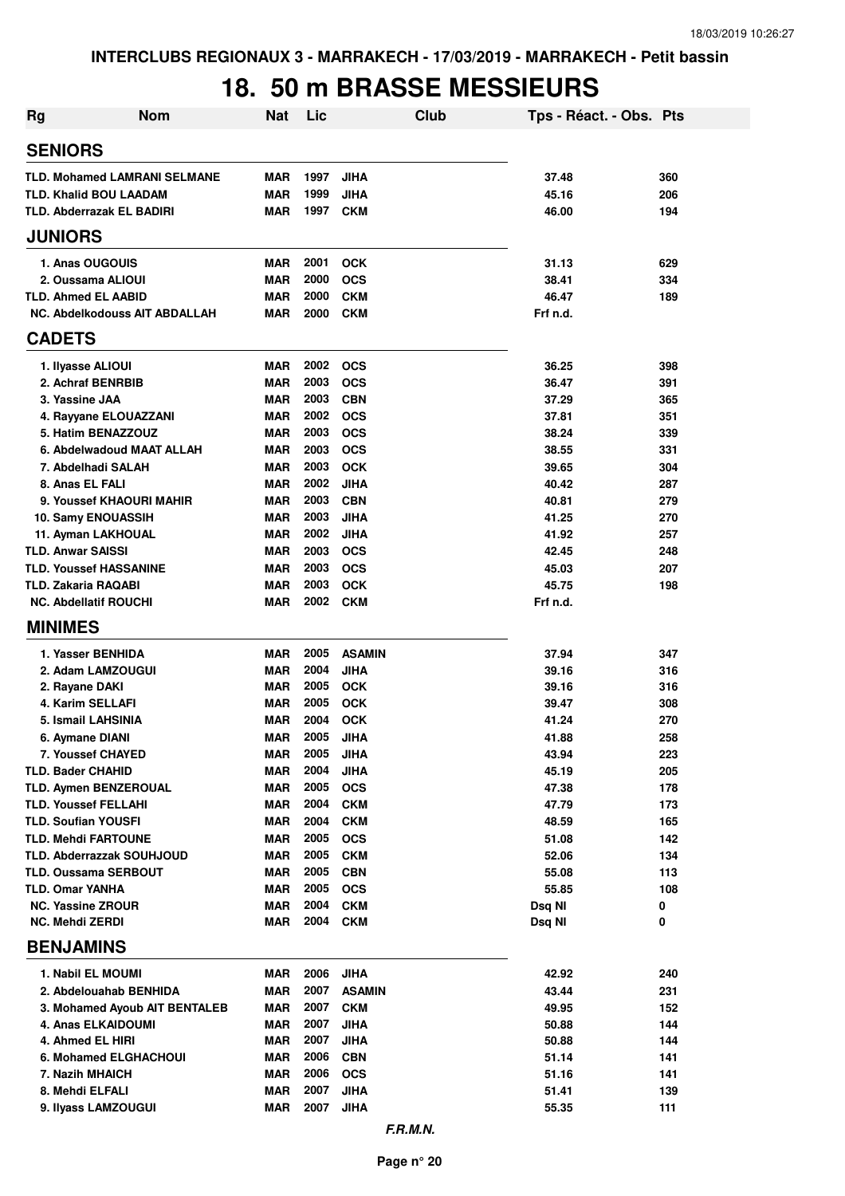### **18. 50 m BRASSE MESSIEURS**

| <b>Nom</b><br>Rg                                         | <b>Nat</b>               | Lic          | <b>Club</b>               | Tps - Réact. - Obs. Pts |            |
|----------------------------------------------------------|--------------------------|--------------|---------------------------|-------------------------|------------|
| <b>SENIORS</b>                                           |                          |              |                           |                         |            |
| <b>TLD. Mohamed LAMRANI SELMANE</b>                      | <b>MAR</b>               | 1997         | <b>JIHA</b>               | 37.48                   | 360        |
| <b>TLD. Khalid BOU LAADAM</b>                            | <b>MAR</b>               | 1999         | <b>JIHA</b>               | 45.16                   | 206        |
| <b>TLD. Abderrazak EL BADIRI</b>                         | <b>MAR</b>               | 1997         | <b>CKM</b>                | 46.00                   | 194        |
| <b>JUNIORS</b>                                           |                          |              |                           |                         |            |
| 1. Anas OUGOUIS                                          | <b>MAR</b>               | 2001         | <b>OCK</b>                | 31.13                   | 629        |
| 2. Oussama ALIOUI                                        | <b>MAR</b>               | 2000         | <b>OCS</b>                | 38.41                   | 334        |
| <b>TLD. Ahmed EL AABID</b>                               | <b>MAR</b>               | 2000         | <b>CKM</b>                | 46.47                   | 189        |
| NC. Abdelkodouss AIT ABDALLAH                            | <b>MAR</b>               | 2000         | <b>CKM</b>                | Frf n.d.                |            |
| <b>CADETS</b>                                            |                          |              |                           |                         |            |
| 1. Ilyasse ALIOUI                                        | <b>MAR</b>               | 2002         | <b>OCS</b>                | 36.25                   | 398        |
| 2. Achraf BENRBIB                                        | <b>MAR</b>               | 2003         | <b>OCS</b>                | 36.47                   | 391        |
| 3. Yassine JAA                                           | <b>MAR</b>               | 2003         | <b>CBN</b>                | 37.29                   | 365        |
| 4. Rayyane ELOUAZZANI                                    | <b>MAR</b>               | 2002         | <b>OCS</b>                | 37.81                   | 351        |
| 5. Hatim BENAZZOUZ                                       | <b>MAR</b>               | 2003         | <b>OCS</b>                | 38.24                   | 339        |
| 6. Abdelwadoud MAAT ALLAH                                | <b>MAR</b>               | 2003         | <b>OCS</b>                | 38.55                   | 331        |
| 7. Abdelhadi SALAH                                       | <b>MAR</b>               | 2003         | <b>OCK</b>                | 39.65                   | 304        |
| 8. Anas EL FALI                                          | <b>MAR</b>               | 2002         | <b>JIHA</b>               | 40.42                   | 287        |
| 9. Youssef KHAOURI MAHIR                                 | <b>MAR</b>               | 2003         | <b>CBN</b>                | 40.81                   | 279        |
| 10. Samy ENOUASSIH                                       | <b>MAR</b>               | 2003         | <b>JIHA</b>               | 41.25                   | 270        |
| 11. Ayman LAKHOUAL<br><b>TLD. Anwar SAISSI</b>           | <b>MAR</b><br><b>MAR</b> | 2002<br>2003 | <b>JIHA</b><br><b>OCS</b> | 41.92<br>42.45          | 257<br>248 |
| <b>TLD. Youssef HASSANINE</b>                            | <b>MAR</b>               | 2003         | <b>OCS</b>                | 45.03                   | 207        |
| <b>TLD. Zakaria RAQABI</b>                               | <b>MAR</b>               | 2003         | <b>OCK</b>                | 45.75                   | 198        |
| <b>NC. Abdellatif ROUCHI</b>                             | <b>MAR</b>               | 2002         | <b>CKM</b>                | Frf n.d.                |            |
| <b>MINIMES</b>                                           |                          |              |                           |                         |            |
| 1. Yasser BENHIDA                                        | <b>MAR</b>               | 2005         | <b>ASAMIN</b>             | 37.94                   | 347        |
| 2. Adam LAMZOUGUI                                        | <b>MAR</b>               | 2004         | <b>JIHA</b>               | 39.16                   | 316        |
| 2. Rayane DAKI                                           | <b>MAR</b>               | 2005         | <b>OCK</b>                | 39.16                   | 316        |
| 4. Karim SELLAFI                                         | <b>MAR</b>               | 2005         | <b>OCK</b>                | 39.47                   | 308        |
| 5. Ismail LAHSINIA                                       | <b>MAR</b>               | 2004         | <b>OCK</b>                | 41.24                   | 270        |
| 6. Aymane DIANI                                          | <b>MAR</b>               | 2005         | <b>JIHA</b>               | 41.88                   | 258        |
| 7. Youssef CHAYED                                        | MAR                      | 2005         | <b>JIHA</b>               | 43.94                   | 223        |
| <b>TLD. Bader CHAHID</b>                                 | <b>MAR</b>               | 2004         | <b>JIHA</b>               | 45.19                   | 205        |
| <b>TLD. Aymen BENZEROUAL</b>                             | <b>MAR</b>               | 2005         | <b>OCS</b>                | 47.38                   | 178        |
| <b>TLD. Youssef FELLAHI</b>                              | MAR                      | 2004<br>2004 | <b>CKM</b>                | 47.79                   | 173        |
| <b>TLD. Soufian YOUSFI</b><br><b>TLD. Mehdi FARTOUNE</b> | <b>MAR</b><br><b>MAR</b> | 2005         | <b>CKM</b><br><b>OCS</b>  | 48.59<br>51.08          | 165        |
| <b>TLD. Abderrazzak SOUHJOUD</b>                         | <b>MAR</b>               | 2005         | <b>CKM</b>                | 52.06                   | 142<br>134 |
| <b>TLD. Oussama SERBOUT</b>                              | <b>MAR</b>               | 2005         | <b>CBN</b>                | 55.08                   | 113        |
| <b>TLD. Omar YANHA</b>                                   | <b>MAR</b>               | 2005         | <b>OCS</b>                | 55.85                   | 108        |
| <b>NC. Yassine ZROUR</b>                                 | <b>MAR</b>               | 2004         | <b>CKM</b>                | Dsq NI                  | 0          |
| <b>NC. Mehdi ZERDI</b>                                   | <b>MAR</b>               | 2004         | <b>CKM</b>                | Dsq NI                  | 0          |
| <b>BENJAMINS</b>                                         |                          |              |                           |                         |            |
| 1. Nabil EL MOUMI                                        | MAR                      | 2006         | <b>JIHA</b>               | 42.92                   | 240        |
| 2. Abdelouahab BENHIDA                                   | MAR                      | 2007         | <b>ASAMIN</b>             | 43.44                   | 231        |
| 3. Mohamed Ayoub AIT BENTALEB                            | <b>MAR</b>               | 2007         | <b>CKM</b>                | 49.95                   | 152        |
| 4. Anas ELKAIDOUMI                                       | <b>MAR</b>               | 2007         | <b>JIHA</b>               | 50.88                   | 144        |
| 4. Ahmed EL HIRI                                         | <b>MAR</b>               | 2007         | <b>JIHA</b>               | 50.88                   | 144        |
| 6. Mohamed ELGHACHOUI                                    | <b>MAR</b>               | 2006         | <b>CBN</b>                | 51.14                   | 141        |
| 7. Nazih MHAICH                                          | MAR                      | 2006         | <b>OCS</b>                | 51.16                   | 141        |
| 8. Mehdi ELFALI                                          | <b>MAR</b>               | 2007         | <b>JIHA</b>               | 51.41                   | 139        |
| 9. Ilyass LAMZOUGUI                                      | MAR                      | 2007         | <b>JIHA</b>               | 55.35                   | 111        |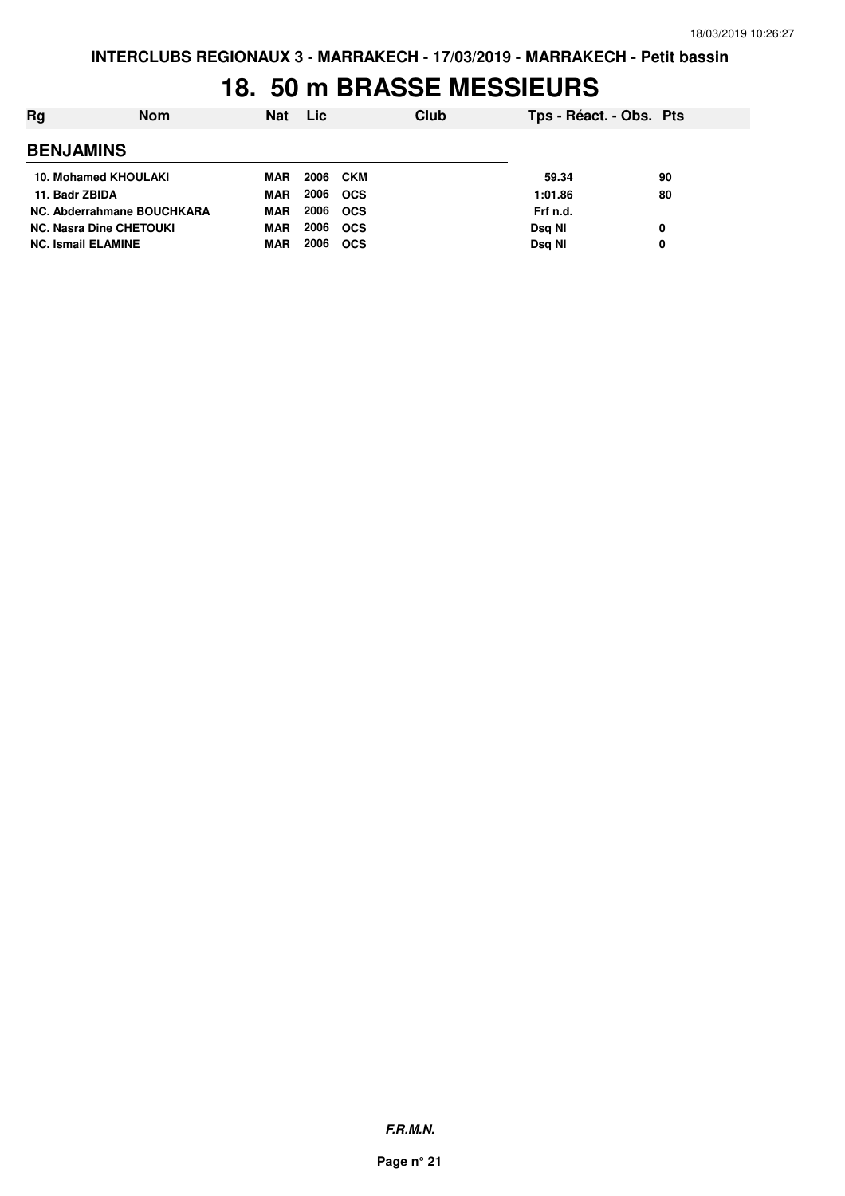#### **18. 50 m BRASSE MESSIEURS**

| Rg                             | <b>Nom</b> | <b>Nat</b> | Lic  |            | Club | Tps - Réact. - Obs. Pts |    |
|--------------------------------|------------|------------|------|------------|------|-------------------------|----|
| <b>BENJAMINS</b>               |            |            |      |            |      |                         |    |
| 10. Mohamed KHOULAKI           |            | MAR        |      | 2006 CKM   |      | 59.34                   | 90 |
| 11. Badr ZBIDA                 |            | <b>MAR</b> | 2006 | <b>OCS</b> |      | 1:01.86                 | 80 |
| NC. Abderrahmane BOUCHKARA     |            | <b>MAR</b> | 2006 | <b>OCS</b> |      | Frf n.d.                |    |
| <b>NC. Nasra Dine CHETOUKI</b> |            | <b>MAR</b> | 2006 | <b>OCS</b> |      | Dsg NI                  | 0  |
| <b>NC. Ismail ELAMINE</b>      |            | <b>MAR</b> | 2006 | <b>OCS</b> |      | Dsg NI                  | 0  |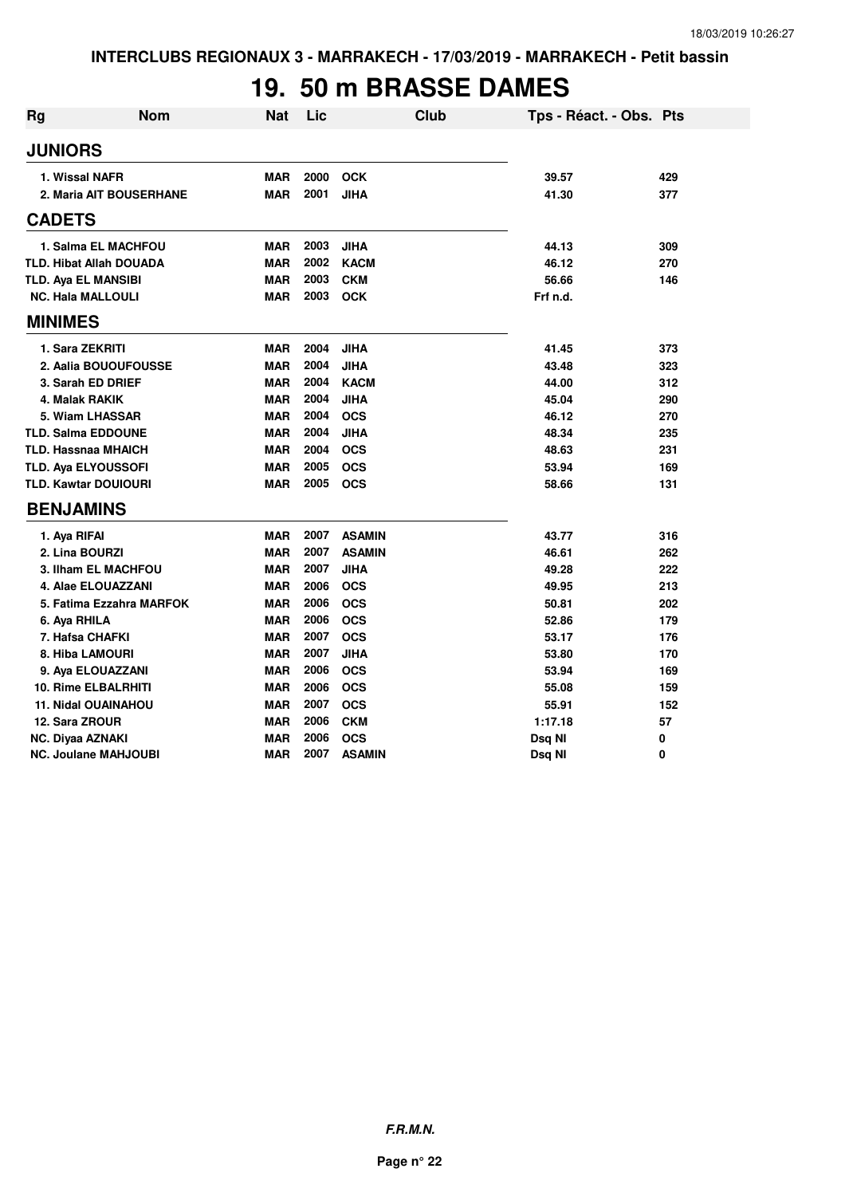### **19. 50 m BRASSE DAMES**

| <b>Rg</b>                   | <b>Nom</b>                     | <b>Nat</b> | Lic  | <b>Club</b>   | Tps - Réact. - Obs. Pts |     |
|-----------------------------|--------------------------------|------------|------|---------------|-------------------------|-----|
| <b>JUNIORS</b>              |                                |            |      |               |                         |     |
| 1. Wissal NAFR              |                                | <b>MAR</b> | 2000 | <b>OCK</b>    | 39.57                   | 429 |
|                             | 2. Maria AIT BOUSERHANE        | <b>MAR</b> | 2001 | <b>JIHA</b>   | 41.30                   | 377 |
| <b>CADETS</b>               |                                |            |      |               |                         |     |
|                             | 1. Salma EL MACHFOU            | <b>MAR</b> | 2003 | <b>JIHA</b>   | 44.13                   | 309 |
|                             | <b>TLD. Hibat Allah DOUADA</b> | <b>MAR</b> | 2002 | <b>KACM</b>   | 46.12                   | 270 |
| <b>TLD. Aya EL MANSIBI</b>  |                                | <b>MAR</b> | 2003 | <b>CKM</b>    | 56.66                   | 146 |
| <b>NC. Hala MALLOULI</b>    |                                | <b>MAR</b> | 2003 | <b>OCK</b>    | Frf n.d.                |     |
| <b>MINIMES</b>              |                                |            |      |               |                         |     |
| 1. Sara ZEKRITI             |                                | <b>MAR</b> | 2004 | <b>JIHA</b>   | 41.45                   | 373 |
|                             | 2. Aalia BOUOUFOUSSE           | <b>MAR</b> | 2004 | <b>JIHA</b>   | 43.48                   | 323 |
|                             | 3. Sarah ED DRIEF              | <b>MAR</b> | 2004 | <b>KACM</b>   | 44.00                   | 312 |
| 4. Malak RAKIK              |                                | <b>MAR</b> | 2004 | <b>JIHA</b>   | 45.04                   | 290 |
|                             | 5. Wiam LHASSAR                | <b>MAR</b> | 2004 | <b>OCS</b>    | 46.12                   | 270 |
| <b>TLD. Salma EDDOUNE</b>   |                                | <b>MAR</b> | 2004 | <b>JIHA</b>   | 48.34                   | 235 |
| <b>TLD. Hassnaa MHAICH</b>  |                                | <b>MAR</b> | 2004 | <b>OCS</b>    | 48.63                   | 231 |
| TLD. Aya ELYOUSSOFI         |                                | <b>MAR</b> | 2005 | <b>OCS</b>    | 53.94                   | 169 |
| <b>TLD. Kawtar DOUIOURI</b> |                                | <b>MAR</b> | 2005 | <b>OCS</b>    | 58.66                   | 131 |
| <b>BENJAMINS</b>            |                                |            |      |               |                         |     |
| 1. Aya RIFAI                |                                | <b>MAR</b> | 2007 | <b>ASAMIN</b> | 43.77                   | 316 |
| 2. Lina BOURZI              |                                | <b>MAR</b> | 2007 | <b>ASAMIN</b> | 46.61                   | 262 |
|                             | 3. Ilham EL MACHFOU            | <b>MAR</b> | 2007 | <b>JIHA</b>   | 49.28                   | 222 |
|                             | 4. Alae ELOUAZZANI             | <b>MAR</b> | 2006 | <b>OCS</b>    | 49.95                   | 213 |
|                             | 5. Fatima Ezzahra MARFOK       | <b>MAR</b> | 2006 | <b>OCS</b>    | 50.81                   | 202 |
| 6. Aya RHILA                |                                | <b>MAR</b> | 2006 | <b>OCS</b>    | 52.86                   | 179 |
| 7. Hafsa CHAFKI             |                                | <b>MAR</b> | 2007 | <b>OCS</b>    | 53.17                   | 176 |
| 8. Hiba LAMOURI             |                                | <b>MAR</b> | 2007 | <b>JIHA</b>   | 53.80                   | 170 |
|                             | 9. Aya ELOUAZZANI              | <b>MAR</b> | 2006 | <b>OCS</b>    | 53.94                   | 169 |
|                             | <b>10. Rime ELBALRHITI</b>     | <b>MAR</b> | 2006 | <b>OCS</b>    | 55.08                   | 159 |
|                             | <b>11. Nidal OUAINAHOU</b>     | <b>MAR</b> | 2007 | <b>OCS</b>    | 55.91                   | 152 |
| 12. Sara ZROUR              |                                | <b>MAR</b> | 2006 | <b>CKM</b>    | 1:17.18                 | 57  |
| <b>NC. Diyaa AZNAKI</b>     |                                | <b>MAR</b> | 2006 | <b>OCS</b>    | Dsq NI                  | 0   |
|                             | <b>NC. Joulane MAHJOUBI</b>    | <b>MAR</b> | 2007 | <b>ASAMIN</b> | Dsq NI                  | 0   |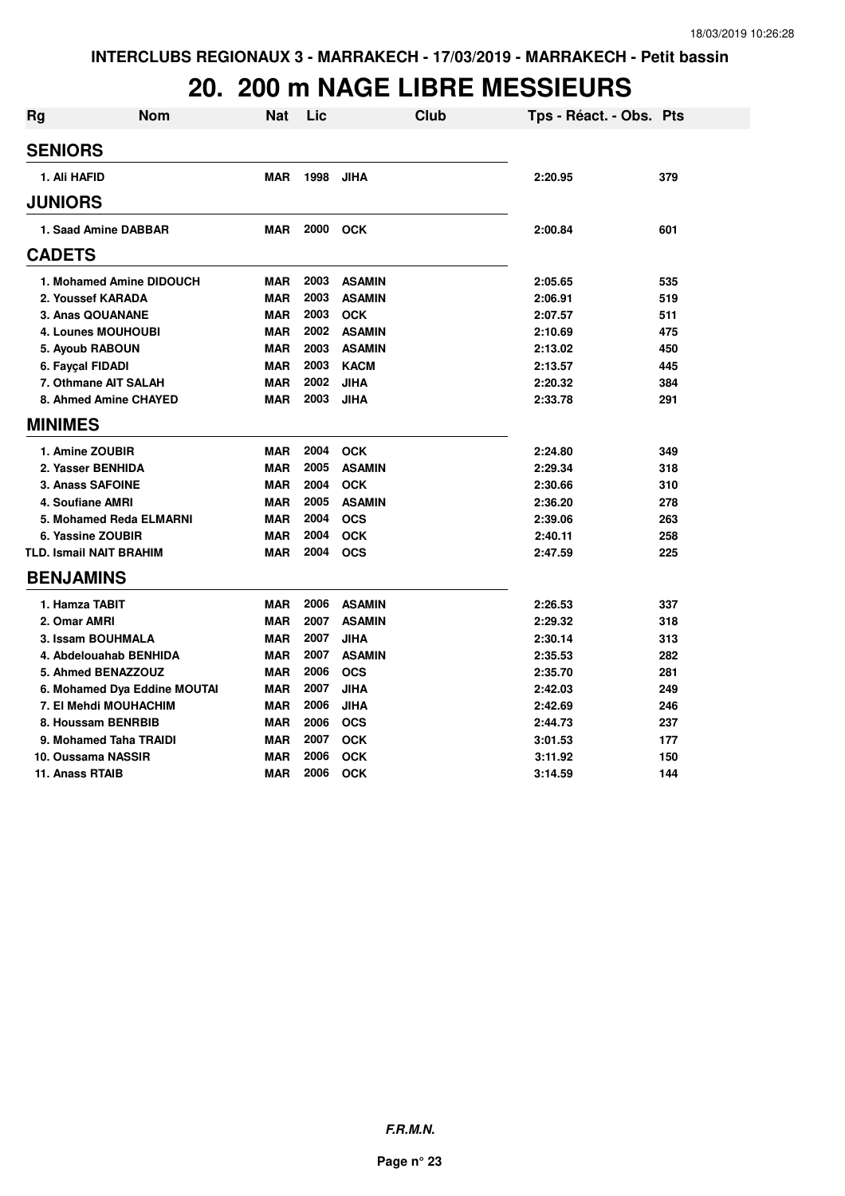## **20. 200 m NAGE LIBRE MESSIEURS**

| <b>Rg</b> | <b>Nom</b>                     | <b>Nat</b> | Lic  | <b>Club</b>   | Tps - Réact. - Obs. Pts |     |
|-----------|--------------------------------|------------|------|---------------|-------------------------|-----|
|           | <b>SENIORS</b>                 |            |      |               |                         |     |
|           | 1. Ali HAFID                   | <b>MAR</b> | 1998 | <b>JIHA</b>   | 2:20.95                 | 379 |
|           | <b>JUNIORS</b>                 |            |      |               |                         |     |
|           | 1. Saad Amine DABBAR           | <b>MAR</b> | 2000 | <b>OCK</b>    | 2:00.84                 | 601 |
|           | <b>CADETS</b>                  |            |      |               |                         |     |
|           | 1. Mohamed Amine DIDOUCH       | <b>MAR</b> | 2003 | <b>ASAMIN</b> | 2:05.65                 | 535 |
|           | 2. Youssef KARADA              | <b>MAR</b> | 2003 | <b>ASAMIN</b> | 2:06.91                 | 519 |
|           | 3. Anas QOUANANE               | <b>MAR</b> | 2003 | <b>OCK</b>    | 2:07.57                 | 511 |
|           | <b>4. Lounes MOUHOUBI</b>      | <b>MAR</b> | 2002 | <b>ASAMIN</b> | 2:10.69                 | 475 |
|           | 5. Ayoub RABOUN                | <b>MAR</b> | 2003 | <b>ASAMIN</b> | 2:13.02                 | 450 |
|           | 6. Fayçal FIDADI               | <b>MAR</b> | 2003 | <b>KACM</b>   | 2:13.57                 | 445 |
|           | 7. Othmane AIT SALAH           | <b>MAR</b> | 2002 | <b>JIHA</b>   | 2:20.32                 | 384 |
|           | 8. Ahmed Amine CHAYED          | <b>MAR</b> | 2003 | <b>JIHA</b>   | 2:33.78                 | 291 |
|           | <b>MINIMES</b>                 |            |      |               |                         |     |
|           | 1. Amine ZOUBIR                | <b>MAR</b> | 2004 | <b>OCK</b>    | 2:24.80                 | 349 |
|           | 2. Yasser BENHIDA              | <b>MAR</b> | 2005 | <b>ASAMIN</b> | 2:29.34                 | 318 |
|           | 3. Anass SAFOINE               | <b>MAR</b> | 2004 | <b>OCK</b>    | 2:30.66                 | 310 |
|           | 4. Soufiane AMRI               | <b>MAR</b> | 2005 | <b>ASAMIN</b> | 2:36.20                 | 278 |
|           | 5. Mohamed Reda ELMARNI        | <b>MAR</b> | 2004 | <b>OCS</b>    | 2:39.06                 | 263 |
|           | 6. Yassine ZOUBIR              | <b>MAR</b> | 2004 | <b>OCK</b>    | 2:40.11                 | 258 |
|           | <b>TLD. Ismail NAIT BRAHIM</b> | <b>MAR</b> | 2004 | <b>OCS</b>    | 2:47.59                 | 225 |
|           | <b>BENJAMINS</b>               |            |      |               |                         |     |
|           | 1. Hamza TABIT                 | <b>MAR</b> | 2006 | <b>ASAMIN</b> | 2:26.53                 | 337 |
|           | 2. Omar AMRI                   | <b>MAR</b> | 2007 | <b>ASAMIN</b> | 2:29.32                 | 318 |
|           | 3. Issam BOUHMALA              | <b>MAR</b> | 2007 | <b>JIHA</b>   | 2:30.14                 | 313 |
|           | 4. Abdelouahab BENHIDA         | <b>MAR</b> | 2007 | <b>ASAMIN</b> | 2:35.53                 | 282 |
|           | 5. Ahmed BENAZZOUZ             | <b>MAR</b> | 2006 | <b>OCS</b>    | 2:35.70                 | 281 |
|           | 6. Mohamed Dya Eddine MOUTAI   | <b>MAR</b> | 2007 | <b>JIHA</b>   | 2:42.03                 | 249 |
|           | 7. El Mehdi MOUHACHIM          | <b>MAR</b> | 2006 | <b>JIHA</b>   | 2:42.69                 | 246 |
|           | 8. Houssam BENRBIB             | <b>MAR</b> | 2006 | <b>OCS</b>    | 2:44.73                 | 237 |
|           | 9. Mohamed Taha TRAIDI         | <b>MAR</b> | 2007 | <b>OCK</b>    | 3:01.53                 | 177 |
|           | 10. Oussama NASSIR             | <b>MAR</b> | 2006 | <b>OCK</b>    | 3:11.92                 | 150 |
|           | 11. Anass RTAIB                | <b>MAR</b> | 2006 | <b>OCK</b>    | 3:14.59                 | 144 |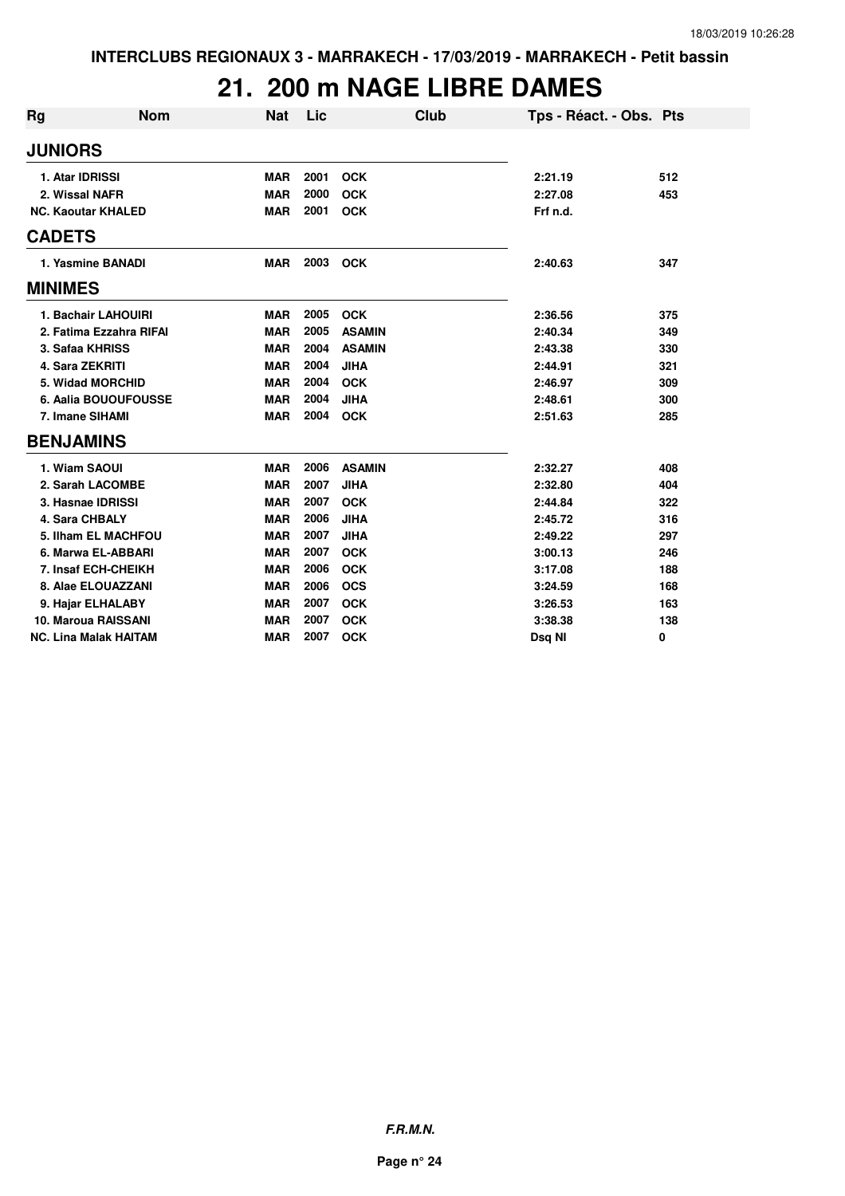### **21. 200 m NAGE LIBRE DAMES**

| Rg               | <b>Nom</b>                   | <b>Nat</b> | Lic  | Club          | Tps - Réact. - Obs. Pts |     |
|------------------|------------------------------|------------|------|---------------|-------------------------|-----|
| <b>JUNIORS</b>   |                              |            |      |               |                         |     |
|                  | 1. Atar IDRISSI              | <b>MAR</b> | 2001 | <b>OCK</b>    | 2:21.19                 | 512 |
|                  | 2. Wissal NAFR               | <b>MAR</b> | 2000 | <b>OCK</b>    | 2:27.08                 | 453 |
|                  | <b>NC. Kaoutar KHALED</b>    | <b>MAR</b> | 2001 | <b>OCK</b>    | Frf n.d.                |     |
| <b>CADETS</b>    |                              |            |      |               |                         |     |
|                  | 1. Yasmine BANADI            | <b>MAR</b> | 2003 | <b>OCK</b>    | 2:40.63                 | 347 |
| <b>MINIMES</b>   |                              |            |      |               |                         |     |
|                  | 1. Bachair LAHOUIRI          | <b>MAR</b> | 2005 | <b>OCK</b>    | 2:36.56                 | 375 |
|                  | 2. Fatima Ezzahra RIFAI      | <b>MAR</b> | 2005 | <b>ASAMIN</b> | 2:40.34                 | 349 |
|                  | 3. Safaa KHRISS              | <b>MAR</b> | 2004 | <b>ASAMIN</b> | 2:43.38                 | 330 |
|                  | 4. Sara ZEKRITI              | <b>MAR</b> | 2004 | <b>JIHA</b>   | 2:44.91                 | 321 |
|                  | 5. Widad MORCHID             | <b>MAR</b> | 2004 | <b>OCK</b>    | 2:46.97                 | 309 |
|                  | 6. Aalia BOUOUFOUSSE         | <b>MAR</b> | 2004 | <b>JIHA</b>   | 2:48.61                 | 300 |
|                  | 7. Imane SIHAMI              | <b>MAR</b> | 2004 | <b>OCK</b>    | 2:51.63                 | 285 |
| <b>BENJAMINS</b> |                              |            |      |               |                         |     |
|                  | 1. Wiam SAOUI                | <b>MAR</b> | 2006 | <b>ASAMIN</b> | 2:32.27                 | 408 |
|                  | 2. Sarah LACOMBE             | <b>MAR</b> | 2007 | <b>JIHA</b>   | 2:32.80                 | 404 |
|                  | 3. Hasnae IDRISSI            | <b>MAR</b> | 2007 | <b>OCK</b>    | 2:44.84                 | 322 |
|                  | 4. Sara CHBALY               | <b>MAR</b> | 2006 | <b>JIHA</b>   | 2:45.72                 | 316 |
|                  | 5. Ilham EL MACHFOU          | <b>MAR</b> | 2007 | <b>JIHA</b>   | 2:49.22                 | 297 |
|                  | 6. Marwa EL-ABBARI           | <b>MAR</b> | 2007 | <b>OCK</b>    | 3:00.13                 | 246 |
|                  | 7. Insaf ECH-CHEIKH          | <b>MAR</b> | 2006 | <b>OCK</b>    | 3:17.08                 | 188 |
|                  | 8. Alae ELOUAZZANI           | <b>MAR</b> | 2006 | <b>OCS</b>    | 3:24.59                 | 168 |
|                  | 9. Hajar ELHALABY            | <b>MAR</b> | 2007 | <b>OCK</b>    | 3:26.53                 | 163 |
|                  | 10. Maroua RAISSANI          | <b>MAR</b> | 2007 | <b>OCK</b>    | 3:38.38                 | 138 |
|                  | <b>NC. Lina Malak HAITAM</b> | <b>MAR</b> | 2007 | <b>OCK</b>    | Dsq NI                  | 0   |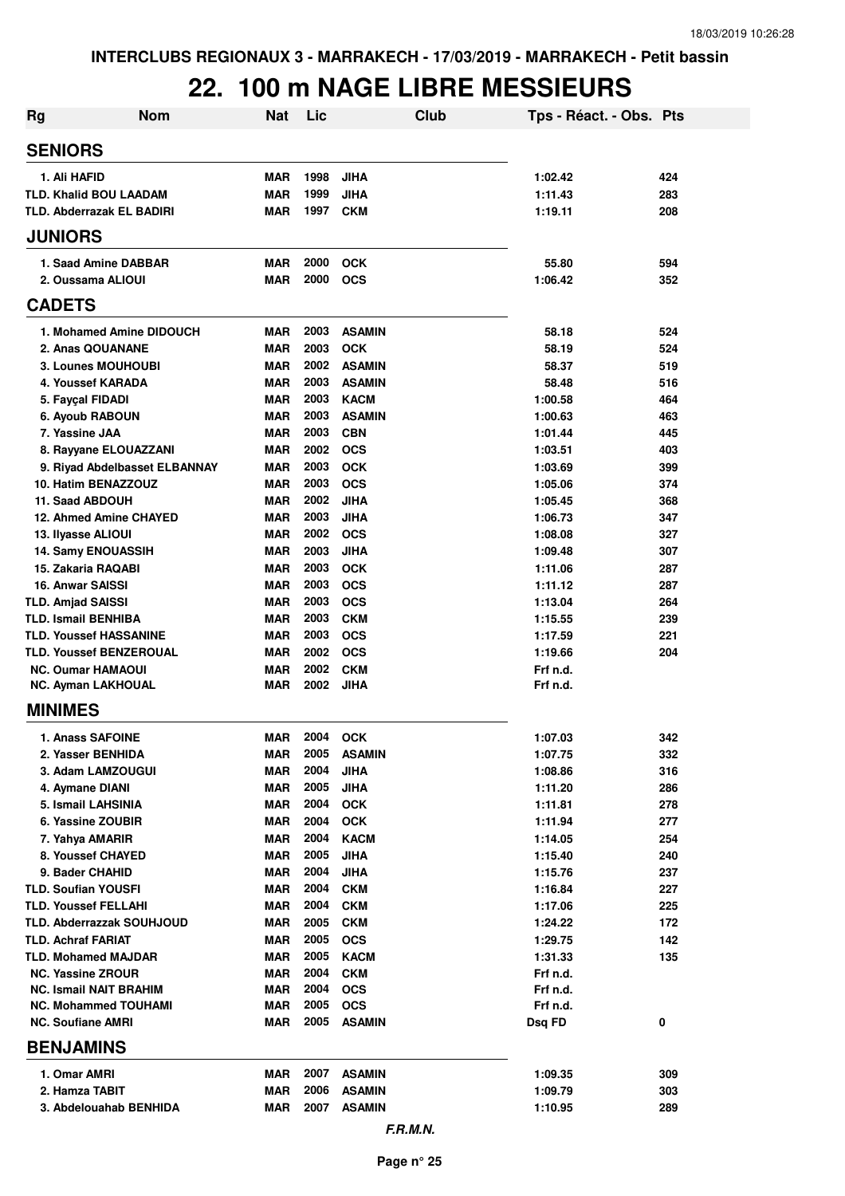# **22. 100 m NAGE LIBRE MESSIEURS**

| <b>Rg</b>                            | <b>Nom</b>                    | <b>Nat</b>               | Lic          |                            | Club | Tps - Réact. - Obs. Pts |            |
|--------------------------------------|-------------------------------|--------------------------|--------------|----------------------------|------|-------------------------|------------|
| <b>SENIORS</b>                       |                               |                          |              |                            |      |                         |            |
| 1. Ali HAFID                         |                               | <b>MAR</b>               | 1998         | <b>JIHA</b>                |      | 1:02.42                 | 424        |
| TLD. Khalid BOU LAADAM               |                               | <b>MAR</b>               | 1999         | <b>JIHA</b>                |      | 1:11.43                 | 283        |
| <b>TLD. Abderrazak EL BADIRI</b>     |                               | <b>MAR</b>               | 1997         | <b>CKM</b>                 |      | 1:19.11                 | 208        |
| <b>JUNIORS</b>                       |                               |                          |              |                            |      |                         |            |
| 1. Saad Amine DABBAR                 |                               | <b>MAR</b>               | 2000         | <b>OCK</b>                 |      | 55.80                   | 594        |
| 2. Oussama ALIOUI                    |                               | <b>MAR</b>               | 2000         | <b>OCS</b>                 |      | 1:06.42                 | 352        |
| <b>CADETS</b>                        |                               |                          |              |                            |      |                         |            |
| 1. Mohamed Amine DIDOUCH             |                               | <b>MAR</b>               | 2003         | <b>ASAMIN</b>              |      | 58.18                   | 524        |
| 2. Anas QOUANANE                     |                               | <b>MAR</b>               | 2003         | <b>OCK</b>                 |      | 58.19                   | 524        |
| <b>3. Lounes MOUHOUBI</b>            |                               | <b>MAR</b>               | 2002         | <b>ASAMIN</b>              |      | 58.37                   | 519        |
| 4. Youssef KARADA                    |                               | <b>MAR</b>               | 2003         | <b>ASAMIN</b>              |      | 58.48                   | 516        |
| 5. Fayçal FIDADI                     |                               | <b>MAR</b>               | 2003         | <b>KACM</b>                |      | 1:00.58                 | 464        |
| 6. Ayoub RABOUN                      |                               | <b>MAR</b>               | 2003<br>2003 | <b>ASAMIN</b>              |      | 1:00.63                 | 463        |
| 7. Yassine JAA                       |                               | <b>MAR</b><br><b>MAR</b> | 2002         | <b>CBN</b><br><b>OCS</b>   |      | 1:01.44                 | 445        |
| 8. Rayyane ELOUAZZANI                | 9. Riyad Abdelbasset ELBANNAY | <b>MAR</b>               | 2003         | <b>OCK</b>                 |      | 1:03.51<br>1:03.69      | 403<br>399 |
| 10. Hatim BENAZZOUZ                  |                               | <b>MAR</b>               | 2003         | <b>OCS</b>                 |      | 1:05.06                 | 374        |
| 11. Saad ABDOUH                      |                               | <b>MAR</b>               | 2002         | <b>JIHA</b>                |      | 1:05.45                 | 368        |
| 12. Ahmed Amine CHAYED               |                               | <b>MAR</b>               | 2003         | <b>JIHA</b>                |      | 1:06.73                 | 347        |
| 13. Ilyasse ALIOUI                   |                               | <b>MAR</b>               | 2002         | <b>OCS</b>                 |      | 1:08.08                 | 327        |
| <b>14. Samy ENOUASSIH</b>            |                               | <b>MAR</b>               | 2003         | <b>JIHA</b>                |      | 1:09.48                 | 307        |
| 15. Zakaria RAQABI                   |                               | <b>MAR</b>               | 2003         | <b>OCK</b>                 |      | 1:11.06                 | 287        |
| 16. Anwar SAISSI                     |                               | <b>MAR</b>               | 2003         | <b>OCS</b>                 |      | 1:11.12                 | 287        |
| <b>TLD. Amjad SAISSI</b>             |                               | <b>MAR</b>               | 2003         | <b>OCS</b>                 |      | 1:13.04                 | 264        |
| <b>TLD. Ismail BENHIBA</b>           |                               | <b>MAR</b>               | 2003         | <b>CKM</b>                 |      | 1:15.55                 | 239        |
| <b>TLD. Youssef HASSANINE</b>        |                               | <b>MAR</b>               | 2003         | <b>OCS</b>                 |      | 1:17.59                 | 221        |
| <b>TLD. Youssef BENZEROUAL</b>       |                               | <b>MAR</b>               | 2002         | <b>OCS</b>                 |      | 1:19.66                 | 204        |
| <b>NC. Oumar HAMAOUI</b>             |                               | <b>MAR</b>               | 2002         | <b>CKM</b>                 |      | Frf n.d.                |            |
| <b>NC. Ayman LAKHOUAL</b>            |                               | MAR                      | 2002         | <b>JIHA</b>                |      | Frf n.d.                |            |
| <b>MINIMES</b>                       |                               |                          |              |                            |      |                         |            |
| <b>1. Anass SAFOINE</b>              |                               | <b>MAR</b>               | 2004         | <b>OCK</b>                 |      | 1:07.03                 | 342        |
| 2. Yasser BENHIDA                    |                               | <b>MAR</b>               | 2005         | <b>ASAMIN</b>              |      | 1:07.75                 | 332        |
| 3. Adam LAMZOUGUI                    |                               | <b>MAR</b>               | 2004         | <b>JIHA</b>                |      | 1:08.86                 | 316        |
| 4. Aymane DIANI                      |                               | <b>MAR</b>               | 2005         | <b>JIHA</b>                |      | 1:11.20                 | 286        |
| 5. Ismail LAHSINIA                   |                               | MAR                      | 2004         | <b>OCK</b>                 |      | 1:11.81                 | 278        |
| 6. Yassine ZOUBIR                    |                               | MAR                      | 2004<br>2004 | <b>OCK</b>                 |      | 1:11.94                 | 277        |
| 7. Yahya AMARIR<br>8. Youssef CHAYED |                               | MAR<br>MAR               | 2005         | <b>KACM</b><br><b>JIHA</b> |      | 1:14.05<br>1:15.40      | 254<br>240 |
| 9. Bader CHAHID                      |                               | MAR                      | 2004         | <b>JIHA</b>                |      | 1:15.76                 | 237        |
| <b>TLD. Soufian YOUSFI</b>           |                               | MAR                      | 2004         | <b>CKM</b>                 |      | 1:16.84                 | 227        |
| <b>TLD. Youssef FELLAHI</b>          |                               | MAR                      | 2004         | <b>CKM</b>                 |      | 1:17.06                 | 225        |
| TLD. Abderrazzak SOUHJOUD            |                               | <b>MAR</b>               | 2005         | <b>CKM</b>                 |      | 1:24.22                 | 172        |
| <b>TLD. Achraf FARIAT</b>            |                               | <b>MAR</b>               | 2005         | <b>OCS</b>                 |      | 1:29.75                 | 142        |
| <b>TLD. Mohamed MAJDAR</b>           |                               | <b>MAR</b>               | 2005         | <b>KACM</b>                |      | 1:31.33                 | 135        |
| <b>NC. Yassine ZROUR</b>             |                               | <b>MAR</b>               | 2004         | <b>CKM</b>                 |      | Frf n.d.                |            |
| <b>NC. Ismail NAIT BRAHIM</b>        |                               | <b>MAR</b>               | 2004         | <b>OCS</b>                 |      | Frf n.d.                |            |
| <b>NC. Mohammed TOUHAMI</b>          |                               | <b>MAR</b>               | 2005         | <b>OCS</b>                 |      | Frf n.d.                |            |
| <b>NC. Soufiane AMRI</b>             |                               | <b>MAR</b>               | 2005         | <b>ASAMIN</b>              |      | Dsq FD                  | 0          |
| <b>BENJAMINS</b>                     |                               |                          |              |                            |      |                         |            |
| 1. Omar AMRI                         |                               | <b>MAR</b>               | 2007         | <b>ASAMIN</b>              |      | 1:09.35                 | 309        |
| 2. Hamza TABIT                       |                               | <b>MAR</b>               | 2006         | <b>ASAMIN</b>              |      | 1:09.79                 | 303        |
| 3. Abdelouahab BENHIDA               |                               | <b>MAR</b>               | 2007         | <b>ASAMIN</b>              |      | 1:10.95                 | 289        |
|                                      |                               |                          |              | F.R.M.N.                   |      |                         |            |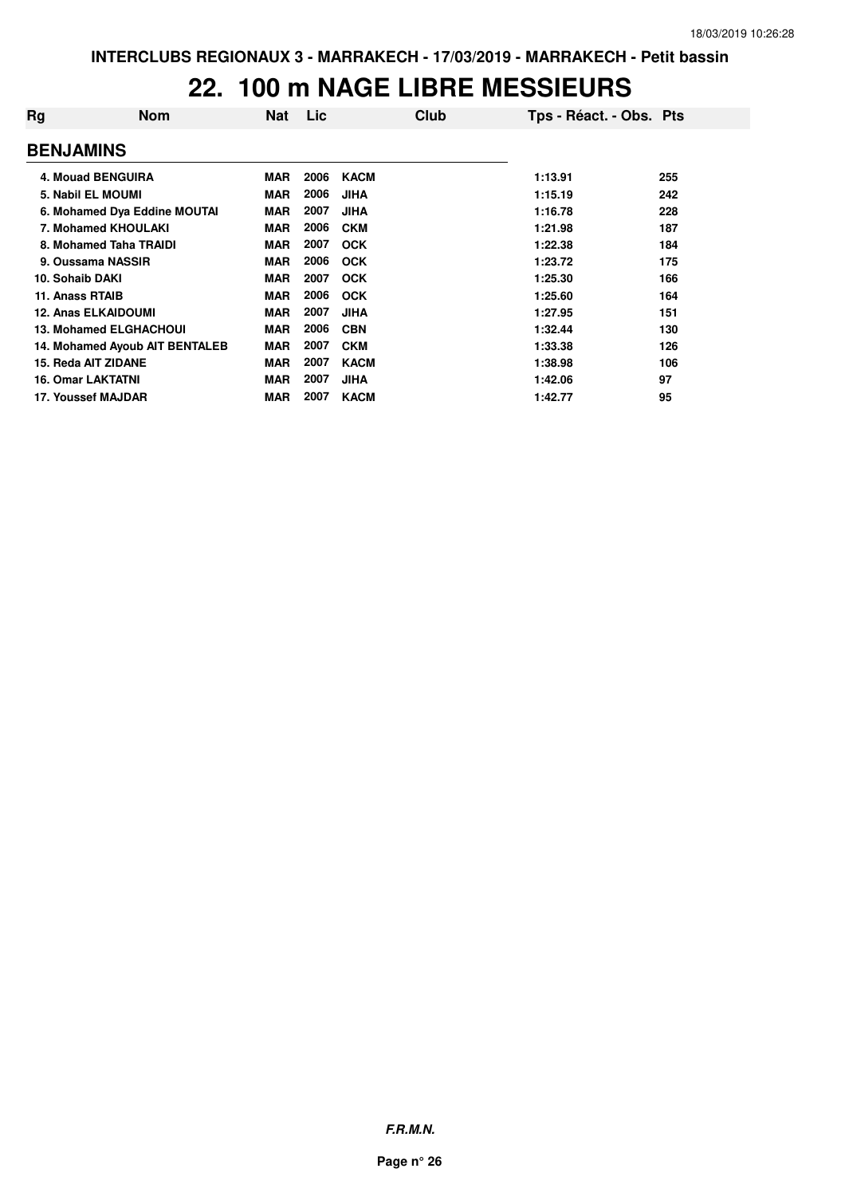### **22. 100 m NAGE LIBRE MESSIEURS**

| Rg               | <b>Nom</b>                     | <b>Nat</b> | <b>Lic</b> | Club        | Tps - Réact. - Obs. Pts |     |
|------------------|--------------------------------|------------|------------|-------------|-------------------------|-----|
| <b>BENJAMINS</b> |                                |            |            |             |                         |     |
|                  | <b>4. Mouad BENGUIRA</b>       | <b>MAR</b> | 2006       | <b>KACM</b> | 1:13.91                 | 255 |
|                  | 5. Nabil EL MOUMI              | <b>MAR</b> | 2006       | <b>JIHA</b> | 1:15.19                 | 242 |
|                  | 6. Mohamed Dya Eddine MOUTAI   | <b>MAR</b> | 2007       | <b>JIHA</b> | 1:16.78                 | 228 |
|                  | 7. Mohamed KHOULAKI            | <b>MAR</b> | 2006       | <b>CKM</b>  | 1:21.98                 | 187 |
|                  | 8. Mohamed Taha TRAIDI         | MAR        | 2007       | <b>OCK</b>  | 1:22.38                 | 184 |
|                  | 9. Oussama NASSIR              | <b>MAR</b> | 2006       | <b>OCK</b>  | 1:23.72                 | 175 |
| 10. Sohaib DAKI  |                                | <b>MAR</b> | 2007       | <b>OCK</b>  | 1:25.30                 | 166 |
| 11. Anass RTAIB  |                                | <b>MAR</b> | 2006       | <b>OCK</b>  | 1:25.60                 | 164 |
|                  | <b>12. Anas ELKAIDOUMI</b>     | <b>MAR</b> | 2007       | <b>JIHA</b> | 1:27.95                 | 151 |
|                  | <b>13. Mohamed ELGHACHOUI</b>  | <b>MAR</b> | 2006       | <b>CBN</b>  | 1:32.44                 | 130 |
|                  | 14. Mohamed Ayoub AIT BENTALEB | <b>MAR</b> | 2007       | <b>CKM</b>  | 1:33.38                 | 126 |
|                  | 15. Reda AIT ZIDANE            | <b>MAR</b> | 2007       | <b>KACM</b> | 1:38.98                 | 106 |
|                  | <b>16. Omar LAKTATNI</b>       | <b>MAR</b> | 2007       | <b>JIHA</b> | 1:42.06                 | 97  |
|                  | 17. Youssef MAJDAR             | <b>MAR</b> | 2007       | <b>KACM</b> | 1:42.77                 | 95  |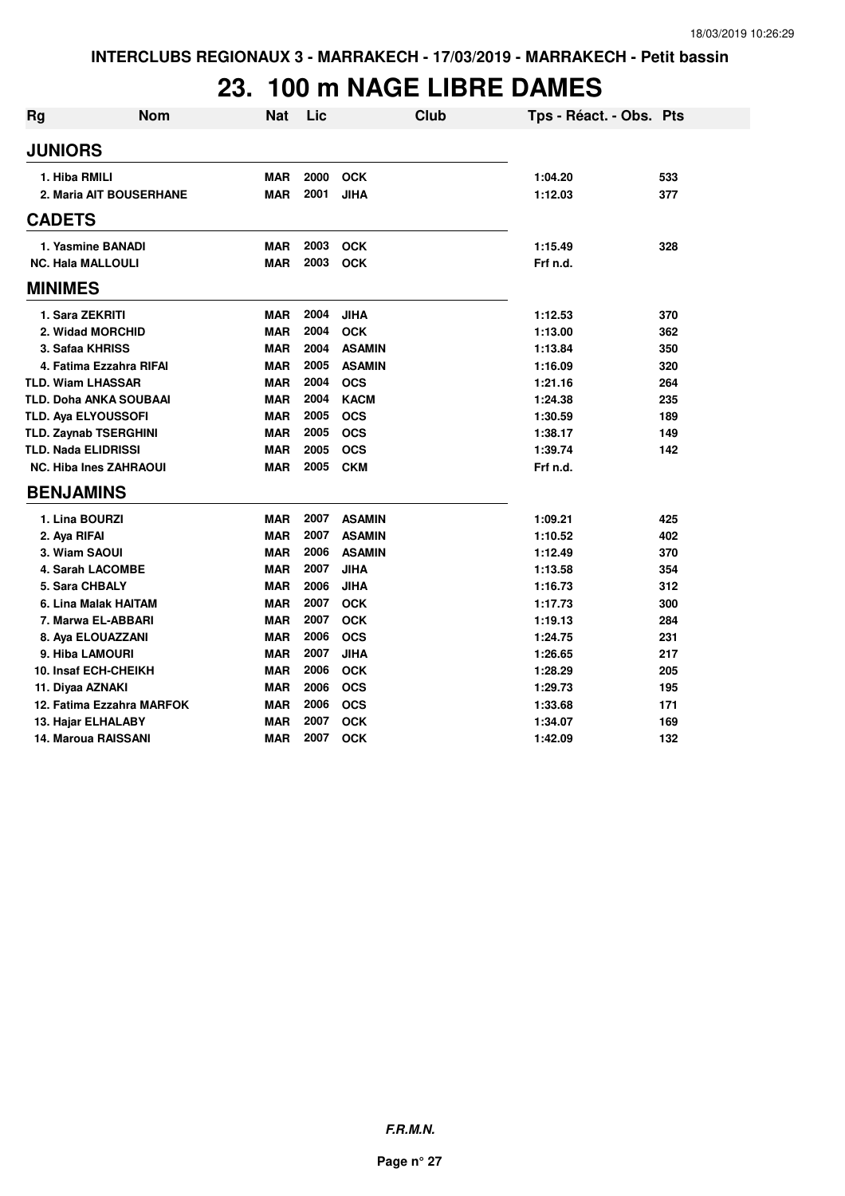# **23. 100 m NAGE LIBRE DAMES**

| <b>Rg</b>      | <b>Nom</b>                    | <b>Nat</b> | Lic  | <b>Club</b>   | Tps - Réact. - Obs. Pts |     |
|----------------|-------------------------------|------------|------|---------------|-------------------------|-----|
| <b>JUNIORS</b> |                               |            |      |               |                         |     |
|                | 1. Hiba RMILI                 | <b>MAR</b> | 2000 | <b>OCK</b>    | 1:04.20                 | 533 |
|                | 2. Maria AIT BOUSERHANE       | <b>MAR</b> | 2001 | <b>JIHA</b>   | 1:12.03                 | 377 |
| <b>CADETS</b>  |                               |            |      |               |                         |     |
|                | 1. Yasmine BANADI             | <b>MAR</b> | 2003 | <b>OCK</b>    | 1:15.49                 | 328 |
|                | <b>NC. Hala MALLOULI</b>      | <b>MAR</b> | 2003 | <b>OCK</b>    | Frf n.d.                |     |
| <b>MINIMES</b> |                               |            |      |               |                         |     |
|                | 1. Sara ZEKRITI               | <b>MAR</b> | 2004 | <b>JIHA</b>   | 1:12.53                 | 370 |
|                | 2. Widad MORCHID              | <b>MAR</b> | 2004 | <b>OCK</b>    | 1:13.00                 | 362 |
|                | 3. Safaa KHRISS               | <b>MAR</b> | 2004 | <b>ASAMIN</b> | 1:13.84                 | 350 |
|                | 4. Fatima Ezzahra RIFAI       | <b>MAR</b> | 2005 | <b>ASAMIN</b> | 1:16.09                 | 320 |
|                | <b>TLD. Wiam LHASSAR</b>      | <b>MAR</b> | 2004 | <b>OCS</b>    | 1:21.16                 | 264 |
|                | <b>TLD. Doha ANKA SOUBAAI</b> | <b>MAR</b> | 2004 | <b>KACM</b>   | 1:24.38                 | 235 |
|                | <b>TLD. Ava ELYOUSSOFI</b>    | <b>MAR</b> | 2005 | <b>OCS</b>    | 1:30.59                 | 189 |
|                | <b>TLD. Zaynab TSERGHINI</b>  | <b>MAR</b> | 2005 | <b>OCS</b>    | 1:38.17                 | 149 |
|                | <b>TLD. Nada ELIDRISSI</b>    | <b>MAR</b> | 2005 | <b>OCS</b>    | 1:39.74                 | 142 |
|                | <b>NC. Hiba Ines ZAHRAOUI</b> | <b>MAR</b> | 2005 | <b>CKM</b>    | Frf n.d.                |     |
|                | <b>BENJAMINS</b>              |            |      |               |                         |     |
|                | 1. Lina BOURZI                | <b>MAR</b> | 2007 | <b>ASAMIN</b> | 1:09.21                 | 425 |
|                | 2. Aya RIFAI                  | <b>MAR</b> | 2007 | <b>ASAMIN</b> | 1:10.52                 | 402 |
|                | 3. Wiam SAOUI                 | <b>MAR</b> | 2006 | <b>ASAMIN</b> | 1:12.49                 | 370 |
|                | 4. Sarah LACOMBE              | <b>MAR</b> | 2007 | <b>JIHA</b>   | 1:13.58                 | 354 |
|                | 5. Sara CHBALY                | <b>MAR</b> | 2006 | <b>JIHA</b>   | 1:16.73                 | 312 |
|                | 6. Lina Malak HAITAM          | <b>MAR</b> | 2007 | <b>OCK</b>    | 1:17.73                 | 300 |
|                | 7. Marwa EL-ABBARI            | <b>MAR</b> | 2007 | <b>OCK</b>    | 1:19.13                 | 284 |
|                | 8. Aya ELOUAZZANI             | <b>MAR</b> | 2006 | <b>OCS</b>    | 1:24.75                 | 231 |
|                | 9. Hiba LAMOURI               | <b>MAR</b> | 2007 | <b>JIHA</b>   | 1:26.65                 | 217 |
|                | 10. Insaf ECH-CHEIKH          | <b>MAR</b> | 2006 | <b>OCK</b>    | 1:28.29                 | 205 |
|                | 11. Diyaa AZNAKI              | <b>MAR</b> | 2006 | <b>OCS</b>    | 1:29.73                 | 195 |
|                | 12. Fatima Ezzahra MARFOK     | <b>MAR</b> | 2006 | <b>OCS</b>    | 1:33.68                 | 171 |
|                | 13. Hajar ELHALABY            | <b>MAR</b> | 2007 | <b>OCK</b>    | 1:34.07                 | 169 |
|                | 14. Maroua RAISSANI           | <b>MAR</b> | 2007 | <b>OCK</b>    | 1:42.09                 | 132 |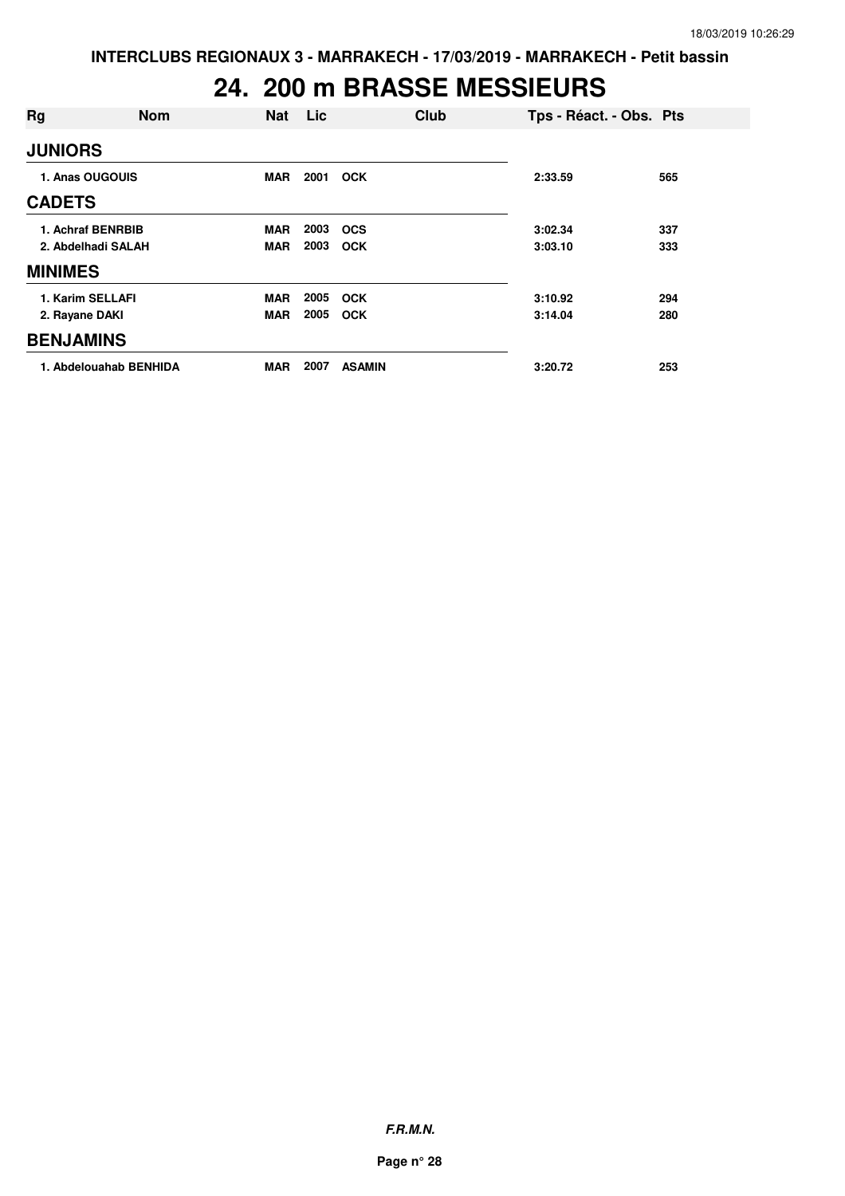## **24. 200 m BRASSE MESSIEURS**

| Rg                 | <b>Nom</b>             | <b>Nat</b> | Lic  | Club          | Tps - Réact. - Obs. Pts |     |
|--------------------|------------------------|------------|------|---------------|-------------------------|-----|
| <b>JUNIORS</b>     |                        |            |      |               |                         |     |
|                    | 1. Anas OUGOUIS        | <b>MAR</b> | 2001 | <b>OCK</b>    | 2:33.59                 | 565 |
| <b>CADETS</b>      |                        |            |      |               |                         |     |
|                    | 1. Achraf BENRBIB      | <b>MAR</b> | 2003 | <b>OCS</b>    | 3:02.34                 | 337 |
| 2. Abdelhadi SALAH |                        | <b>MAR</b> | 2003 | <b>OCK</b>    | 3:03.10                 | 333 |
| <b>MINIMES</b>     |                        |            |      |               |                         |     |
|                    | 1. Karim SELLAFI       | <b>MAR</b> | 2005 | <b>OCK</b>    | 3:10.92                 | 294 |
| 2. Rayane DAKI     |                        | <b>MAR</b> | 2005 | <b>OCK</b>    | 3:14.04                 | 280 |
| <b>BENJAMINS</b>   |                        |            |      |               |                         |     |
|                    | 1. Abdelouahab BENHIDA | <b>MAR</b> | 2007 | <b>ASAMIN</b> | 3:20.72                 | 253 |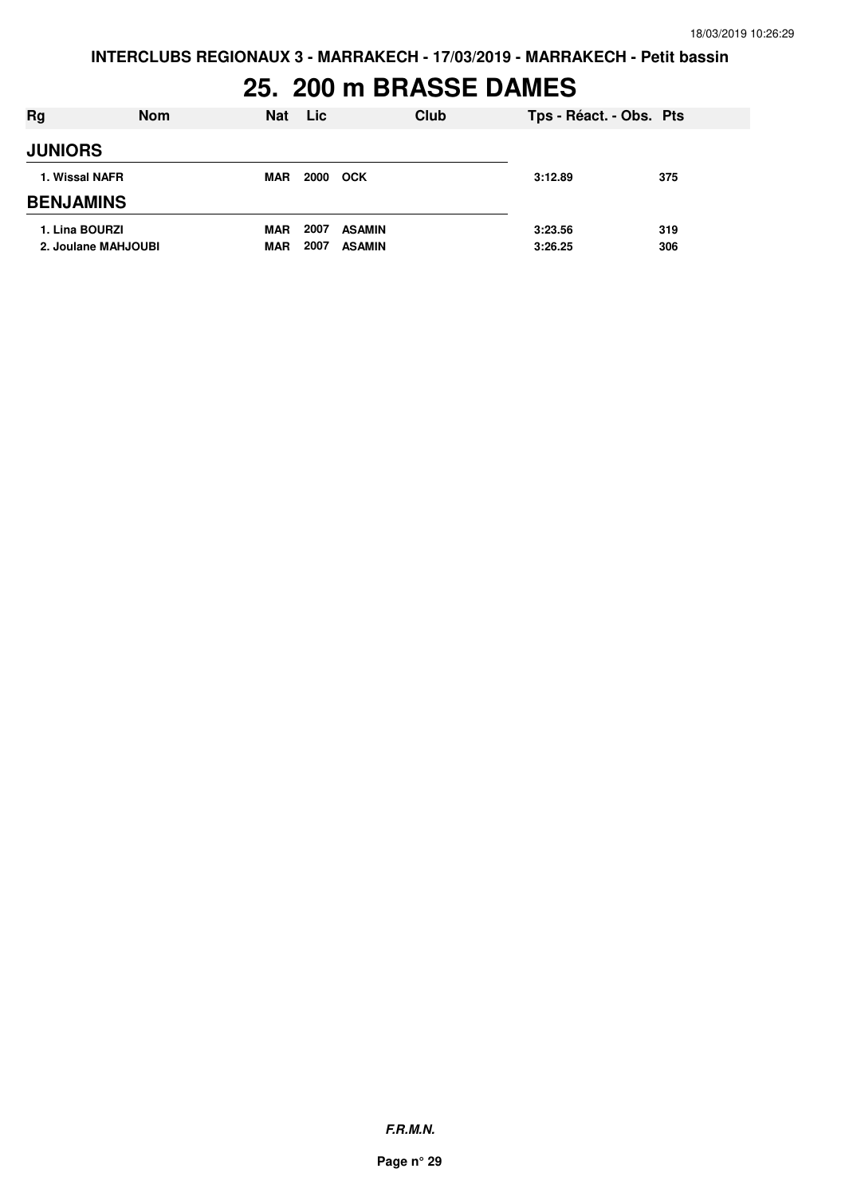# **25. 200 m BRASSE DAMES**

| Rg                                    | <b>Nom</b> | <b>Nat</b>               | Lic.         |                                | Club | Tps - Réact. - Obs. Pts |            |
|---------------------------------------|------------|--------------------------|--------------|--------------------------------|------|-------------------------|------------|
| <b>JUNIORS</b>                        |            |                          |              |                                |      |                         |            |
| 1. Wissal NAFR                        |            | <b>MAR</b>               | 2000         | <b>OCK</b>                     |      | 3:12.89                 | 375        |
| <b>BENJAMINS</b>                      |            |                          |              |                                |      |                         |            |
| 1. Lina BOURZI<br>2. Joulane MAHJOUBI |            | <b>MAR</b><br><b>MAR</b> | 2007<br>2007 | <b>ASAMIN</b><br><b>ASAMIN</b> |      | 3:23.56<br>3:26.25      | 319<br>306 |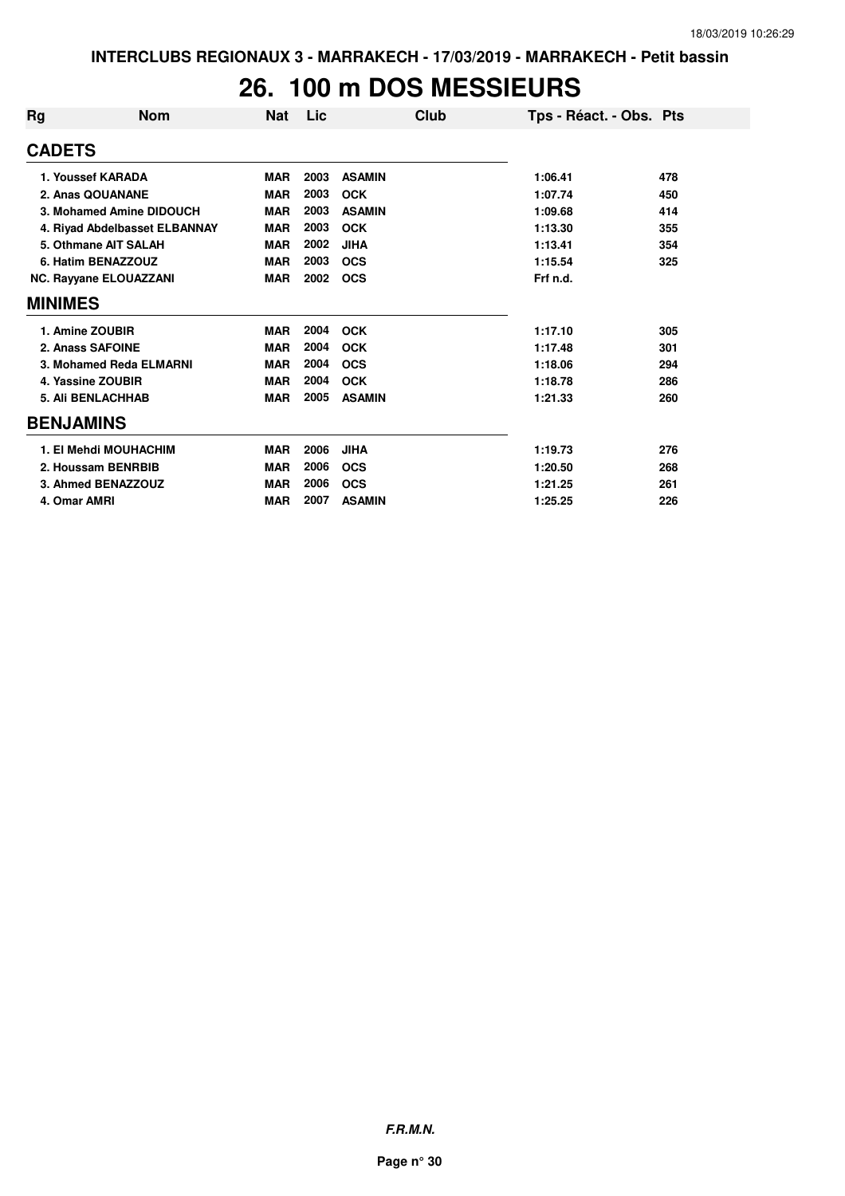#### **26. 100 m DOS MESSIEURS**

| Rg               | <b>Nom</b>                    | Nat        | Lic  | Club          | Tps - Réact. - Obs. Pts |     |
|------------------|-------------------------------|------------|------|---------------|-------------------------|-----|
| <b>CADETS</b>    |                               |            |      |               |                         |     |
|                  | 1. Youssef KARADA             | <b>MAR</b> | 2003 | <b>ASAMIN</b> | 1:06.41                 | 478 |
|                  | 2. Anas QOUANANE              | <b>MAR</b> | 2003 | <b>OCK</b>    | 1:07.74                 | 450 |
|                  | 3. Mohamed Amine DIDOUCH      | <b>MAR</b> | 2003 | <b>ASAMIN</b> | 1:09.68                 | 414 |
|                  | 4. Riyad Abdelbasset ELBANNAY | <b>MAR</b> | 2003 | <b>OCK</b>    | 1:13.30                 | 355 |
|                  | 5. Othmane AIT SALAH          | <b>MAR</b> | 2002 | <b>JIHA</b>   | 1:13.41                 | 354 |
|                  | 6. Hatim BENAZZOUZ            | <b>MAR</b> | 2003 | <b>OCS</b>    | 1:15.54                 | 325 |
|                  | NC. Rayyane ELOUAZZANI        | <b>MAR</b> | 2002 | <b>OCS</b>    | Frf n.d.                |     |
| <b>MINIMES</b>   |                               |            |      |               |                         |     |
|                  | 1. Amine ZOUBIR               | <b>MAR</b> | 2004 | <b>OCK</b>    | 1:17.10                 | 305 |
|                  | 2. Anass SAFOINE              | <b>MAR</b> | 2004 | <b>OCK</b>    | 1:17.48                 | 301 |
|                  | 3. Mohamed Reda ELMARNI       | <b>MAR</b> | 2004 | <b>OCS</b>    | 1:18.06                 | 294 |
|                  | 4. Yassine ZOUBIR             | <b>MAR</b> | 2004 | <b>OCK</b>    | 1:18.78                 | 286 |
|                  | <b>5. Ali BENLACHHAB</b>      | <b>MAR</b> | 2005 | <b>ASAMIN</b> | 1:21.33                 | 260 |
| <b>BENJAMINS</b> |                               |            |      |               |                         |     |
|                  | 1. El Mehdi MOUHACHIM         | <b>MAR</b> | 2006 | <b>JIHA</b>   | 1:19.73                 | 276 |
|                  | 2. Houssam BENRBIB            | <b>MAR</b> | 2006 | <b>OCS</b>    | 1:20.50                 | 268 |
|                  | 3. Ahmed BENAZZOUZ            | <b>MAR</b> | 2006 | <b>OCS</b>    | 1:21.25                 | 261 |
| 4. Omar AMRI     |                               | <b>MAR</b> | 2007 | <b>ASAMIN</b> | 1:25.25                 | 226 |

**F.R.M.N.**

**Page n° 30**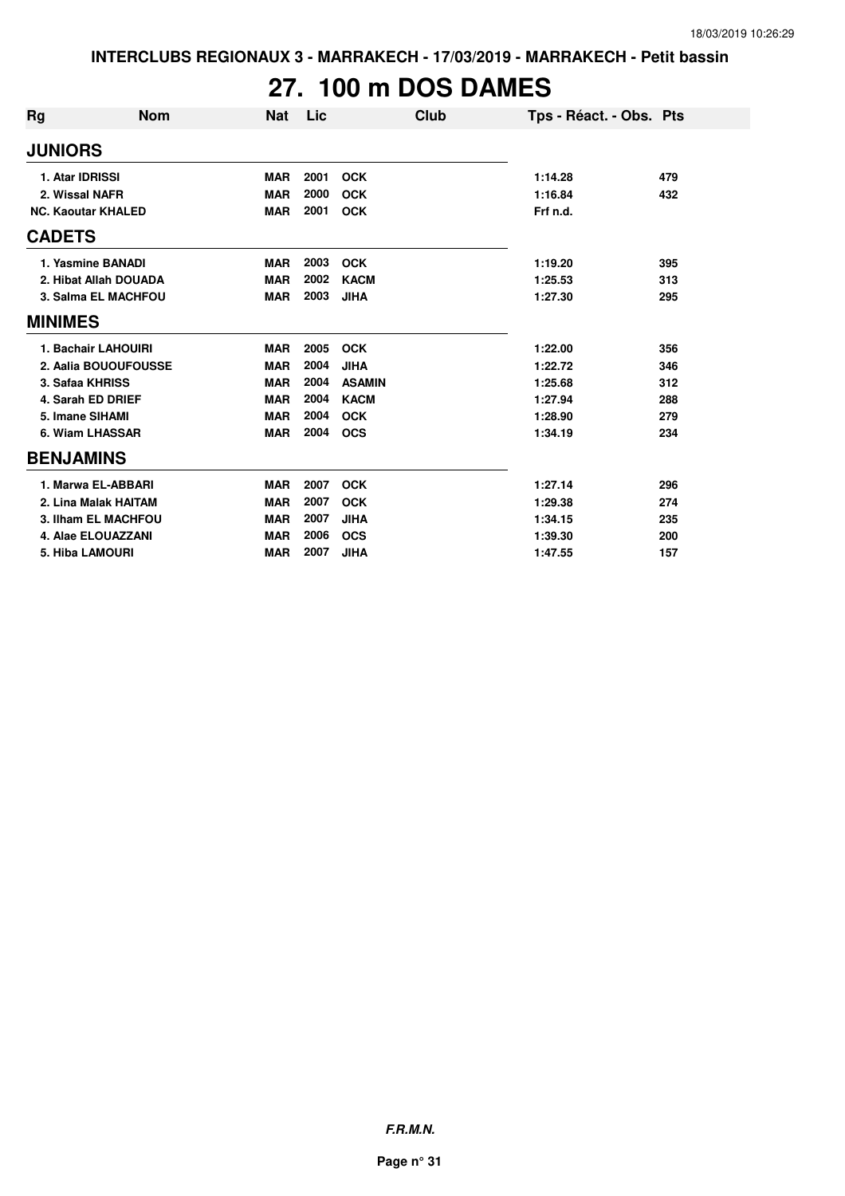# **27. 100 m DOS DAMES**

| Rg               | <b>Nom</b>                | <b>Nat</b> | Lic  | Club          | Tps - Réact. - Obs. Pts |     |
|------------------|---------------------------|------------|------|---------------|-------------------------|-----|
| <b>JUNIORS</b>   |                           |            |      |               |                         |     |
|                  | 1. Atar IDRISSI           | <b>MAR</b> | 2001 | <b>OCK</b>    | 1:14.28                 | 479 |
|                  | 2. Wissal NAFR            | <b>MAR</b> | 2000 | <b>OCK</b>    | 1:16.84                 | 432 |
|                  | <b>NC. Kaoutar KHALED</b> | <b>MAR</b> | 2001 | <b>OCK</b>    | Frf n.d.                |     |
| <b>CADETS</b>    |                           |            |      |               |                         |     |
|                  | 1. Yasmine BANADI         | <b>MAR</b> | 2003 | <b>OCK</b>    | 1:19.20                 | 395 |
|                  | 2. Hibat Allah DOUADA     | <b>MAR</b> | 2002 | <b>KACM</b>   | 1:25.53                 | 313 |
|                  | 3. Salma EL MACHFOU       | <b>MAR</b> | 2003 | <b>JIHA</b>   | 1:27.30                 | 295 |
| <b>MINIMES</b>   |                           |            |      |               |                         |     |
|                  | 1. Bachair LAHOUIRI       | <b>MAR</b> | 2005 | <b>OCK</b>    | 1:22.00                 | 356 |
|                  | 2. Aalia BOUOUFOUSSE      | <b>MAR</b> | 2004 | <b>JIHA</b>   | 1:22.72                 | 346 |
|                  | 3. Safaa KHRISS           | <b>MAR</b> | 2004 | <b>ASAMIN</b> | 1:25.68                 | 312 |
|                  | 4. Sarah ED DRIEF         | <b>MAR</b> | 2004 | <b>KACM</b>   | 1:27.94                 | 288 |
|                  | 5. Imane SIHAMI           | <b>MAR</b> | 2004 | <b>OCK</b>    | 1:28.90                 | 279 |
|                  | 6. Wiam LHASSAR           | <b>MAR</b> | 2004 | <b>OCS</b>    | 1:34.19                 | 234 |
| <b>BENJAMINS</b> |                           |            |      |               |                         |     |
|                  | 1. Marwa EL-ABBARI        | <b>MAR</b> | 2007 | <b>OCK</b>    | 1:27.14                 | 296 |
|                  | 2. Lina Malak HAITAM      | <b>MAR</b> | 2007 | <b>OCK</b>    | 1:29.38                 | 274 |
|                  | 3. Ilham EL MACHFOU       | <b>MAR</b> | 2007 | <b>JIHA</b>   | 1:34.15                 | 235 |
|                  | 4. Alae ELOUAZZANI        | <b>MAR</b> | 2006 | <b>OCS</b>    | 1:39.30                 | 200 |
|                  | <b>5. Hiba LAMOURI</b>    | <b>MAR</b> | 2007 | <b>JIHA</b>   | 1:47.55                 | 157 |

**F.R.M.N.**

**Page n° 31**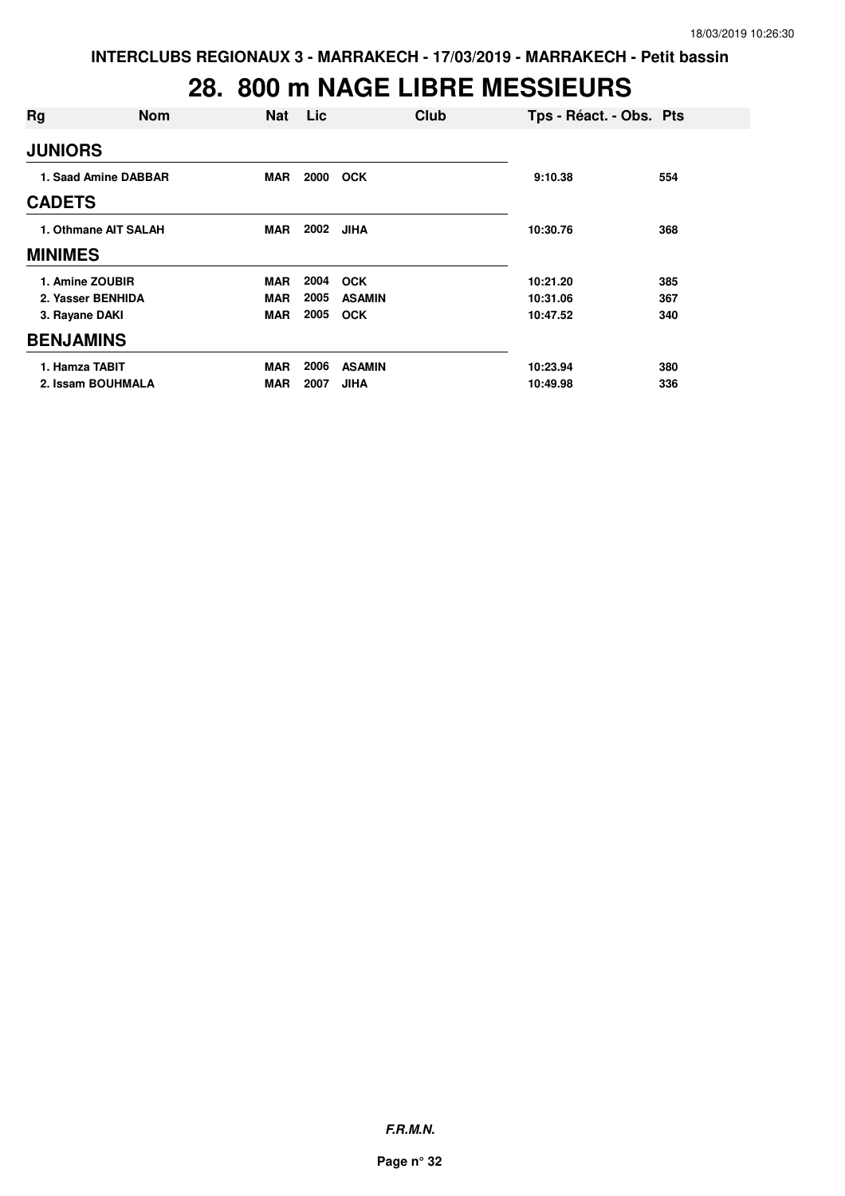### **28. 800 m NAGE LIBRE MESSIEURS**

| Rg               | <b>Nom</b>           | <b>Nat</b> | Lic  | Club          | Tps - Réact. - Obs. Pts |     |
|------------------|----------------------|------------|------|---------------|-------------------------|-----|
| <b>JUNIORS</b>   |                      |            |      |               |                         |     |
|                  | 1. Saad Amine DABBAR | <b>MAR</b> | 2000 | <b>OCK</b>    | 9:10.38                 | 554 |
| <b>CADETS</b>    |                      |            |      |               |                         |     |
|                  | 1. Othmane AIT SALAH | MAR        | 2002 | <b>JIHA</b>   | 10:30.76                | 368 |
| <b>MINIMES</b>   |                      |            |      |               |                         |     |
| 1. Amine ZOUBIR  |                      | <b>MAR</b> | 2004 | <b>OCK</b>    | 10:21.20                | 385 |
|                  | 2. Yasser BENHIDA    | <b>MAR</b> | 2005 | <b>ASAMIN</b> | 10:31.06                | 367 |
| 3. Rayane DAKI   |                      | <b>MAR</b> | 2005 | <b>OCK</b>    | 10:47.52                | 340 |
| <b>BENJAMINS</b> |                      |            |      |               |                         |     |
| 1. Hamza TABIT   |                      | <b>MAR</b> | 2006 | <b>ASAMIN</b> | 10:23.94                | 380 |
|                  | 2. Issam BOUHMALA    | <b>MAR</b> | 2007 | <b>JIHA</b>   | 10:49.98                | 336 |